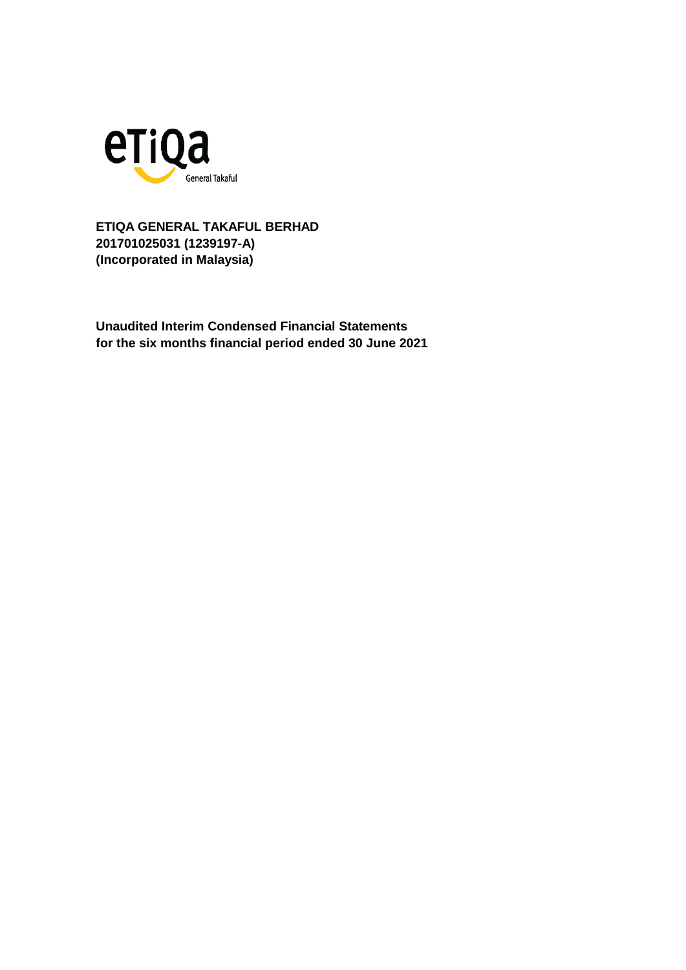

**Unaudited Interim Condensed Financial Statements for the six months financial period ended 30 June 2021**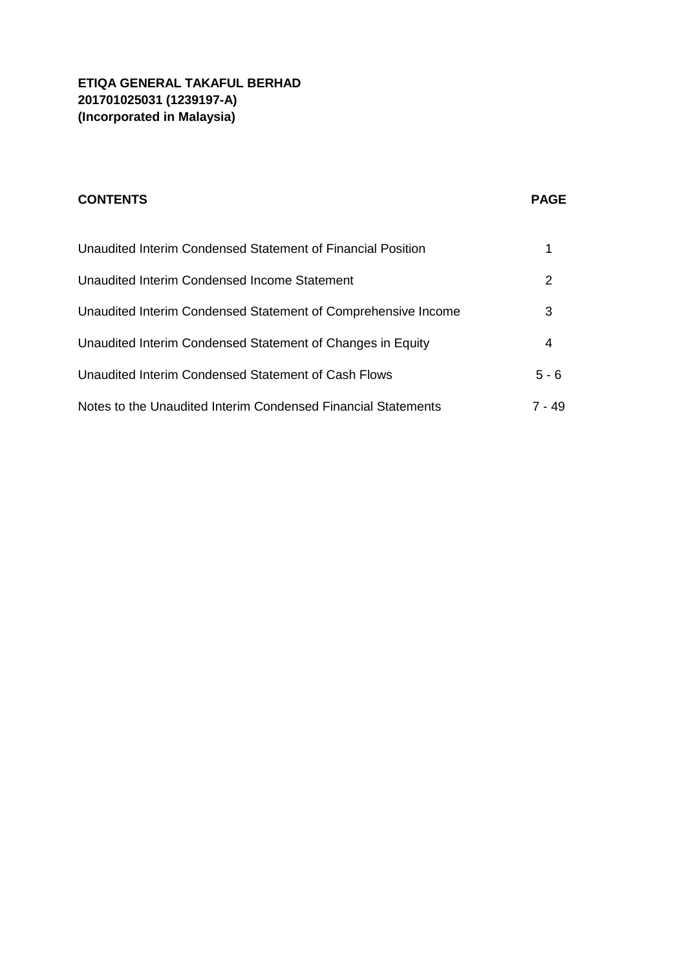| <b>CONTENTS</b>                                               | <b>PAGE</b> |
|---------------------------------------------------------------|-------------|
| Unaudited Interim Condensed Statement of Financial Position   |             |
| Unaudited Interim Condensed Income Statement                  | 2           |
| Unaudited Interim Condensed Statement of Comprehensive Income | 3           |
| Unaudited Interim Condensed Statement of Changes in Equity    | 4           |
| Unaudited Interim Condensed Statement of Cash Flows           | $5 - 6$     |
| Notes to the Unaudited Interim Condensed Financial Statements | 7 - 49      |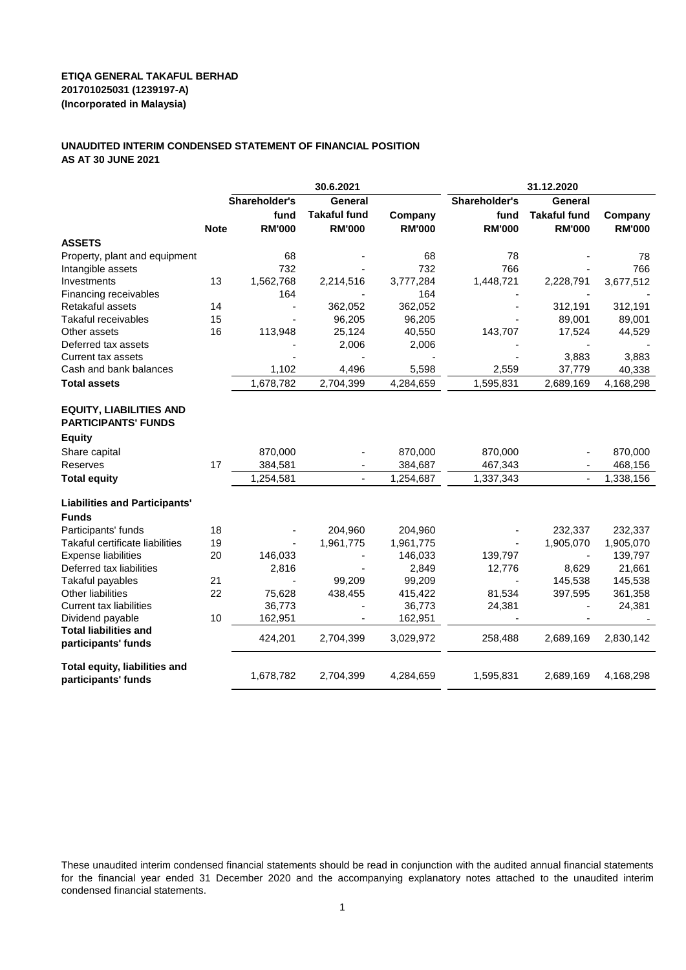#### **UNAUDITED INTERIM CONDENSED STATEMENT OF FINANCIAL POSITION AS AT 30 JUNE 2021**

|                                                              |             | 30.6.2021      |                     |               | 31.12.2020    |                     |               |
|--------------------------------------------------------------|-------------|----------------|---------------------|---------------|---------------|---------------------|---------------|
|                                                              |             | Shareholder's  | General             |               | Shareholder's | General             |               |
|                                                              |             | fund           | <b>Takaful fund</b> | Company       | fund          | <b>Takaful fund</b> | Company       |
|                                                              | <b>Note</b> | <b>RM'000</b>  | <b>RM'000</b>       | <b>RM'000</b> | <b>RM'000</b> | <b>RM'000</b>       | <b>RM'000</b> |
| <b>ASSETS</b>                                                |             |                |                     |               |               |                     |               |
| Property, plant and equipment                                |             | 68             |                     | 68            | 78            |                     | 78            |
| Intangible assets                                            |             | 732            |                     | 732           | 766           |                     | 766           |
| Investments                                                  | 13          | 1,562,768      | 2,214,516           | 3,777,284     | 1,448,721     | 2,228,791           | 3,677,512     |
| Financing receivables                                        |             | 164            |                     | 164           |               |                     |               |
| Retakaful assets                                             | 14          | ÷,             | 362,052             | 362,052       |               | 312,191             | 312,191       |
| Takaful receivables                                          | 15          |                | 96,205              | 96,205        |               | 89,001              | 89,001        |
| Other assets                                                 | 16          | 113,948        | 25,124              | 40,550        | 143,707       | 17,524              | 44,529        |
| Deferred tax assets                                          |             |                | 2,006               | 2,006         |               |                     |               |
| <b>Current tax assets</b>                                    |             |                |                     |               |               | 3,883               | 3,883         |
| Cash and bank balances                                       |             | 1,102          | 4,496               | 5,598         | 2,559         | 37,779              | 40,338        |
| <b>Total assets</b>                                          |             | 1,678,782      | 2,704,399           | 4,284,659     | 1,595,831     | 2,689,169           | 4,168,298     |
| <b>EQUITY, LIABILITIES AND</b><br><b>PARTICIPANTS' FUNDS</b> |             |                |                     |               |               |                     |               |
| <b>Equity</b>                                                |             |                |                     |               |               |                     |               |
| Share capital                                                |             | 870,000        |                     | 870,000       | 870,000       |                     | 870,000       |
| Reserves                                                     | 17          | 384,581        |                     | 384,687       | 467,343       |                     | 468,156       |
| <b>Total equity</b>                                          |             | 1,254,581      |                     | 1,254,687     | 1,337,343     | $\frac{1}{2}$       | 1,338,156     |
| <b>Liabilities and Participants'</b>                         |             |                |                     |               |               |                     |               |
| <b>Funds</b>                                                 |             |                |                     |               |               |                     |               |
| Participants' funds                                          | 18          |                | 204,960             | 204,960       |               | 232,337             | 232,337       |
| Takaful certificate liabilities                              | 19          |                | 1,961,775           | 1,961,775     |               | 1,905,070           | 1,905,070     |
| <b>Expense liabilities</b>                                   | 20          | 146,033        |                     | 146,033       | 139,797       |                     | 139,797       |
| Deferred tax liabilities                                     |             | 2,816          |                     | 2,849         | 12,776        | 8,629               | 21,661        |
| Takaful payables                                             | 21          | $\overline{a}$ | 99,209              | 99,209        |               | 145,538             | 145,538       |
| <b>Other liabilities</b>                                     | 22          | 75,628         | 438,455             | 415,422       | 81,534        | 397,595             | 361,358       |
| <b>Current tax liabilities</b>                               |             | 36,773         |                     | 36,773        | 24,381        |                     | 24,381        |
| Dividend payable                                             | 10          | 162,951        |                     | 162,951       |               |                     |               |
| <b>Total liabilities and</b><br>participants' funds          |             | 424,201        | 2,704,399           | 3,029,972     | 258,488       | 2,689,169           | 2,830,142     |
| Total equity, liabilities and<br>participants' funds         |             | 1,678,782      | 2,704,399           | 4,284,659     | 1,595,831     | 2,689,169           | 4,168,298     |

These unaudited interim condensed financial statements should be read in conjunction with the audited annual financial statements for the financial year ended 31 December 2020 and the accompanying explanatory notes attached to the unaudited interim condensed financial statements.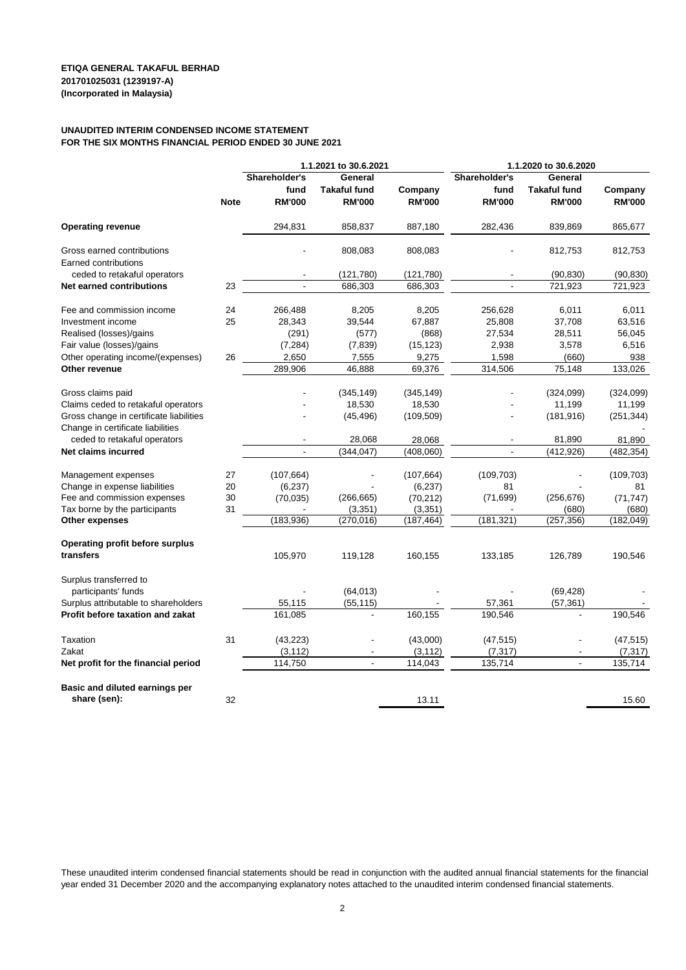#### **UNAUDITED INTERIM CONDENSED INCOME STATEMENT FOR THE SIX MONTHS FINANCIAL PERIOD ENDED 30 JUNE 2021**

|                                                                              |             | 1.1.2021 to 30.6.2021                  |                                                 |                          | 1.1.2020 to 30.6.2020                  |                                                 |                          |
|------------------------------------------------------------------------------|-------------|----------------------------------------|-------------------------------------------------|--------------------------|----------------------------------------|-------------------------------------------------|--------------------------|
|                                                                              | <b>Note</b> | Shareholder's<br>fund<br><b>RM'000</b> | General<br><b>Takaful fund</b><br><b>RM'000</b> | Company<br><b>RM'000</b> | Shareholder's<br>fund<br><b>RM'000</b> | General<br><b>Takaful fund</b><br><b>RM'000</b> | Company<br><b>RM'000</b> |
| <b>Operating revenue</b>                                                     |             | 294,831                                | 858,837                                         | 887,180                  | 282,436                                | 839,869                                         | 865,677                  |
| Gross earned contributions                                                   |             |                                        |                                                 |                          |                                        |                                                 |                          |
| Earned contributions                                                         |             |                                        | 808,083                                         | 808,083                  |                                        | 812,753                                         | 812,753                  |
| ceded to retakaful operators                                                 |             |                                        | (121, 780)                                      | (121, 780)               |                                        | (90, 830)                                       | (90, 830)                |
| Net earned contributions                                                     | 23          | $\blacksquare$                         | 686,303                                         | 686,303                  | ÷,                                     | 721,923                                         | 721,923                  |
| Fee and commission income                                                    | 24          | 266,488                                | 8,205                                           | 8,205                    | 256,628                                | 6,011                                           | 6,011                    |
| Investment income                                                            | 25          | 28,343                                 | 39,544                                          | 67,887                   | 25,808                                 | 37,708                                          | 63,516                   |
| Realised (losses)/gains                                                      |             | (291)                                  | (577)                                           | (868)                    | 27,534                                 | 28,511                                          | 56,045                   |
| Fair value (losses)/gains                                                    |             | (7, 284)                               | (7, 839)                                        | (15, 123)                | 2,938                                  | 3,578                                           | 6,516                    |
| Other operating income/(expenses)                                            | 26          | 2,650                                  | 7,555                                           | 9,275                    | 1,598                                  | (660)                                           | 938                      |
| Other revenue                                                                |             | 289,906                                | 46,888                                          | 69,376                   | 314,506                                | 75,148                                          | 133,026                  |
|                                                                              |             |                                        |                                                 |                          |                                        |                                                 |                          |
| Gross claims paid                                                            |             |                                        | (345, 149)                                      | (345, 149)               |                                        | (324,099)                                       | (324, 099)               |
| Claims ceded to retakaful operators                                          |             |                                        | 18,530                                          | 18,530                   |                                        | 11,199                                          | 11,199                   |
| Gross change in certificate liabilities<br>Change in certificate liabilities |             |                                        | (45, 496)                                       | (109, 509)               |                                        | (181, 916)                                      | (251, 344)               |
| ceded to retakaful operators                                                 |             |                                        | 28,068                                          | 28,068                   | ä,                                     | 81,890                                          | 81,890                   |
| Net claims incurred                                                          |             | $\blacksquare$                         | (344, 047)                                      | (408,060)                |                                        | (412, 926)                                      | (482, 354)               |
|                                                                              |             |                                        |                                                 |                          |                                        |                                                 |                          |
| Management expenses                                                          | 27          | (107, 664)                             |                                                 | (107, 664)               | (109, 703)                             |                                                 | (109, 703)               |
| Change in expense liabilities                                                | 20          | (6, 237)                               |                                                 | (6, 237)                 | 81                                     |                                                 | 81                       |
| Fee and commission expenses                                                  | 30          | (70, 035)                              | (266, 665)                                      | (70, 212)                | (71, 699)                              | (256, 676)                                      | (71, 747)                |
| Tax borne by the participants                                                | 31          |                                        | (3, 351)                                        | (3,351)                  |                                        | (680)                                           | (680)                    |
| Other expenses                                                               |             | (183, 936)                             | (270, 016)                                      | (187, 464)               | (181, 321)                             | (257, 356)                                      | (182, 049)               |
| <b>Operating profit before surplus</b>                                       |             |                                        |                                                 |                          |                                        |                                                 |                          |
| transfers                                                                    |             | 105,970                                | 119,128                                         | 160,155                  | 133,185                                | 126,789                                         | 190,546                  |
| Surplus transferred to                                                       |             |                                        |                                                 |                          |                                        |                                                 |                          |
| participants' funds                                                          |             |                                        | (64, 013)                                       |                          |                                        | (69, 428)                                       |                          |
| Surplus attributable to shareholders                                         |             | 55,115                                 | (55, 115)                                       |                          | 57,361                                 | (57, 361)                                       |                          |
| Profit before taxation and zakat                                             |             | 161,085                                | $\blacksquare$                                  | 160,155                  | 190,546                                | $\blacksquare$                                  | 190,546                  |
| Taxation                                                                     | 31          | (43, 223)                              |                                                 | (43,000)                 | (47, 515)                              |                                                 | (47, 515)                |
| Zakat                                                                        |             | (3, 112)                               | $\overline{\phantom{a}}$                        | (3, 112)                 | (7, 317)                               |                                                 | (7, 317)                 |
| Net profit for the financial period                                          |             | 114,750                                | $\blacksquare$                                  | 114,043                  | 135,714                                | $\blacksquare$                                  | 135,714                  |
|                                                                              |             |                                        |                                                 |                          |                                        |                                                 |                          |
| Basic and diluted earnings per                                               |             |                                        |                                                 |                          |                                        |                                                 |                          |
| share (sen):                                                                 | 32          |                                        |                                                 | 13.11                    |                                        |                                                 | 15.60                    |

These unaudited interim condensed financial statements should be read in conjunction with the audited annual financial statements for the financial year ended 31 December 2020 and the accompanying explanatory notes attached to the unaudited interim condensed financial statements.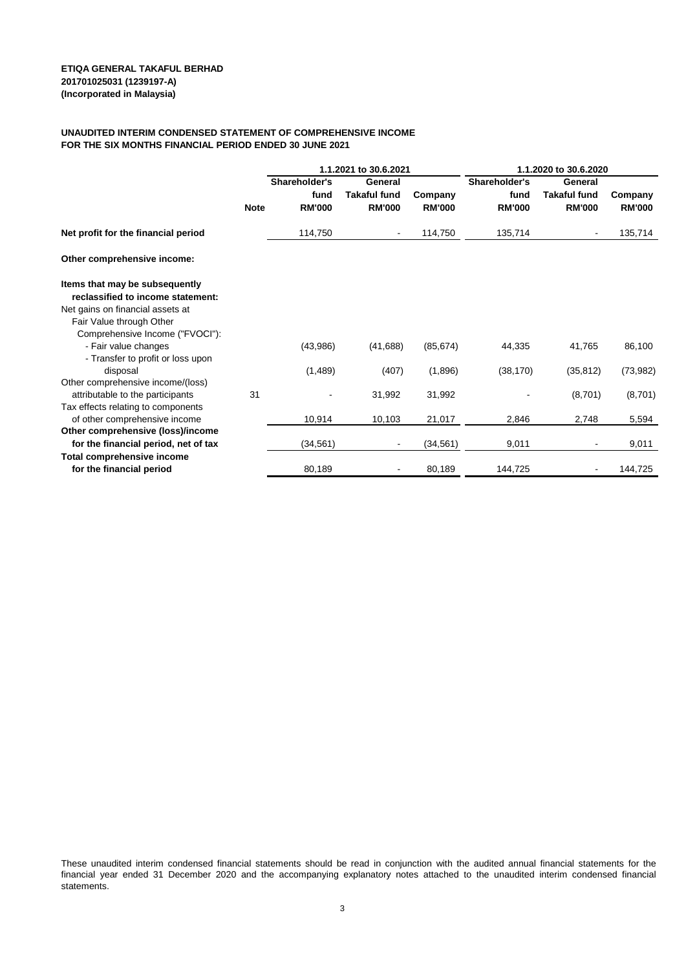#### **UNAUDITED INTERIM CONDENSED STATEMENT OF COMPREHENSIVE INCOME FOR THE SIX MONTHS FINANCIAL PERIOD ENDED 30 JUNE 2021**

|                                                             |             | 1.1.2021 to 30.6.2021 |                         |               | 1.1.2020 to 30.6.2020 |                                |               |  |
|-------------------------------------------------------------|-------------|-----------------------|-------------------------|---------------|-----------------------|--------------------------------|---------------|--|
|                                                             |             | Shareholder's<br>fund | General<br>Takaful fund | Company       | Shareholder's<br>fund | General<br><b>Takaful fund</b> | Company       |  |
|                                                             | <b>Note</b> | <b>RM'000</b>         | <b>RM'000</b>           | <b>RM'000</b> | <b>RM'000</b>         | <b>RM'000</b>                  | <b>RM'000</b> |  |
| Net profit for the financial period                         |             | 114,750               | $\blacksquare$          | 114,750       | 135,714               |                                | 135,714       |  |
| Other comprehensive income:                                 |             |                       |                         |               |                       |                                |               |  |
| Items that may be subsequently                              |             |                       |                         |               |                       |                                |               |  |
| reclassified to income statement:                           |             |                       |                         |               |                       |                                |               |  |
| Net gains on financial assets at                            |             |                       |                         |               |                       |                                |               |  |
| Fair Value through Other<br>Comprehensive Income ("FVOCI"): |             |                       |                         |               |                       |                                |               |  |
| - Fair value changes                                        |             | (43,986)              | (41, 688)               | (85, 674)     | 44,335                | 41,765                         | 86,100        |  |
| - Transfer to profit or loss upon                           |             |                       |                         |               |                       |                                |               |  |
| disposal                                                    |             | (1,489)               | (407)                   | (1,896)       | (38, 170)             | (35, 812)                      | (73, 982)     |  |
| Other comprehensive income/(loss)                           |             |                       |                         |               |                       |                                |               |  |
| attributable to the participants                            | 31          |                       | 31,992                  | 31,992        |                       | (8,701)                        | (8,701)       |  |
| Tax effects relating to components                          |             |                       |                         |               |                       |                                |               |  |
| of other comprehensive income                               |             | 10,914                | 10,103                  | 21,017        | 2,846                 | 2,748                          | 5,594         |  |
| Other comprehensive (loss)/income                           |             |                       |                         |               |                       |                                |               |  |
| for the financial period, net of tax                        |             | (34,561)              | $\blacksquare$          | (34, 561)     | 9,011                 |                                | 9,011         |  |
| Total comprehensive income                                  |             |                       |                         |               |                       |                                |               |  |
| for the financial period                                    |             | 80,189                |                         | 80,189        | 144,725               |                                | 144,725       |  |

These unaudited interim condensed financial statements should be read in conjunction with the audited annual financial statements for the financial year ended 31 December 2020 and the accompanying explanatory notes attached to the unaudited interim condensed financial statements.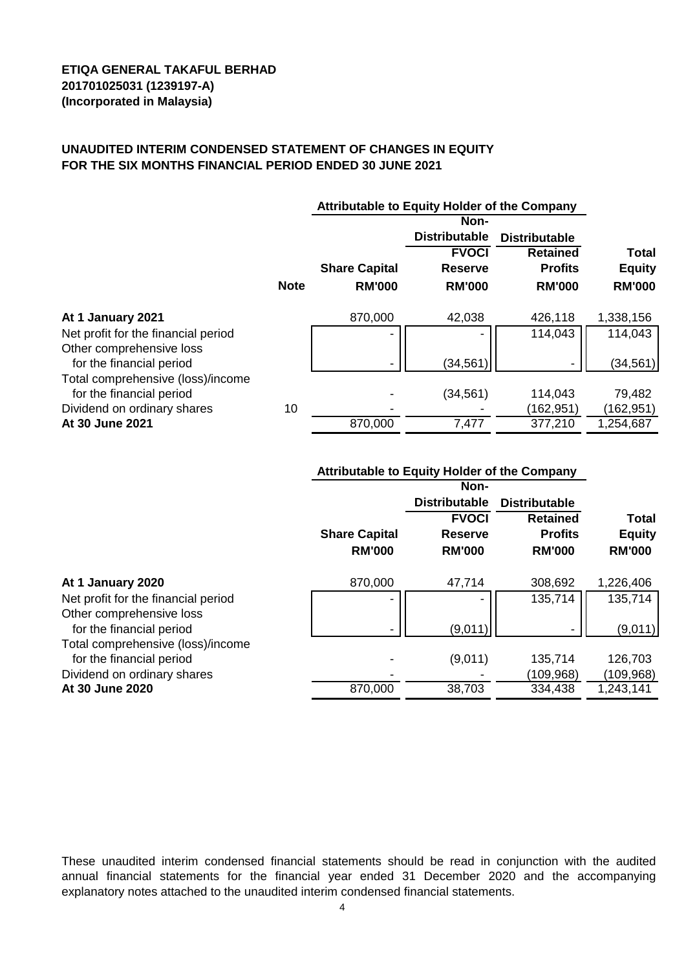### **UNAUDITED INTERIM CONDENSED STATEMENT OF CHANGES IN EQUITY FOR THE SIX MONTHS FINANCIAL PERIOD ENDED 30 JUNE 2021**

|                                                               |             |                      | Non-                 |                      |               |
|---------------------------------------------------------------|-------------|----------------------|----------------------|----------------------|---------------|
|                                                               |             |                      | <b>Distributable</b> | <b>Distributable</b> |               |
|                                                               |             |                      | <b>FVOCI</b>         | <b>Retained</b>      | <b>Total</b>  |
|                                                               |             | <b>Share Capital</b> | <b>Reserve</b>       | <b>Profits</b>       | <b>Equity</b> |
|                                                               | <b>Note</b> | <b>RM'000</b>        | <b>RM'000</b>        | <b>RM'000</b>        | <b>RM'000</b> |
| At 1 January 2021                                             |             | 870,000              | 42,038               | 426,118              | 1,338,156     |
| Net profit for the financial period                           |             |                      |                      | 114,043              | 114,043       |
| Other comprehensive loss<br>for the financial period          |             |                      | (34, 561)            |                      | (34, 561)     |
| Total comprehensive (loss)/income<br>for the financial period |             |                      | (34, 561)            | 114,043              | 79,482        |
| Dividend on ordinary shares                                   | 10          |                      |                      | (162,951)            | (162, 951)    |
| At 30 June 2021                                               |             | 870,000              | 7,477                | 377,210              | 1,254,687     |

|                                     | <b>Attributable to Equity Holder of the Company</b> |                      |                      |               |
|-------------------------------------|-----------------------------------------------------|----------------------|----------------------|---------------|
|                                     |                                                     | Non-                 |                      |               |
|                                     |                                                     | <b>Distributable</b> | <b>Distributable</b> |               |
|                                     |                                                     | <b>FVOCI</b>         | <b>Retained</b>      | <b>Total</b>  |
|                                     | <b>Share Capital</b>                                | <b>Reserve</b>       | <b>Profits</b>       | <b>Equity</b> |
|                                     | <b>RM'000</b>                                       | <b>RM'000</b>        | <b>RM'000</b>        | <b>RM'000</b> |
| At 1 January 2020                   | 870,000                                             | 47,714               | 308,692              | 1,226,406     |
| Net profit for the financial period |                                                     |                      | 135,714              | 135,714       |
| Other comprehensive loss            |                                                     |                      |                      |               |
| for the financial period            |                                                     | (9,011)              |                      | (9,011)       |
| Total comprehensive (loss)/income   |                                                     |                      |                      |               |
| for the financial period            |                                                     | (9,011)              | 135,714              | 126,703       |
| Dividend on ordinary shares         |                                                     |                      | (109, 968)           | (109, 968)    |
| At 30 June 2020                     | 870,000                                             | 38,703               | 334,438              | 1,243,141     |

These unaudited interim condensed financial statements should be read in conjunction with the audited annual financial statements for the financial year ended 31 December 2020 and the accompanying explanatory notes attached to the unaudited interim condensed financial statements.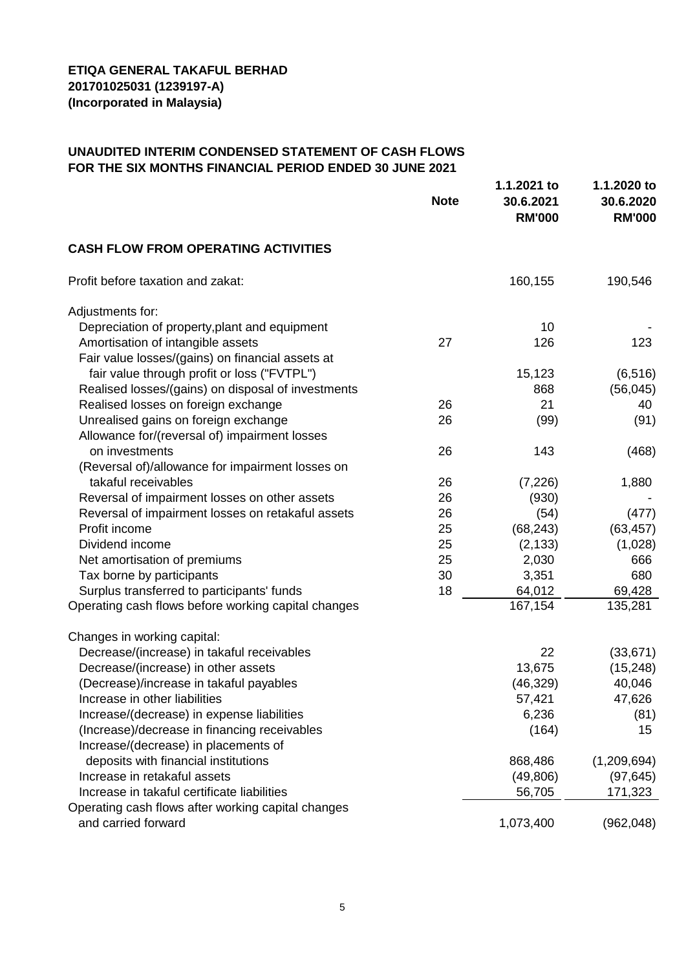# **UNAUDITED INTERIM CONDENSED STATEMENT OF CASH FLOWS FOR THE SIX MONTHS FINANCIAL PERIOD ENDED 30 JUNE 2021**

|                                                     | <b>Note</b> | 1.1.2021 to<br>30.6.2021<br><b>RM'000</b> | 1.1.2020 to<br>30.6.2020<br><b>RM'000</b> |
|-----------------------------------------------------|-------------|-------------------------------------------|-------------------------------------------|
| <b>CASH FLOW FROM OPERATING ACTIVITIES</b>          |             |                                           |                                           |
| Profit before taxation and zakat:                   |             | 160,155                                   | 190,546                                   |
| Adjustments for:                                    |             |                                           |                                           |
| Depreciation of property, plant and equipment       |             | 10                                        |                                           |
| Amortisation of intangible assets                   | 27          | 126                                       | 123                                       |
| Fair value losses/(gains) on financial assets at    |             |                                           |                                           |
| fair value through profit or loss ("FVTPL")         |             | 15,123                                    | (6, 516)                                  |
| Realised losses/(gains) on disposal of investments  |             | 868                                       | (56, 045)                                 |
| Realised losses on foreign exchange                 | 26          | 21                                        | 40                                        |
| Unrealised gains on foreign exchange                | 26          | (99)                                      | (91)                                      |
| Allowance for/(reversal of) impairment losses       |             |                                           |                                           |
| on investments                                      | 26          | 143                                       | (468)                                     |
| (Reversal of)/allowance for impairment losses on    |             |                                           |                                           |
| takaful receivables                                 | 26          | (7, 226)                                  | 1,880                                     |
| Reversal of impairment losses on other assets       | 26          | (930)                                     |                                           |
| Reversal of impairment losses on retakaful assets   | 26          | (54)                                      | (477)                                     |
| Profit income                                       | 25          | (68, 243)                                 | (63, 457)                                 |
| Dividend income                                     | 25          | (2, 133)                                  | (1,028)                                   |
| Net amortisation of premiums                        | 25          | 2,030                                     | 666                                       |
| Tax borne by participants                           | 30          | 3,351                                     | 680                                       |
| Surplus transferred to participants' funds          | 18          | 64,012                                    | 69,428                                    |
| Operating cash flows before working capital changes |             | 167,154                                   | 135,281                                   |
| Changes in working capital:                         |             |                                           |                                           |
| Decrease/(increase) in takaful receivables          |             | 22                                        | (33, 671)                                 |
| Decrease/(increase) in other assets                 |             | 13,675                                    | (15, 248)                                 |
| (Decrease)/increase in takaful payables             |             | (46, 329)                                 | 40,046                                    |
| Increase in other liabilities                       |             | 57,421                                    | 47,626                                    |
| Increase/(decrease) in expense liabilities          |             | 6,236                                     | (81)                                      |
| (Increase)/decrease in financing receivables        |             | (164)                                     | 15                                        |
| Increase/(decrease) in placements of                |             |                                           |                                           |
| deposits with financial institutions                |             | 868,486                                   | (1,209,694)                               |
| Increase in retakaful assets                        |             | (49, 806)                                 | (97, 645)                                 |
| Increase in takaful certificate liabilities         |             | 56,705                                    | 171,323                                   |
| Operating cash flows after working capital changes  |             |                                           |                                           |
| and carried forward                                 |             | 1,073,400                                 | (962, 048)                                |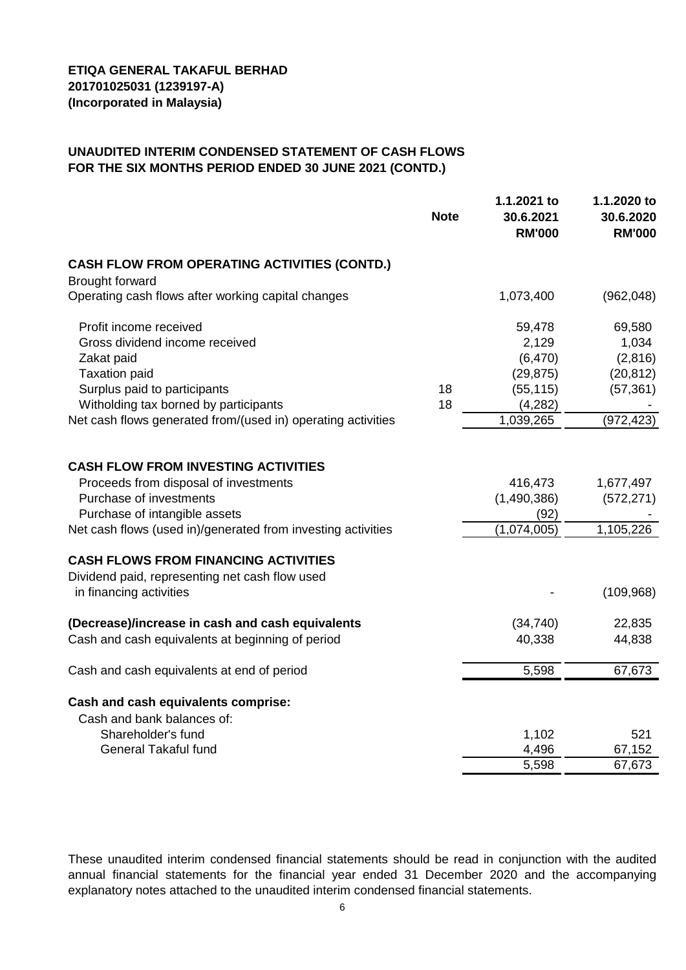# **UNAUDITED INTERIM CONDENSED STATEMENT OF CASH FLOWS FOR THE SIX MONTHS PERIOD ENDED 30 JUNE 2021 (CONTD.)**

|                                                              | <b>Note</b> | 1.1.2021 to<br>30.6.2021<br><b>RM'000</b> | 1.1.2020 to<br>30.6.2020<br><b>RM'000</b> |
|--------------------------------------------------------------|-------------|-------------------------------------------|-------------------------------------------|
| <b>CASH FLOW FROM OPERATING ACTIVITIES (CONTD.)</b>          |             |                                           |                                           |
| <b>Brought forward</b>                                       |             |                                           |                                           |
| Operating cash flows after working capital changes           |             | 1,073,400                                 | (962,048)                                 |
| Profit income received                                       |             | 59,478                                    | 69,580                                    |
| Gross dividend income received                               |             | 2,129                                     | 1,034                                     |
| Zakat paid                                                   |             | (6, 470)                                  | (2,816)                                   |
| <b>Taxation paid</b>                                         |             | (29, 875)                                 | (20, 812)                                 |
| Surplus paid to participants                                 | 18          | (55, 115)                                 | (57, 361)                                 |
| Witholding tax borned by participants                        | 18          | (4,282)                                   |                                           |
| Net cash flows generated from/(used in) operating activities |             | 1,039,265                                 | (972, 423)                                |
| <b>CASH FLOW FROM INVESTING ACTIVITIES</b>                   |             |                                           |                                           |
| Proceeds from disposal of investments                        |             | 416,473                                   | 1,677,497                                 |
| Purchase of investments                                      |             | (1,490,386)                               | (572, 271)                                |
| Purchase of intangible assets                                |             | (92)                                      |                                           |
| Net cash flows (used in)/generated from investing activities |             | (1,074,005)                               | 1,105,226                                 |
| <b>CASH FLOWS FROM FINANCING ACTIVITIES</b>                  |             |                                           |                                           |
| Dividend paid, representing net cash flow used               |             |                                           |                                           |
| in financing activities                                      |             |                                           | (109, 968)                                |
| (Decrease)/increase in cash and cash equivalents             |             | (34, 740)                                 | 22,835                                    |
| Cash and cash equivalents at beginning of period             |             | 40,338                                    | 44,838                                    |
| Cash and cash equivalents at end of period                   |             | 5,598                                     | 67,673                                    |
| Cash and cash equivalents comprise:                          |             |                                           |                                           |
| Cash and bank balances of:                                   |             |                                           |                                           |
| Shareholder's fund                                           |             | 1,102                                     | 521                                       |
| <b>General Takaful fund</b>                                  |             | 4,496                                     | 67,152                                    |
|                                                              |             | 5,598                                     | 67,673                                    |

These unaudited interim condensed financial statements should be read in conjunction with the audited annual financial statements for the financial year ended 31 December 2020 and the accompanying explanatory notes attached to the unaudited interim condensed financial statements.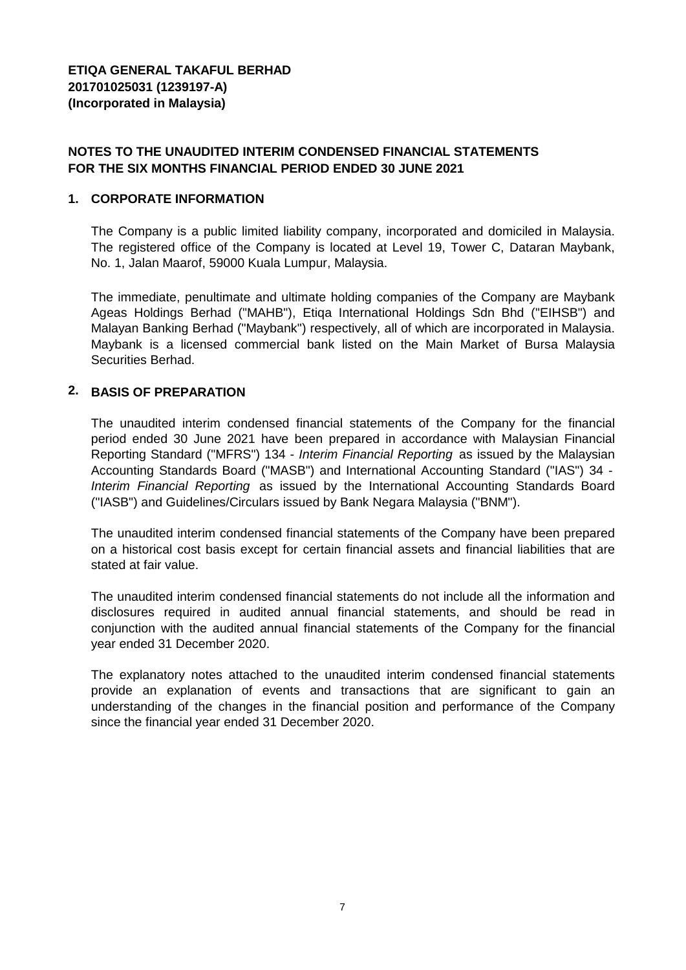# **NOTES TO THE UNAUDITED INTERIM CONDENSED FINANCIAL STATEMENTS FOR THE SIX MONTHS FINANCIAL PERIOD ENDED 30 JUNE 2021**

### **1. CORPORATE INFORMATION**

The Company is a public limited liability company, incorporated and domiciled in Malaysia. The registered office of the Company is located at Level 19, Tower C, Dataran Maybank, No. 1, Jalan Maarof, 59000 Kuala Lumpur, Malaysia.

The immediate, penultimate and ultimate holding companies of the Company are Maybank Ageas Holdings Berhad ("MAHB"), Etiqa International Holdings Sdn Bhd ("EIHSB") and Malayan Banking Berhad ("Maybank") respectively, all of which are incorporated in Malaysia. Maybank is a licensed commercial bank listed on the Main Market of Bursa Malaysia Securities Berhad.

# **2. BASIS OF PREPARATION**

The unaudited interim condensed financial statements of the Company for the financial period ended 30 June 2021 have been prepared in accordance with Malaysian Financial Reporting Standard ("MFRS") 134 - *Interim Financial Reporting* as issued by the Malaysian Accounting Standards Board ("MASB") and International Accounting Standard ("IAS") 34 - *Interim Financial Reporting* as issued by the International Accounting Standards Board ("IASB") and Guidelines/Circulars issued by Bank Negara Malaysia ("BNM").

The unaudited interim condensed financial statements of the Company have been prepared on a historical cost basis except for certain financial assets and financial liabilities that are stated at fair value.

The unaudited interim condensed financial statements do not include all the information and disclosures required in audited annual financial statements, and should be read in conjunction with the audited annual financial statements of the Company for the financial year ended 31 December 2020.

The explanatory notes attached to the unaudited interim condensed financial statements provide an explanation of events and transactions that are significant to gain an understanding of the changes in the financial position and performance of the Company since the financial year ended 31 December 2020.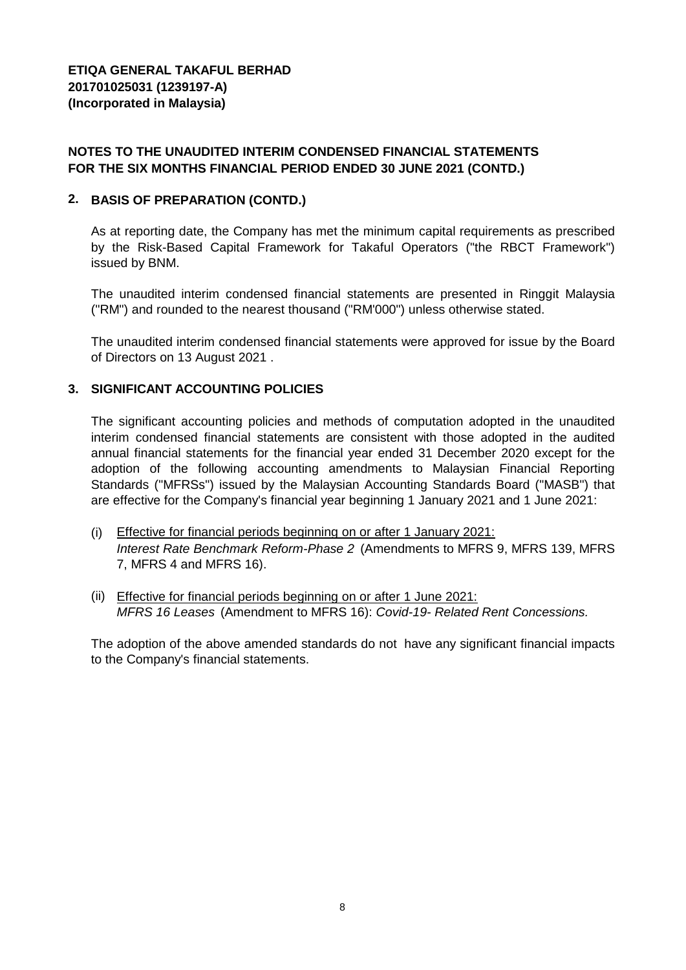# **NOTES TO THE UNAUDITED INTERIM CONDENSED FINANCIAL STATEMENTS FOR THE SIX MONTHS FINANCIAL PERIOD ENDED 30 JUNE 2021 (CONTD.)**

# **2. BASIS OF PREPARATION (CONTD.)**

As at reporting date, the Company has met the minimum capital requirements as prescribed by the Risk-Based Capital Framework for Takaful Operators ("the RBCT Framework") issued by BNM.

The unaudited interim condensed financial statements are presented in Ringgit Malaysia ("RM") and rounded to the nearest thousand ("RM'000") unless otherwise stated.

The unaudited interim condensed financial statements were approved for issue by the Board of Directors on 13 August 2021 .

# **3. SIGNIFICANT ACCOUNTING POLICIES**

The significant accounting policies and methods of computation adopted in the unaudited interim condensed financial statements are consistent with those adopted in the audited annual financial statements for the financial year ended 31 December 2020 except for the adoption of the following accounting amendments to Malaysian Financial Reporting Standards ("MFRSs") issued by the Malaysian Accounting Standards Board ("MASB") that are effective for the Company's financial year beginning 1 January 2021 and 1 June 2021:

- (i) Effective for financial periods beginning on or after 1 January 2021: *Interest Rate Benchmark Reform-Phase 2* (Amendments to MFRS 9, MFRS 139, MFRS 7, MFRS 4 and MFRS 16).
- (ii) Effective for financial periods beginning on or after 1 June 2021: *MFRS 16 Leases* (Amendment to MFRS 16): *Covid-19- Related Rent Concessions.*

The adoption of the above amended standards do not have any significant financial impacts to the Company's financial statements.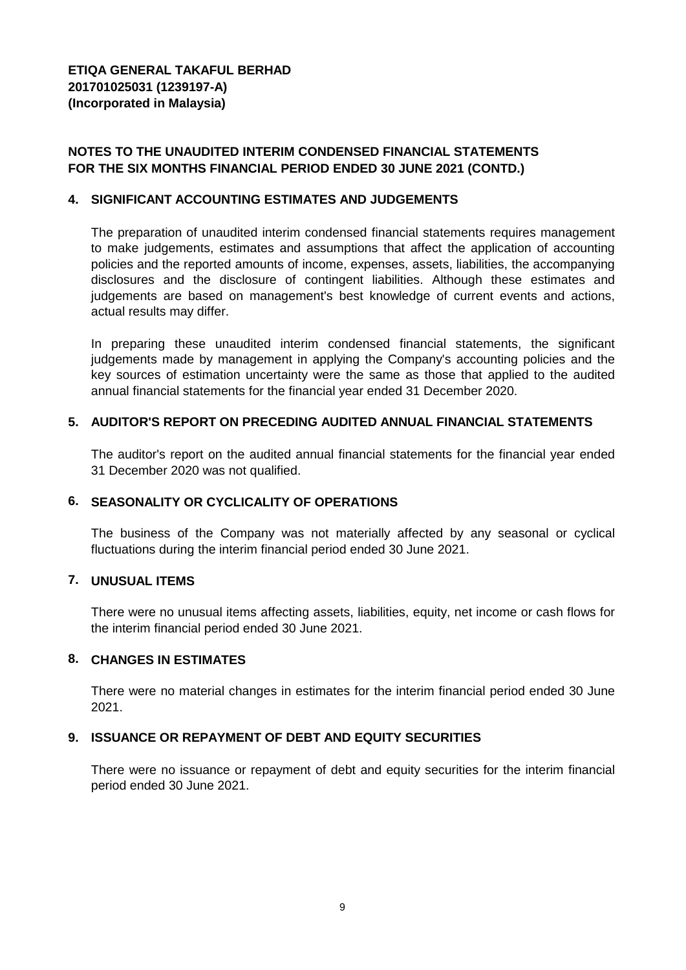# **NOTES TO THE UNAUDITED INTERIM CONDENSED FINANCIAL STATEMENTS FOR THE SIX MONTHS FINANCIAL PERIOD ENDED 30 JUNE 2021 (CONTD.)**

#### **4. SIGNIFICANT ACCOUNTING ESTIMATES AND JUDGEMENTS**

The preparation of unaudited interim condensed financial statements requires management to make judgements, estimates and assumptions that affect the application of accounting policies and the reported amounts of income, expenses, assets, liabilities, the accompanying disclosures and the disclosure of contingent liabilities. Although these estimates and judgements are based on management's best knowledge of current events and actions, actual results may differ.

In preparing these unaudited interim condensed financial statements, the significant judgements made by management in applying the Company's accounting policies and the key sources of estimation uncertainty were the same as those that applied to the audited annual financial statements for the financial year ended 31 December 2020.

### **5. AUDITOR'S REPORT ON PRECEDING AUDITED ANNUAL FINANCIAL STATEMENTS**

The auditor's report on the audited annual financial statements for the financial year ended 31 December 2020 was not qualified.

### **6. SEASONALITY OR CYCLICALITY OF OPERATIONS**

The business of the Company was not materially affected by any seasonal or cyclical fluctuations during the interim financial period ended 30 June 2021.

## **7. UNUSUAL ITEMS**

There were no unusual items affecting assets, liabilities, equity, net income or cash flows for the interim financial period ended 30 June 2021.

## **8. CHANGES IN ESTIMATES**

There were no material changes in estimates for the interim financial period ended 30 June 2021.

### **9. ISSUANCE OR REPAYMENT OF DEBT AND EQUITY SECURITIES**

There were no issuance or repayment of debt and equity securities for the interim financial period ended 30 June 2021.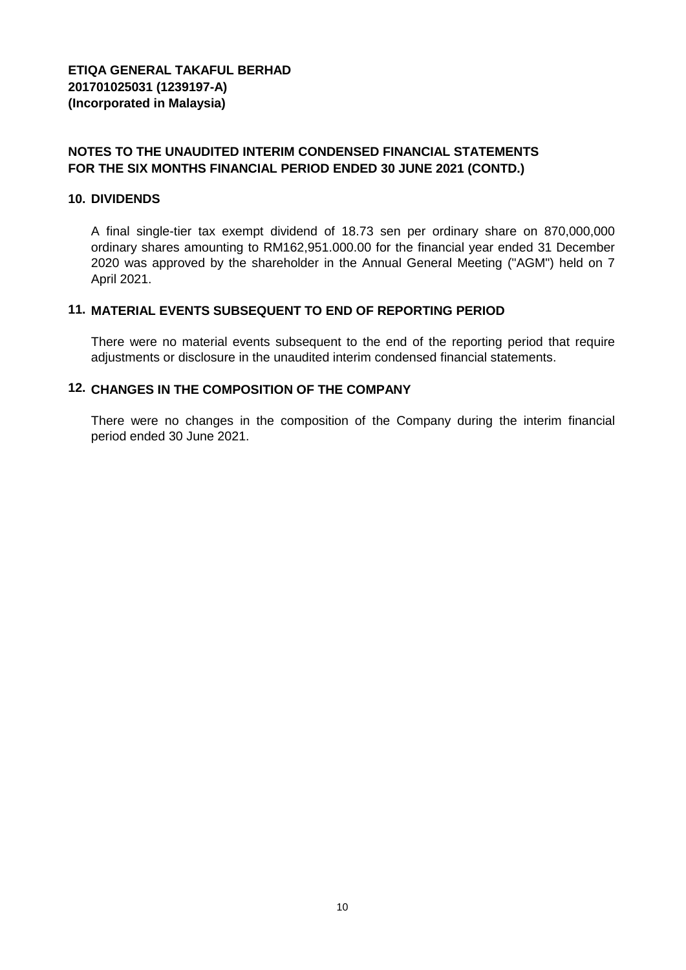# **NOTES TO THE UNAUDITED INTERIM CONDENSED FINANCIAL STATEMENTS FOR THE SIX MONTHS FINANCIAL PERIOD ENDED 30 JUNE 2021 (CONTD.)**

#### **10. DIVIDENDS**

A final single-tier tax exempt dividend of 18.73 sen per ordinary share on 870,000,000 ordinary shares amounting to RM162,951.000.00 for the financial year ended 31 December 2020 was approved by the shareholder in the Annual General Meeting ("AGM") held on 7 April 2021.

## **11. MATERIAL EVENTS SUBSEQUENT TO END OF REPORTING PERIOD**

There were no material events subsequent to the end of the reporting period that require adjustments or disclosure in the unaudited interim condensed financial statements.

# **12. CHANGES IN THE COMPOSITION OF THE COMPANY**

There were no changes in the composition of the Company during the interim financial period ended 30 June 2021.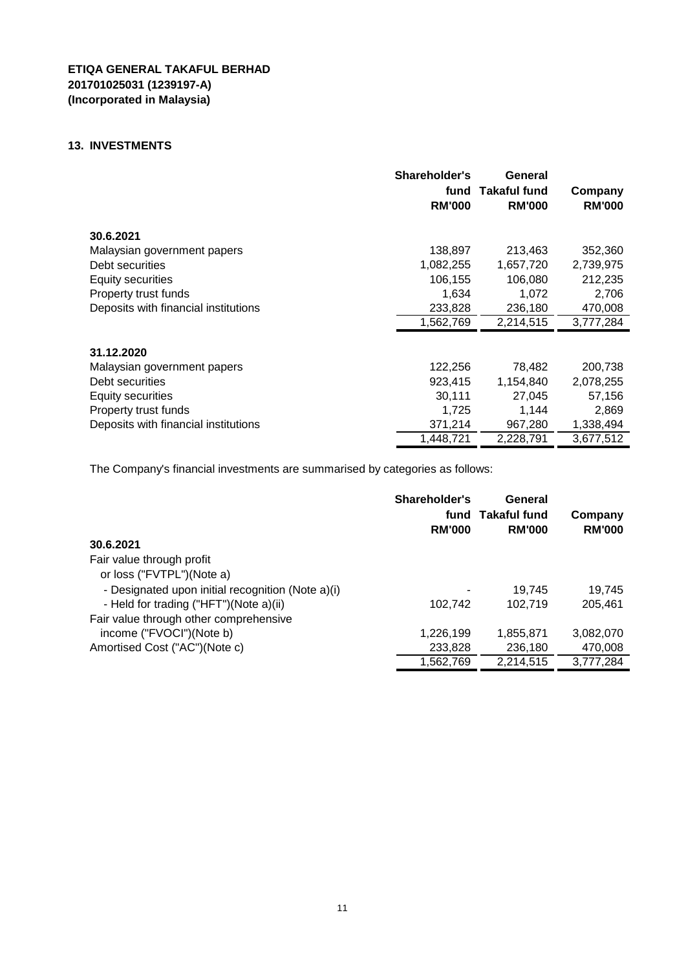#### **13. INVESTMENTS**

|                                      | Shareholder's<br>fund<br><b>RM'000</b> | General<br><b>Takaful fund</b><br><b>RM'000</b> | Company<br><b>RM'000</b> |
|--------------------------------------|----------------------------------------|-------------------------------------------------|--------------------------|
| 30.6.2021                            |                                        |                                                 |                          |
| Malaysian government papers          | 138,897                                | 213,463                                         | 352,360                  |
| Debt securities                      | 1,082,255                              | 1,657,720                                       | 2,739,975                |
| Equity securities                    | 106,155                                | 106,080                                         | 212,235                  |
| Property trust funds                 | 1,634                                  | 1,072                                           | 2,706                    |
| Deposits with financial institutions | 233,828                                | 236,180                                         | 470,008                  |
|                                      | 1,562,769                              | 2,214,515                                       | 3,777,284                |
| 31.12.2020                           |                                        |                                                 |                          |
| Malaysian government papers          | 122,256                                | 78,482                                          | 200,738                  |
| Debt securities                      | 923,415                                | 1,154,840                                       | 2,078,255                |
| <b>Equity securities</b>             | 30,111                                 | 27,045                                          | 57,156                   |
| Property trust funds                 | 1,725                                  | 1,144                                           | 2,869                    |
| Deposits with financial institutions | 371,214                                | 967,280                                         | 1,338,494                |
|                                      | 1,448,721                              | 2,228,791                                       | 3,677,512                |

The Company's financial investments are summarised by categories as follows:

| 30.6.2021                                         | Shareholder's<br>fund<br><b>RM'000</b> | General<br>Takaful fund<br><b>RM'000</b> | Company<br><b>RM'000</b> |
|---------------------------------------------------|----------------------------------------|------------------------------------------|--------------------------|
| Fair value through profit                         |                                        |                                          |                          |
| or loss ("FVTPL")(Note a)                         |                                        |                                          |                          |
| - Designated upon initial recognition (Note a)(i) | ۰                                      | 19.745                                   | 19.745                   |
| - Held for trading ("HFT")(Note a)(ii)            | 102,742                                | 102.719                                  | 205.461                  |
| Fair value through other comprehensive            |                                        |                                          |                          |
| income ("FVOCI")(Note b)                          | 1,226,199                              | 1,855,871                                | 3,082,070                |
| Amortised Cost ("AC")(Note c)                     | 233,828                                | 236,180                                  | 470,008                  |
|                                                   | 1.562.769                              | 2,214,515                                | 3,777,284                |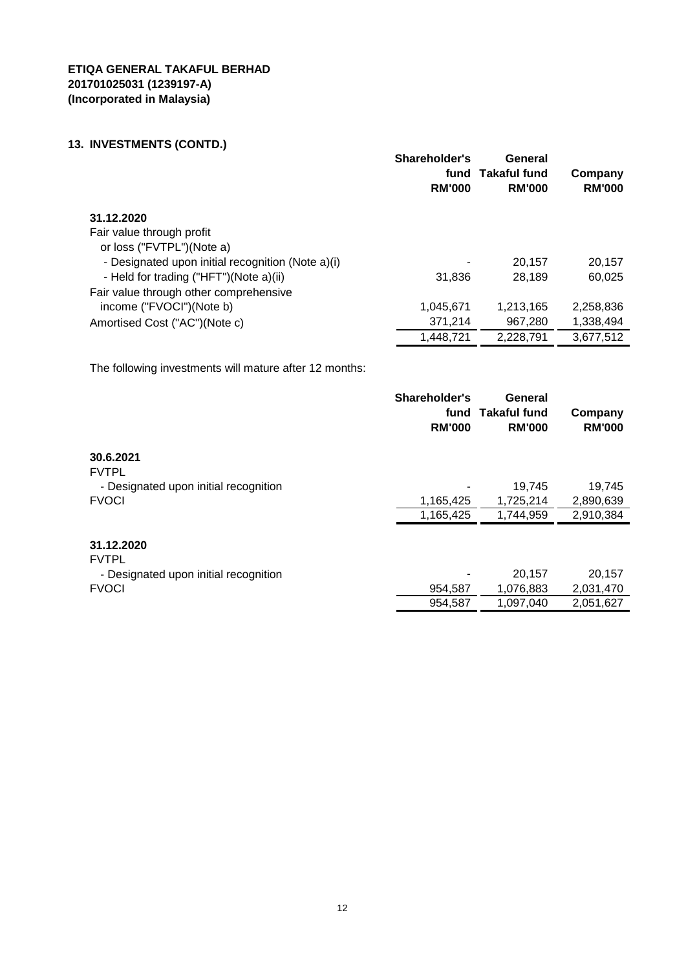# **13. INVESTMENTS (CONTD.)**

|                                                   | Shareholder's<br>fund<br><b>RM'000</b> | General<br>Takaful fund<br><b>RM'000</b> | Company<br><b>RM'000</b> |
|---------------------------------------------------|----------------------------------------|------------------------------------------|--------------------------|
| 31.12.2020                                        |                                        |                                          |                          |
| Fair value through profit                         |                                        |                                          |                          |
| or loss ("FVTPL")(Note a)                         |                                        |                                          |                          |
| - Designated upon initial recognition (Note a)(i) |                                        | 20.157                                   | 20,157                   |
| - Held for trading ("HFT")(Note a)(ii)            | 31.836                                 | 28.189                                   | 60,025                   |
| Fair value through other comprehensive            |                                        |                                          |                          |
| income ("FVOCI")(Note b)                          | 1,045,671                              | 1,213,165                                | 2,258,836                |
| Amortised Cost ("AC")(Note c)                     | 371.214                                | 967.280                                  | 1,338,494                |
|                                                   | 1,448,721                              | 2,228,791                                | 3,677,512                |

The following investments will mature after 12 months:

|                                       | Shareholder's<br>fund<br><b>RM'000</b> | General<br>Takaful fund<br><b>RM'000</b> | Company<br><b>RM'000</b> |
|---------------------------------------|----------------------------------------|------------------------------------------|--------------------------|
| 30.6.2021                             |                                        |                                          |                          |
| <b>FVTPL</b>                          |                                        |                                          |                          |
| - Designated upon initial recognition |                                        | 19,745                                   | 19,745                   |
| <b>FVOCI</b>                          | 1,165,425                              | 1,725,214                                | 2,890,639                |
|                                       | 1,165,425                              | 1,744,959                                | 2,910,384                |
| 31.12.2020<br><b>FVTPL</b>            |                                        |                                          |                          |
| - Designated upon initial recognition |                                        | 20,157                                   | 20,157                   |
| <b>FVOCI</b>                          | 954,587                                | 1,076,883                                | 2,031,470                |
|                                       | 954,587                                | 1,097,040                                | 2,051,627                |
|                                       |                                        |                                          |                          |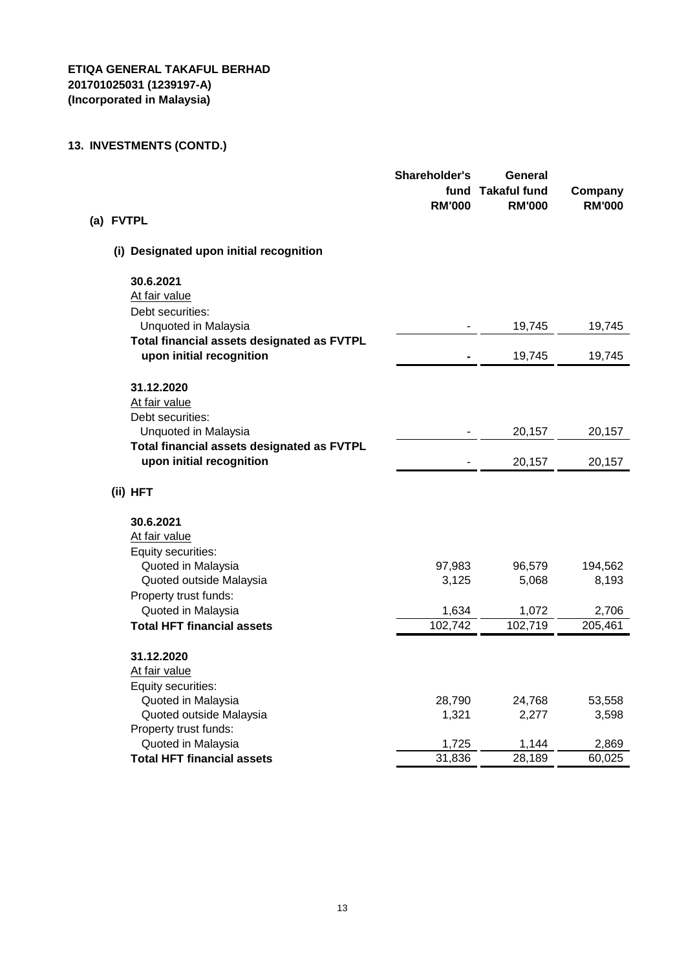| (a) FVTPL                                                              | Shareholder's<br>fund<br><b>RM'000</b> | General<br><b>Takaful fund</b><br><b>RM'000</b> | Company<br><b>RM'000</b> |
|------------------------------------------------------------------------|----------------------------------------|-------------------------------------------------|--------------------------|
| (i) Designated upon initial recognition                                |                                        |                                                 |                          |
| 30.6.2021                                                              |                                        |                                                 |                          |
| At fair value                                                          |                                        |                                                 |                          |
| Debt securities:                                                       |                                        |                                                 |                          |
| Unquoted in Malaysia                                                   |                                        | 19,745                                          | 19,745                   |
| Total financial assets designated as FVTPL<br>upon initial recognition |                                        | 19,745                                          | 19,745                   |
| 31.12.2020                                                             |                                        |                                                 |                          |
| At fair value                                                          |                                        |                                                 |                          |
| Debt securities:                                                       |                                        |                                                 |                          |
| Unquoted in Malaysia                                                   |                                        | 20,157                                          | 20,157                   |
| Total financial assets designated as FVTPL                             |                                        |                                                 |                          |
| upon initial recognition                                               |                                        | 20,157                                          | 20,157                   |
| (ii) HFT                                                               |                                        |                                                 |                          |
| 30.6.2021                                                              |                                        |                                                 |                          |
| At fair value                                                          |                                        |                                                 |                          |
| Equity securities:                                                     |                                        |                                                 |                          |
| Quoted in Malaysia                                                     | 97,983                                 | 96,579                                          | 194,562                  |
| Quoted outside Malaysia                                                | 3,125                                  | 5,068                                           | 8,193                    |
| Property trust funds:                                                  |                                        |                                                 |                          |
| Quoted in Malaysia                                                     | 1,634                                  | 1,072                                           | 2,706                    |
| <b>Total HFT financial assets</b>                                      | 102,742                                | 102,719                                         | 205,461                  |
| 31.12.2020                                                             |                                        |                                                 |                          |
| At fair value                                                          |                                        |                                                 |                          |
| Equity securities:                                                     |                                        |                                                 |                          |
| Quoted in Malaysia                                                     | 28,790                                 | 24,768                                          | 53,558                   |
| Quoted outside Malaysia                                                | 1,321                                  | 2,277                                           | 3,598                    |
| Property trust funds:                                                  |                                        |                                                 |                          |
| Quoted in Malaysia                                                     | 1,725                                  | 1,144                                           | 2,869                    |
| <b>Total HFT financial assets</b>                                      | 31,836                                 | 28,189                                          | 60,025                   |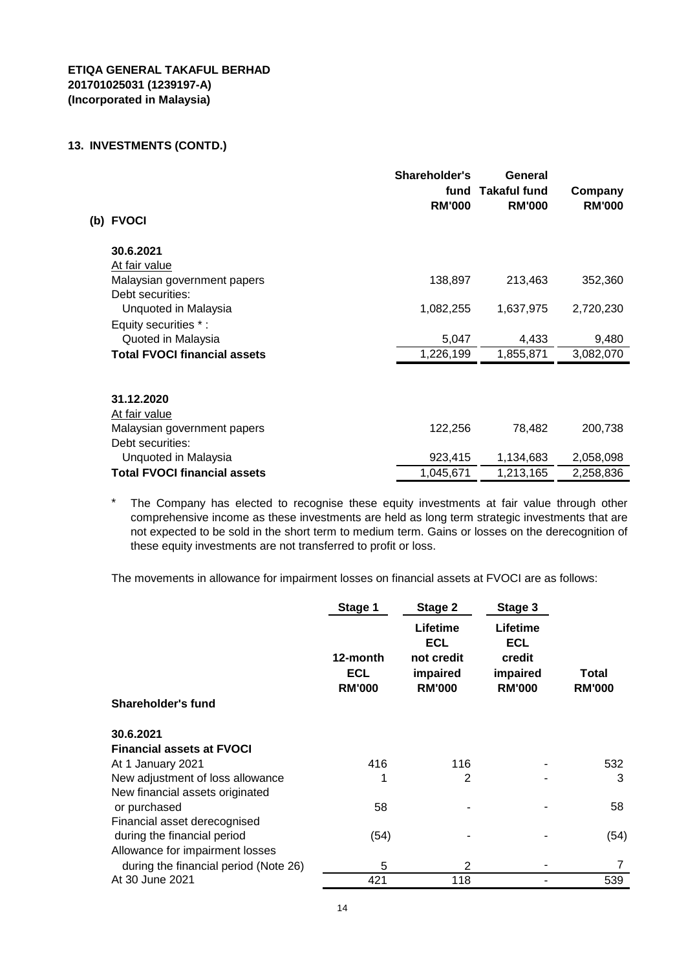| <b>FVOCI</b><br>(b)                 | Shareholder's<br>fund<br><b>RM'000</b> | General<br><b>Takaful fund</b><br><b>RM'000</b> | Company<br><b>RM'000</b> |
|-------------------------------------|----------------------------------------|-------------------------------------------------|--------------------------|
| 30.6.2021                           |                                        |                                                 |                          |
| At fair value                       |                                        |                                                 |                          |
| Malaysian government papers         | 138,897                                | 213,463                                         | 352,360                  |
| Debt securities:                    |                                        |                                                 |                          |
| Unquoted in Malaysia                | 1,082,255                              | 1,637,975                                       | 2,720,230                |
| Equity securities *:                |                                        |                                                 |                          |
| Quoted in Malaysia                  | 5,047                                  | 4,433                                           | 9,480                    |
| <b>Total FVOCI financial assets</b> | 1,226,199                              | 1,855,871                                       | 3,082,070                |
|                                     |                                        |                                                 |                          |
| 31.12.2020                          |                                        |                                                 |                          |
| At fair value                       |                                        |                                                 |                          |
| Malaysian government papers         | 122,256                                | 78,482                                          | 200,738                  |
| Debt securities:                    |                                        |                                                 |                          |
| Unquoted in Malaysia                | 923,415                                | 1,134,683                                       | 2,058,098                |
| <b>Total FVOCI financial assets</b> | 1,045,671                              | 1,213,165                                       | 2,258,836                |

\* The Company has elected to recognise these equity investments at fair value through other comprehensive income as these investments are held as long term strategic investments that are not expected to be sold in the short term to medium term. Gains or losses on the derecognition of these equity investments are not transferred to profit or loss.

The movements in allowance for impairment losses on financial assets at FVOCI are as follows:

|                                       | Stage 1                                 | Stage 2                                                           | Stage 3                                                       |                        |
|---------------------------------------|-----------------------------------------|-------------------------------------------------------------------|---------------------------------------------------------------|------------------------|
| Shareholder's fund                    | 12-month<br><b>ECL</b><br><b>RM'000</b> | Lifetime<br><b>ECL</b><br>not credit<br>impaired<br><b>RM'000</b> | Lifetime<br><b>ECL</b><br>credit<br>impaired<br><b>RM'000</b> | Total<br><b>RM'000</b> |
| 30.6.2021                             |                                         |                                                                   |                                                               |                        |
| <b>Financial assets at FVOCI</b>      |                                         |                                                                   |                                                               |                        |
| At 1 January 2021                     | 416                                     | 116                                                               |                                                               | 532                    |
| New adjustment of loss allowance      |                                         | 2                                                                 |                                                               | 3                      |
| New financial assets originated       |                                         |                                                                   |                                                               |                        |
| or purchased                          | 58                                      |                                                                   |                                                               | 58                     |
| Financial asset derecognised          |                                         |                                                                   |                                                               |                        |
| during the financial period           | (54)                                    |                                                                   |                                                               | (54)                   |
| Allowance for impairment losses       |                                         |                                                                   |                                                               |                        |
| during the financial period (Note 26) | 5                                       | 2                                                                 |                                                               | 7                      |
| At 30 June 2021                       | 421                                     | 118                                                               |                                                               | 539                    |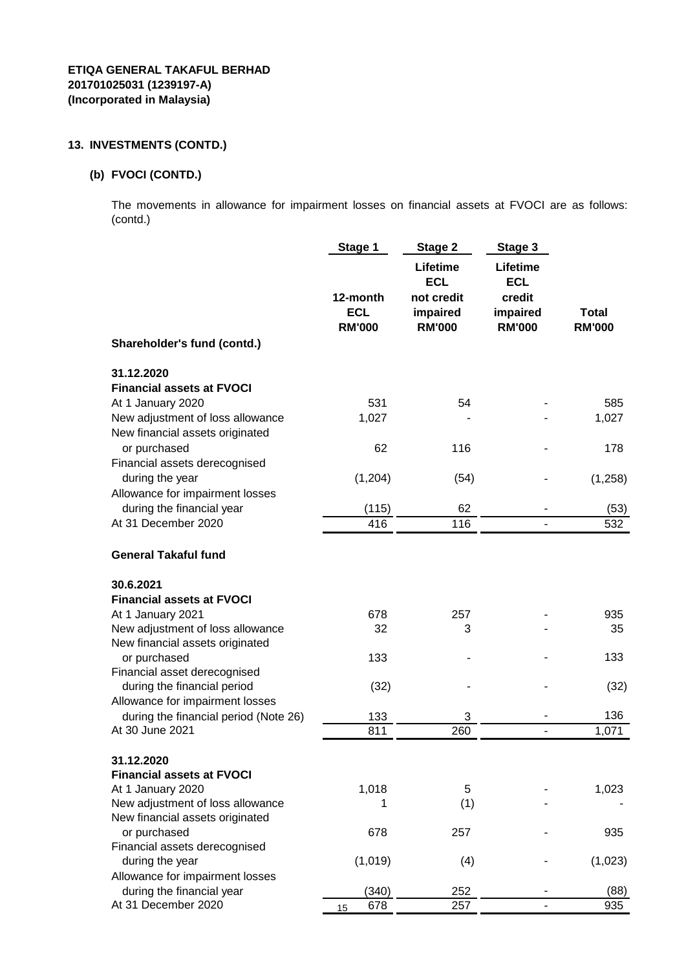# **(b) FVOCI (CONTD.)**

The movements in allowance for impairment losses on financial assets at FVOCI are as follows: (contd.)

|                                                                     | Stage 1                                 | Stage 2                                                           | Stage 3                                                       |                               |
|---------------------------------------------------------------------|-----------------------------------------|-------------------------------------------------------------------|---------------------------------------------------------------|-------------------------------|
|                                                                     | 12-month<br><b>ECL</b><br><b>RM'000</b> | Lifetime<br><b>ECL</b><br>not credit<br>impaired<br><b>RM'000</b> | Lifetime<br><b>ECL</b><br>credit<br>impaired<br><b>RM'000</b> | <b>Total</b><br><b>RM'000</b> |
| Shareholder's fund (contd.)                                         |                                         |                                                                   |                                                               |                               |
| 31.12.2020                                                          |                                         |                                                                   |                                                               |                               |
| <b>Financial assets at FVOCI</b>                                    |                                         |                                                                   |                                                               |                               |
| At 1 January 2020                                                   | 531                                     | 54                                                                |                                                               | 585                           |
| New adjustment of loss allowance<br>New financial assets originated | 1,027                                   |                                                                   |                                                               | 1,027                         |
| or purchased                                                        | 62                                      | 116                                                               |                                                               | 178                           |
| Financial assets derecognised                                       |                                         |                                                                   |                                                               |                               |
| during the year                                                     | (1,204)                                 | (54)                                                              |                                                               | (1,258)                       |
| Allowance for impairment losses                                     |                                         |                                                                   |                                                               |                               |
| during the financial year                                           | (115)                                   | 62                                                                |                                                               | (53)                          |
| At 31 December 2020                                                 | 416                                     | 116                                                               |                                                               | 532                           |
| <b>General Takaful fund</b>                                         |                                         |                                                                   |                                                               |                               |
| 30.6.2021                                                           |                                         |                                                                   |                                                               |                               |
| <b>Financial assets at FVOCI</b>                                    |                                         |                                                                   |                                                               |                               |
| At 1 January 2021                                                   | 678                                     | 257                                                               |                                                               | 935                           |
| New adjustment of loss allowance                                    | 32                                      | 3                                                                 |                                                               | 35                            |
| New financial assets originated                                     |                                         |                                                                   |                                                               |                               |
| or purchased                                                        | 133                                     |                                                                   |                                                               | 133                           |
| Financial asset derecognised<br>during the financial period         | (32)                                    |                                                                   |                                                               | (32)                          |
| Allowance for impairment losses                                     |                                         |                                                                   |                                                               |                               |
| during the financial period (Note 26)                               | 133                                     | 3                                                                 |                                                               | 136                           |
| At 30 June 2021                                                     | 811                                     | 260                                                               |                                                               | 1,071                         |
|                                                                     |                                         |                                                                   |                                                               |                               |
| 31.12.2020<br><b>Financial assets at FVOCI</b>                      |                                         |                                                                   |                                                               |                               |
| At 1 January 2020                                                   | 1,018                                   | 5                                                                 |                                                               | 1,023                         |
| New adjustment of loss allowance                                    | 1                                       | (1)                                                               |                                                               |                               |
| New financial assets originated                                     |                                         |                                                                   |                                                               |                               |
| or purchased                                                        | 678                                     | 257                                                               |                                                               | 935                           |
| Financial assets derecognised                                       |                                         |                                                                   |                                                               |                               |
| during the year                                                     | (1,019)                                 | (4)                                                               |                                                               | (1,023)                       |
| Allowance for impairment losses<br>during the financial year        | (340)                                   | 252                                                               |                                                               | (88)                          |
| At 31 December 2020                                                 | 678<br>15                               | 257                                                               |                                                               | 935                           |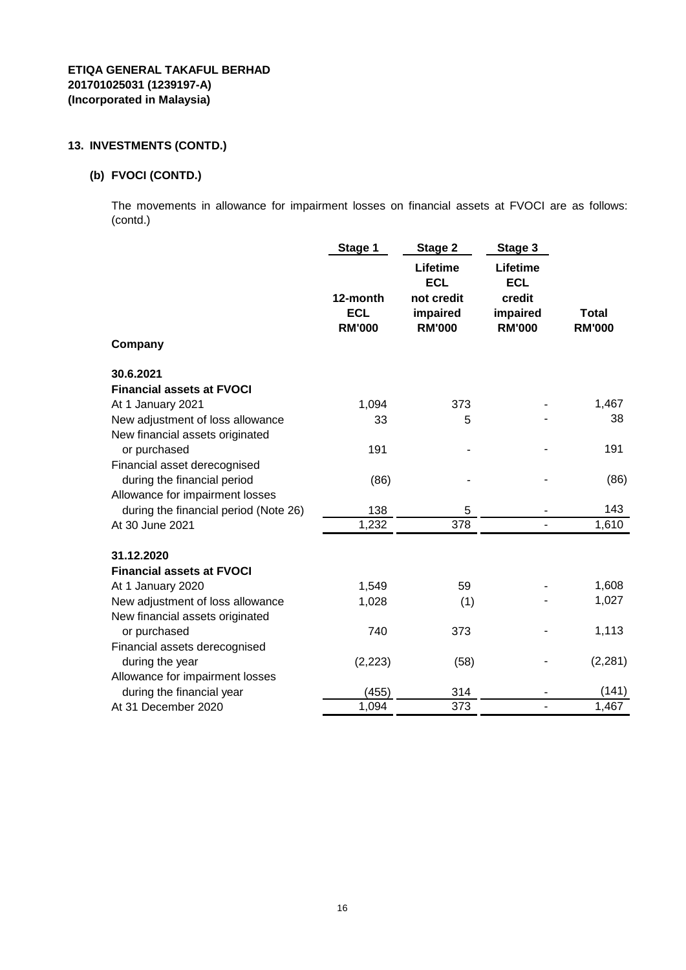### **(b) FVOCI (CONTD.)**

The movements in allowance for impairment losses on financial assets at FVOCI are as follows: (contd.)

|                                       | Stage 1                                 | Stage 2                                                           | Stage 3                                                       |                               |
|---------------------------------------|-----------------------------------------|-------------------------------------------------------------------|---------------------------------------------------------------|-------------------------------|
| Company                               | 12-month<br><b>ECL</b><br><b>RM'000</b> | Lifetime<br><b>ECL</b><br>not credit<br>impaired<br><b>RM'000</b> | Lifetime<br><b>ECL</b><br>credit<br>impaired<br><b>RM'000</b> | <b>Total</b><br><b>RM'000</b> |
| 30.6.2021                             |                                         |                                                                   |                                                               |                               |
| <b>Financial assets at FVOCI</b>      |                                         |                                                                   |                                                               |                               |
| At 1 January 2021                     | 1,094                                   | 373                                                               |                                                               | 1,467                         |
| New adjustment of loss allowance      | 33                                      | 5                                                                 |                                                               | 38                            |
| New financial assets originated       |                                         |                                                                   |                                                               |                               |
| or purchased                          | 191                                     |                                                                   |                                                               | 191                           |
| Financial asset derecognised          |                                         |                                                                   |                                                               |                               |
| during the financial period           | (86)                                    |                                                                   |                                                               | (86)                          |
| Allowance for impairment losses       |                                         |                                                                   |                                                               |                               |
| during the financial period (Note 26) | 138                                     | 5                                                                 |                                                               | 143                           |
| At 30 June 2021                       | 1,232                                   | 378                                                               |                                                               | 1,610                         |
| 31.12.2020                            |                                         |                                                                   |                                                               |                               |
| <b>Financial assets at FVOCI</b>      |                                         |                                                                   |                                                               |                               |
| At 1 January 2020                     | 1,549                                   | 59                                                                |                                                               | 1,608                         |
| New adjustment of loss allowance      | 1,028                                   | (1)                                                               |                                                               | 1,027                         |
| New financial assets originated       |                                         |                                                                   |                                                               |                               |
| or purchased                          | 740                                     | 373                                                               |                                                               | 1,113                         |
| Financial assets derecognised         |                                         |                                                                   |                                                               |                               |
| during the year                       | (2, 223)                                | (58)                                                              |                                                               | (2, 281)                      |
| Allowance for impairment losses       |                                         |                                                                   |                                                               |                               |
| during the financial year             | (455)                                   | 314                                                               |                                                               | (141)                         |
| At 31 December 2020                   | 1,094                                   | 373                                                               | ٠                                                             | 1,467                         |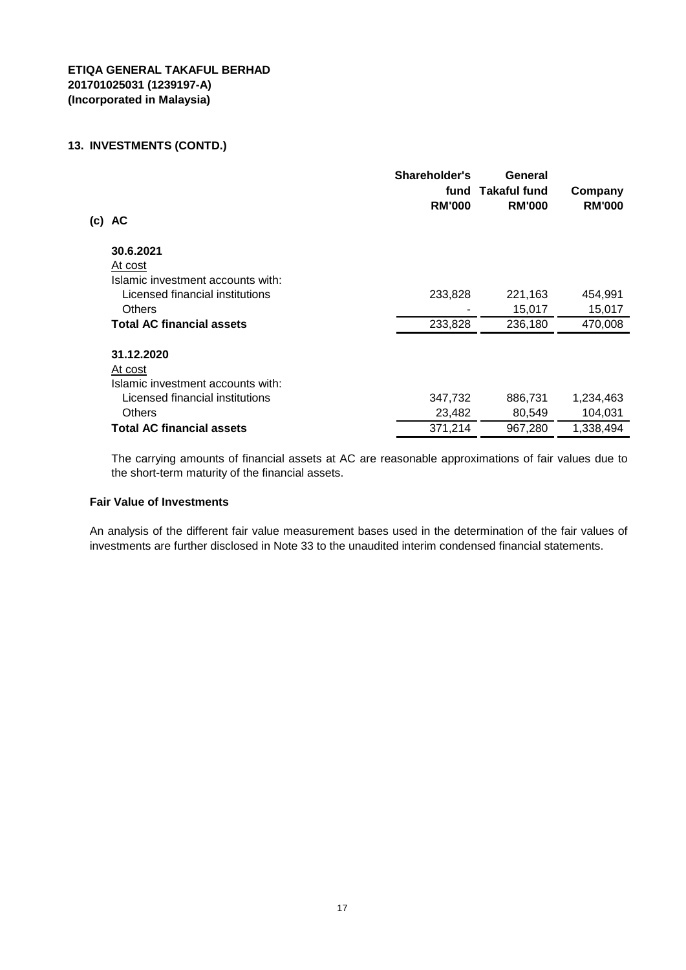| (c) | AC                                | Shareholder's<br>fund<br><b>RM'000</b> | General<br><b>Takaful fund</b><br><b>RM'000</b> | Company<br><b>RM'000</b> |
|-----|-----------------------------------|----------------------------------------|-------------------------------------------------|--------------------------|
|     | 30.6.2021                         |                                        |                                                 |                          |
|     | At cost                           |                                        |                                                 |                          |
|     | Islamic investment accounts with: |                                        |                                                 |                          |
|     | Licensed financial institutions   | 233,828                                | 221,163                                         | 454,991                  |
|     | <b>Others</b>                     |                                        | 15,017                                          | 15,017                   |
|     | <b>Total AC financial assets</b>  | 233,828                                | 236,180                                         | 470,008                  |
|     | 31.12.2020                        |                                        |                                                 |                          |
|     | At cost                           |                                        |                                                 |                          |
|     | Islamic investment accounts with: |                                        |                                                 |                          |
|     | Licensed financial institutions   | 347,732                                | 886,731                                         | 1,234,463                |
|     | <b>Others</b>                     | 23,482                                 | 80,549                                          | 104,031                  |
|     | <b>Total AC financial assets</b>  | 371,214                                | 967,280                                         | 1,338,494                |

The carrying amounts of financial assets at AC are reasonable approximations of fair values due to the short-term maturity of the financial assets.

#### **Fair Value of Investments**

An analysis of the different fair value measurement bases used in the determination of the fair values of investments are further disclosed in Note 33 to the unaudited interim condensed financial statements.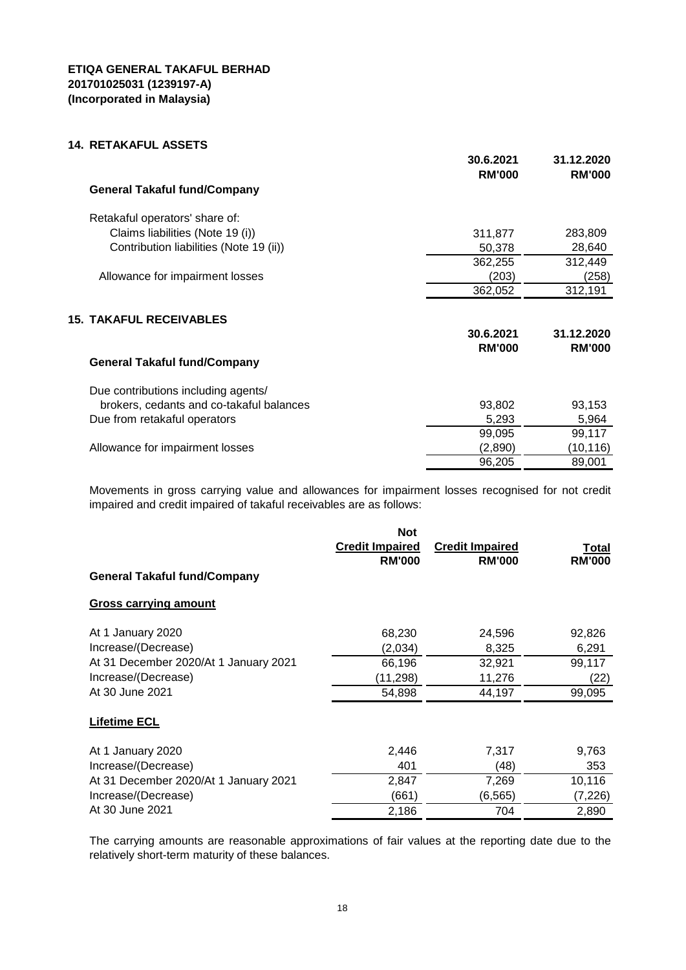## **14. RETAKAFUL ASSETS**

|                                          | 30.6.2021<br><b>RM'000</b> | 31.12.2020<br><b>RM'000</b> |
|------------------------------------------|----------------------------|-----------------------------|
| <b>General Takaful fund/Company</b>      |                            |                             |
| Retakaful operators' share of:           |                            |                             |
| Claims liabilities (Note 19 (i))         | 311,877                    | 283,809                     |
| Contribution liabilities (Note 19 (ii))  | 50,378                     | 28,640                      |
|                                          | 362,255                    | 312,449                     |
| Allowance for impairment losses          | (203)                      | (258)                       |
|                                          | 362,052                    | 312,191                     |
| <b>15. TAKAFUL RECEIVABLES</b>           |                            |                             |
|                                          | 30.6.2021                  | 31.12.2020                  |
|                                          | <b>RM'000</b>              | <b>RM'000</b>               |
| <b>General Takaful fund/Company</b>      |                            |                             |
| Due contributions including agents/      |                            |                             |
| brokers, cedants and co-takaful balances | 93,802                     | 93,153                      |
| Due from retakaful operators             | 5,293                      | 5,964                       |
|                                          | 99,095                     | 99,117                      |
| Allowance for impairment losses          | (2,890)                    | (10, 116)                   |
|                                          | 96,205                     | 89,001                      |

Movements in gross carrying value and allowances for impairment losses recognised for not credit impaired and credit impaired of takaful receivables are as follows:

|                                       | <b>Not</b><br><b>Credit Impaired</b><br><b>RM'000</b> | <b>Credit Impaired</b><br><b>RM'000</b> | Total<br><b>RM'000</b> |
|---------------------------------------|-------------------------------------------------------|-----------------------------------------|------------------------|
| <b>General Takaful fund/Company</b>   |                                                       |                                         |                        |
| <b>Gross carrying amount</b>          |                                                       |                                         |                        |
| At 1 January 2020                     | 68,230                                                | 24,596                                  | 92,826                 |
| Increase/(Decrease)                   | (2,034)                                               | 8,325                                   | 6,291                  |
| At 31 December 2020/At 1 January 2021 | 66,196                                                | 32,921                                  | 99,117                 |
| Increase/(Decrease)                   | (11, 298)                                             | 11,276                                  | (22)                   |
| At 30 June 2021                       | 54,898                                                | 44,197                                  | 99,095                 |
| <b>Lifetime ECL</b>                   |                                                       |                                         |                        |
| At 1 January 2020                     | 2,446                                                 | 7,317                                   | 9,763                  |
| Increase/(Decrease)                   | 401                                                   | (48)                                    | 353                    |
| At 31 December 2020/At 1 January 2021 | 2,847                                                 | 7,269                                   | 10,116                 |
| Increase/(Decrease)                   | (661)                                                 | (6, 565)                                | (7, 226)               |
| At 30 June 2021                       | 2,186                                                 | 704                                     | 2,890                  |

The carrying amounts are reasonable approximations of fair values at the reporting date due to the relatively short-term maturity of these balances.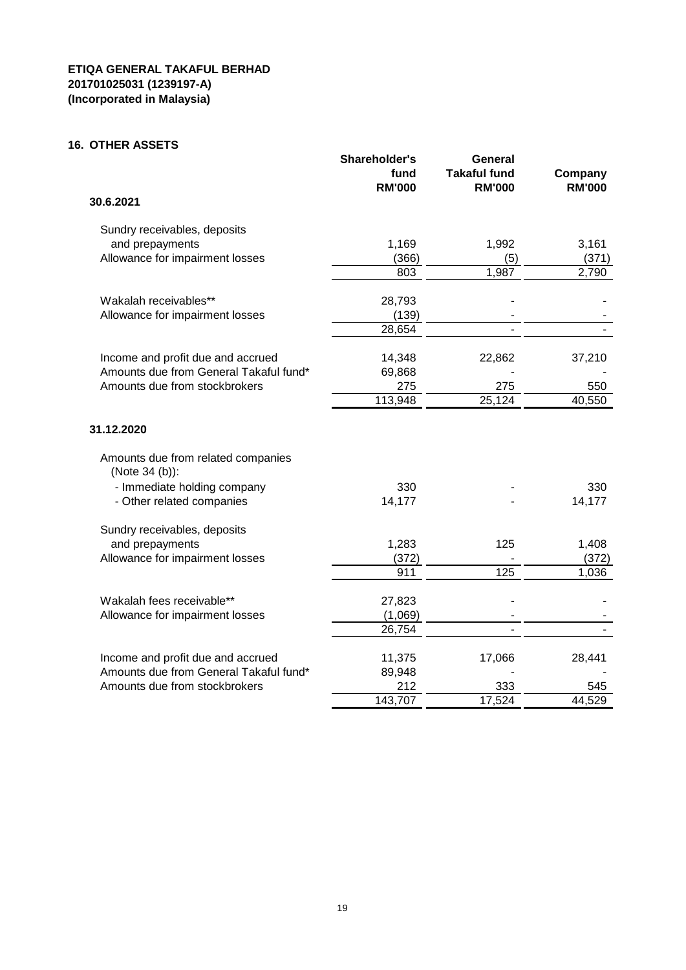# **16. OTHER ASSETS**

|                                                      | Shareholder's<br>fund<br><b>RM'000</b> | General<br><b>Takaful fund</b><br><b>RM'000</b> | Company<br><b>RM'000</b> |
|------------------------------------------------------|----------------------------------------|-------------------------------------------------|--------------------------|
| 30.6.2021                                            |                                        |                                                 |                          |
| Sundry receivables, deposits                         |                                        |                                                 |                          |
| and prepayments                                      | 1,169                                  | 1,992                                           | 3,161                    |
| Allowance for impairment losses                      | (366)                                  | (5)                                             | (371)                    |
|                                                      | 803                                    | 1,987                                           | 2,790                    |
| Wakalah receivables**                                | 28,793                                 |                                                 |                          |
| Allowance for impairment losses                      | (139)                                  |                                                 |                          |
|                                                      | 28,654                                 |                                                 |                          |
| Income and profit due and accrued                    | 14,348                                 | 22,862                                          | 37,210                   |
| Amounts due from General Takaful fund*               | 69,868                                 |                                                 |                          |
| Amounts due from stockbrokers                        | 275                                    | 275                                             | 550                      |
|                                                      | 113,948                                | 25,124                                          | 40,550                   |
| 31.12.2020                                           |                                        |                                                 |                          |
| Amounts due from related companies<br>(Note 34 (b)): |                                        |                                                 |                          |
| - Immediate holding company                          | 330                                    |                                                 | 330                      |
| - Other related companies                            | 14,177                                 |                                                 | 14,177                   |
| Sundry receivables, deposits                         |                                        |                                                 |                          |
| and prepayments                                      | 1,283                                  | 125                                             | 1,408                    |
| Allowance for impairment losses                      | (372)                                  |                                                 | (372)                    |
|                                                      | 911                                    | 125                                             | 1,036                    |
| Wakalah fees receivable**                            | 27,823                                 |                                                 |                          |
| Allowance for impairment losses                      | (1,069)                                |                                                 |                          |
|                                                      | 26,754                                 |                                                 |                          |
| Income and profit due and accrued                    | 11,375                                 | 17,066                                          | 28,441                   |
| Amounts due from General Takaful fund*               | 89,948                                 |                                                 |                          |
| Amounts due from stockbrokers                        | 212                                    | 333                                             | 545                      |
|                                                      | 143,707                                | 17,524                                          | 44,529                   |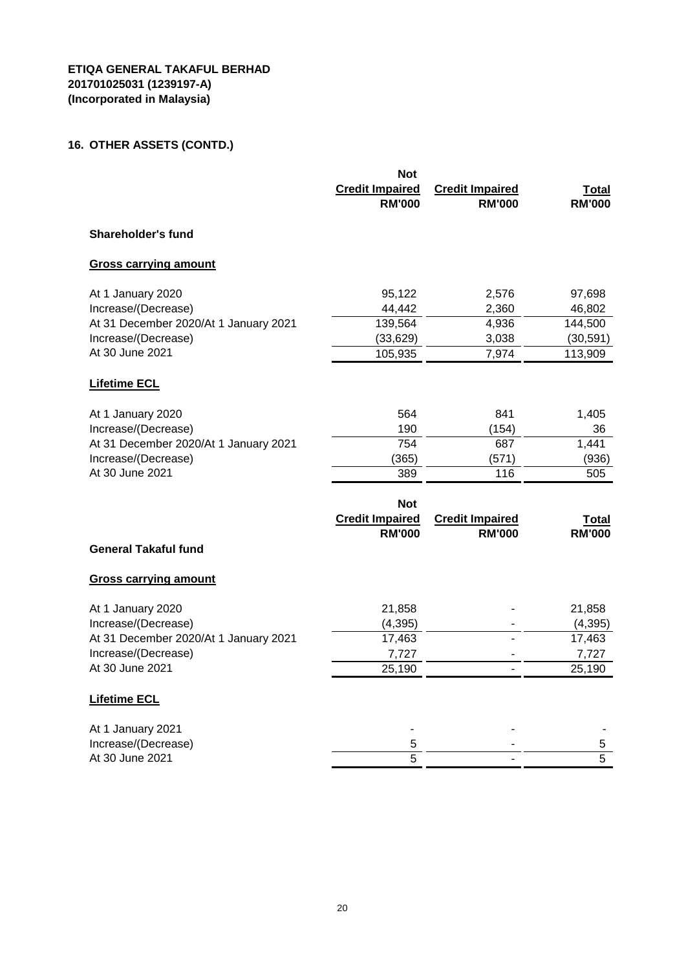# **16. OTHER ASSETS (CONTD.)**

|                                                                                                                             | <b>Not</b><br><b>Credit Impaired</b><br><b>RM'000</b> | <b>Credit Impaired</b><br><b>RM'000</b> | <b>Total</b><br><b>RM'000</b>                   |
|-----------------------------------------------------------------------------------------------------------------------------|-------------------------------------------------------|-----------------------------------------|-------------------------------------------------|
| <b>Shareholder's fund</b>                                                                                                   |                                                       |                                         |                                                 |
| <b>Gross carrying amount</b>                                                                                                |                                                       |                                         |                                                 |
| At 1 January 2020<br>Increase/(Decrease)<br>At 31 December 2020/At 1 January 2021<br>Increase/(Decrease)<br>At 30 June 2021 | 95,122<br>44,442<br>139,564<br>(33, 629)              | 2,576<br>2,360<br>4,936<br>3,038        | 97,698<br>46,802<br>144,500<br>(30, 591)        |
| <b>Lifetime ECL</b>                                                                                                         | 105,935                                               | 7,974                                   | 113,909                                         |
| At 1 January 2020<br>Increase/(Decrease)<br>At 31 December 2020/At 1 January 2021<br>Increase/(Decrease)<br>At 30 June 2021 | 564<br>190<br>754<br>(365)<br>389<br><b>Not</b>       | 841<br>(154)<br>687<br>(571)<br>116     | 1,405<br>36<br>1,441<br>(936)<br>505            |
| <b>General Takaful fund</b>                                                                                                 | <b>Credit Impaired</b><br><b>RM'000</b>               | <b>Credit Impaired</b><br><b>RM'000</b> | <b>Total</b><br><b>RM'000</b>                   |
| <b>Gross carrying amount</b>                                                                                                |                                                       |                                         |                                                 |
| At 1 January 2020<br>Increase/(Decrease)<br>At 31 December 2020/At 1 January 2021<br>Increase/(Decrease)<br>At 30 June 2021 | 21,858<br>(4, 395)<br>17,463<br>7,727<br>25,190       | $\overline{\phantom{0}}$                | 21,858<br>(4, 395)<br>17,463<br>7,727<br>25,190 |
| <b>Lifetime ECL</b>                                                                                                         |                                                       |                                         |                                                 |
| At 1 January 2021<br>Increase/(Decrease)<br>At 30 June 2021                                                                 | 5<br>5                                                |                                         | 5<br>$\overline{5}$                             |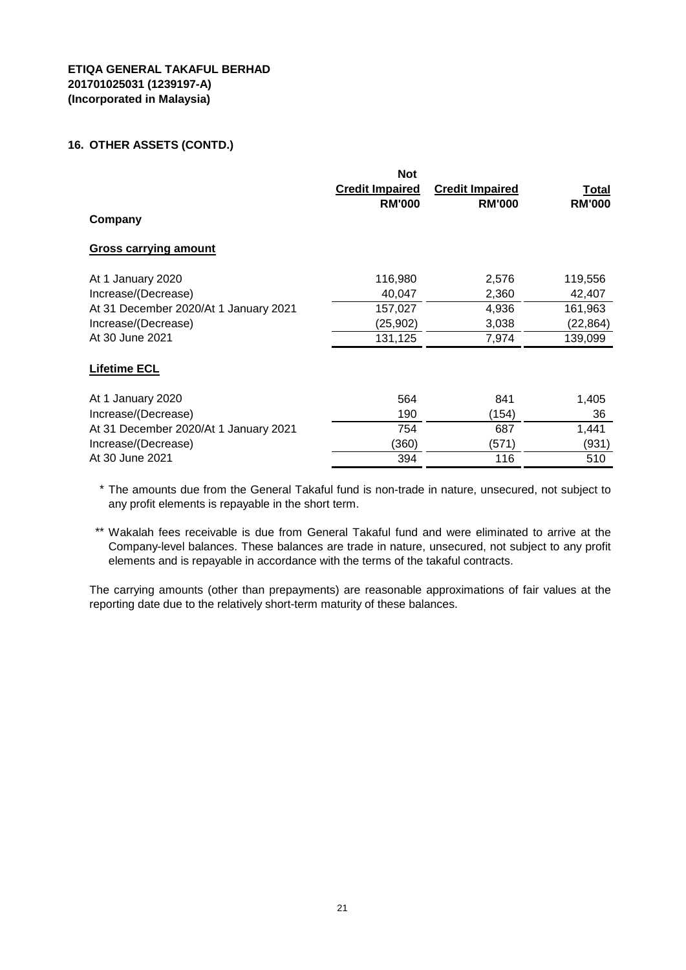#### **16. OTHER ASSETS (CONTD.)**

| Company                               | <b>Not</b><br><b>Credit Impaired</b><br><b>RM'000</b> | <b>Credit Impaired</b><br><b>RM'000</b> | <u>Total</u><br><b>RM'000</b> |
|---------------------------------------|-------------------------------------------------------|-----------------------------------------|-------------------------------|
| <b>Gross carrying amount</b>          |                                                       |                                         |                               |
| At 1 January 2020                     | 116,980                                               | 2,576                                   | 119,556                       |
| Increase/(Decrease)                   | 40,047                                                | 2,360                                   | 42,407                        |
| At 31 December 2020/At 1 January 2021 | 157,027                                               | 4,936                                   | 161,963                       |
| Increase/(Decrease)                   | (25, 902)                                             | 3,038                                   | (22, 864)                     |
| At 30 June 2021                       | 131,125                                               | 7,974                                   | 139,099                       |
| <b>Lifetime ECL</b>                   |                                                       |                                         |                               |
| At 1 January 2020                     | 564                                                   | 841                                     | 1,405                         |
| Increase/(Decrease)                   | 190                                                   | (154)                                   | 36                            |
| At 31 December 2020/At 1 January 2021 | 754                                                   | 687                                     | 1,441                         |
| Increase/(Decrease)                   | (360)                                                 | (571)                                   | (931)                         |
| At 30 June 2021                       | 394                                                   | 116                                     | 510                           |

\* The amounts due from the General Takaful fund is non-trade in nature, unsecured, not subject to any profit elements is repayable in the short term.

\*\* Wakalah fees receivable is due from General Takaful fund and were eliminated to arrive at the Company-level balances. These balances are trade in nature, unsecured, not subject to any profit elements and is repayable in accordance with the terms of the takaful contracts.

The carrying amounts (other than prepayments) are reasonable approximations of fair values at the reporting date due to the relatively short-term maturity of these balances.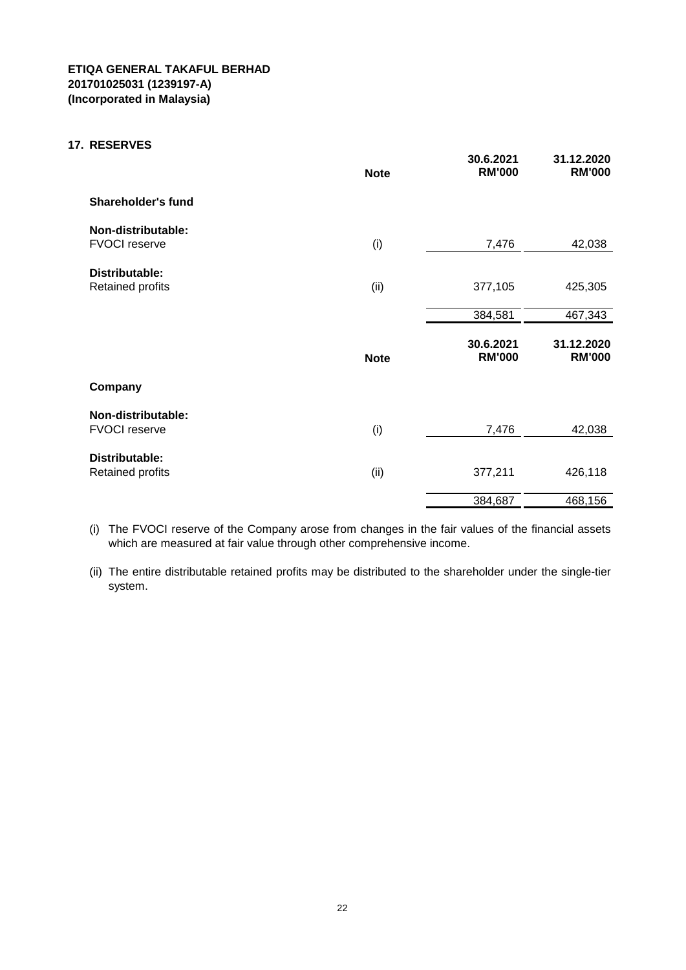#### **17. RESERVES**

|                                            | <b>Note</b> | 30.6.2021<br><b>RM'000</b> | 31.12.2020<br><b>RM'000</b> |
|--------------------------------------------|-------------|----------------------------|-----------------------------|
| <b>Shareholder's fund</b>                  |             |                            |                             |
| Non-distributable:<br><b>FVOCI reserve</b> | (i)         | 7,476                      | 42,038                      |
| Distributable:<br>Retained profits         | (ii)        | 377,105                    | 425,305                     |
|                                            |             | 384,581                    | 467,343                     |
|                                            | <b>Note</b> | 30.6.2021<br><b>RM'000</b> | 31.12.2020<br><b>RM'000</b> |
| Company                                    |             |                            |                             |
| Non-distributable:<br><b>FVOCI reserve</b> | (i)         | 7,476                      | 42,038                      |
| Distributable:<br>Retained profits         | (ii)        | 377,211                    | 426,118                     |
|                                            |             | 384,687                    | 468,156                     |

(i) The FVOCI reserve of the Company arose from changes in the fair values of the financial assets which are measured at fair value through other comprehensive income.

(ii) The entire distributable retained profits may be distributed to the shareholder under the single-tier system.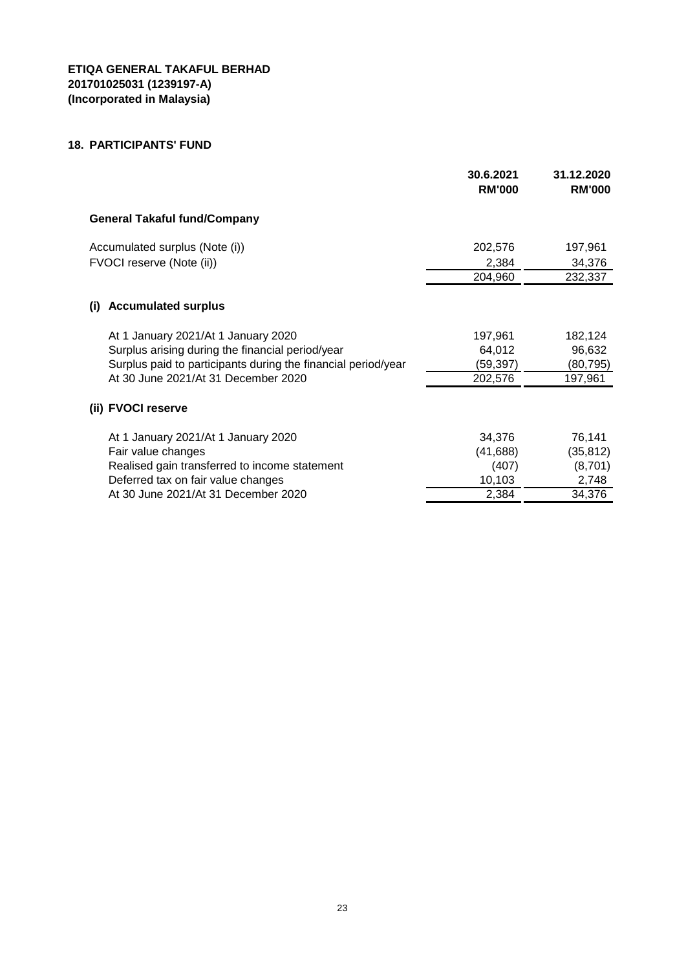## **18. PARTICIPANTS' FUND**

|                                                                                         | 30.6.2021<br><b>RM'000</b> | 31.12.2020<br><b>RM'000</b> |
|-----------------------------------------------------------------------------------------|----------------------------|-----------------------------|
| <b>General Takaful fund/Company</b>                                                     |                            |                             |
| Accumulated surplus (Note (i))<br>FVOCI reserve (Note (ii))                             | 202,576<br>2,384           | 197,961<br>34,376           |
|                                                                                         | 204,960                    | 232,337                     |
| <b>Accumulated surplus</b><br>(i)                                                       |                            |                             |
| At 1 January 2021/At 1 January 2020<br>Surplus arising during the financial period/year | 197,961<br>64,012          | 182,124<br>96,632           |
| Surplus paid to participants during the financial period/year                           | (59, 397)                  | (80,795)                    |
| At 30 June 2021/At 31 December 2020                                                     | 202,576                    | 197,961                     |
| (ii) FVOCI reserve                                                                      |                            |                             |
| At 1 January 2021/At 1 January 2020                                                     | 34,376                     | 76,141                      |
| Fair value changes                                                                      | (41, 688)                  | (35, 812)                   |
| Realised gain transferred to income statement                                           | (407)                      | (8,701)                     |
| Deferred tax on fair value changes                                                      | 10,103                     | 2,748                       |
| At 30 June 2021/At 31 December 2020                                                     | 2,384                      | 34,376                      |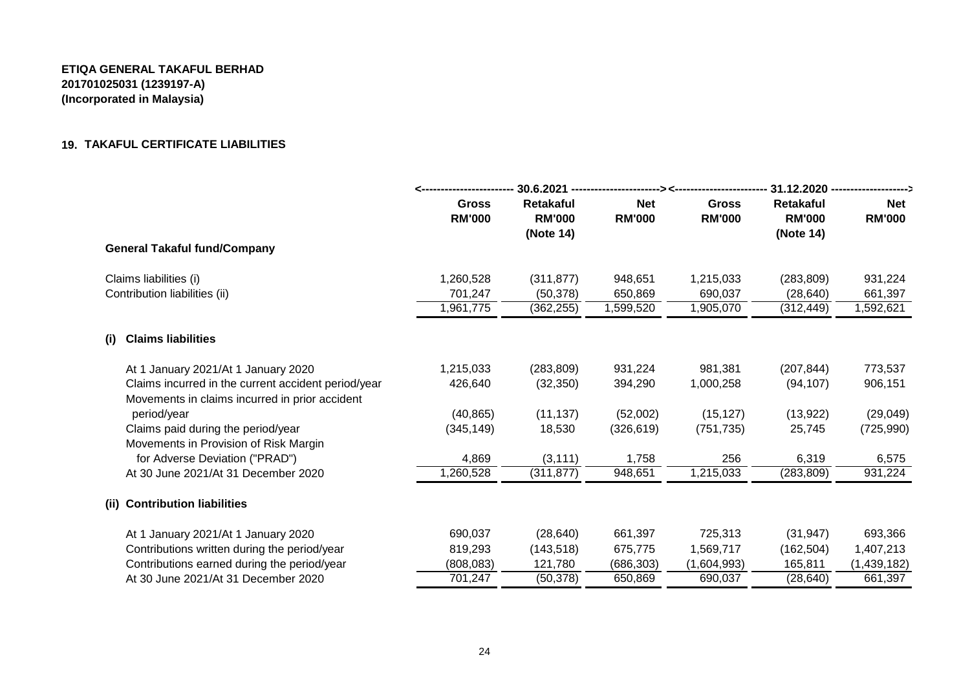# **19. TAKAFUL CERTIFICATE LIABILITIES**

|                                                                                                       |                        | $30.6.2021 -$                                  |                             |                               | 31.12.2020 -------------                       |                             |
|-------------------------------------------------------------------------------------------------------|------------------------|------------------------------------------------|-----------------------------|-------------------------------|------------------------------------------------|-----------------------------|
|                                                                                                       | Gross<br><b>RM'000</b> | <b>Retakaful</b><br><b>RM'000</b><br>(Note 14) | <b>Net</b><br><b>RM'000</b> | <b>Gross</b><br><b>RM'000</b> | <b>Retakaful</b><br><b>RM'000</b><br>(Note 14) | <b>Net</b><br><b>RM'000</b> |
| <b>General Takaful fund/Company</b>                                                                   |                        |                                                |                             |                               |                                                |                             |
| Claims liabilities (i)                                                                                | 1,260,528              | (311, 877)                                     | 948,651                     | 1,215,033                     | (283, 809)                                     | 931,224                     |
| Contribution liabilities (ii)                                                                         | 701,247                | (50, 378)                                      | 650,869                     | 690,037                       | (28, 640)                                      | 661,397                     |
|                                                                                                       | 1,961,775              | (362, 255)                                     | 1,599,520                   | 1,905,070                     | (312, 449)                                     | 1,592,621                   |
| <b>Claims liabilities</b><br>(i)                                                                      |                        |                                                |                             |                               |                                                |                             |
| At 1 January 2021/At 1 January 2020                                                                   | 1,215,033              | (283, 809)                                     | 931,224                     | 981,381                       | (207, 844)                                     | 773,537                     |
| Claims incurred in the current accident period/year<br>Movements in claims incurred in prior accident | 426,640                | (32, 350)                                      | 394,290                     | 1,000,258                     | (94, 107)                                      | 906,151                     |
| period/year                                                                                           | (40, 865)              | (11, 137)                                      | (52,002)                    | (15, 127)                     | (13, 922)                                      | (29, 049)                   |
| Claims paid during the period/year                                                                    | (345, 149)             | 18,530                                         | (326, 619)                  | (751, 735)                    | 25,745                                         | (725, 990)                  |
| Movements in Provision of Risk Margin                                                                 |                        |                                                |                             |                               |                                                |                             |
| for Adverse Deviation ("PRAD")                                                                        | 4,869                  | (3, 111)                                       | 1,758                       | 256                           | 6,319                                          | 6,575                       |
| At 30 June 2021/At 31 December 2020                                                                   | 1,260,528              | (311, 877)                                     | 948,651                     | 1,215,033                     | (283, 809)                                     | 931,224                     |
| <b>Contribution liabilities</b><br>(ii)                                                               |                        |                                                |                             |                               |                                                |                             |
| At 1 January 2021/At 1 January 2020                                                                   | 690,037                | (28, 640)                                      | 661,397                     | 725,313                       | (31, 947)                                      | 693,366                     |
| Contributions written during the period/year                                                          | 819,293                | (143, 518)                                     | 675,775                     | 1,569,717                     | (162, 504)                                     | 1,407,213                   |
| Contributions earned during the period/year                                                           | (808, 083)             | 121,780                                        | (686, 303)                  | (1,604,993)                   | 165,811                                        | (1,439,182)                 |
| At 30 June 2021/At 31 December 2020                                                                   | 701,247                | (50, 378)                                      | 650,869                     | 690,037                       | (28, 640)                                      | 661,397                     |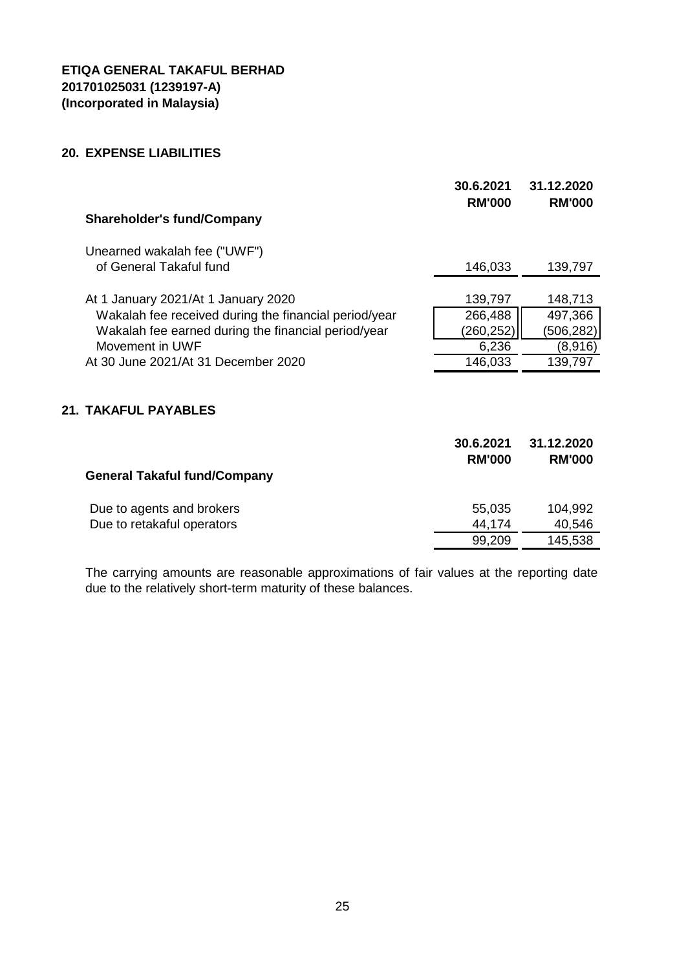## **20. EXPENSE LIABILITIES**

| <b>Shareholder's fund/Company</b>                     | 30.6.2021<br><b>RM'000</b> | 31.12.2020<br><b>RM'000</b> |
|-------------------------------------------------------|----------------------------|-----------------------------|
|                                                       |                            |                             |
| Unearned wakalah fee ("UWF")                          |                            |                             |
| of General Takaful fund                               | 146,033                    | 139,797                     |
|                                                       |                            |                             |
| At 1 January 2021/At 1 January 2020                   | 139,797                    | 148,713                     |
| Wakalah fee received during the financial period/year | 266,488                    | 497,366                     |
| Wakalah fee earned during the financial period/year   | (260, 252)                 | (506, 282)                  |
| Movement in UWF                                       | 6,236                      | (8,916)                     |
| At 30 June 2021/At 31 December 2020                   | 146,033                    | 139,797                     |
|                                                       |                            |                             |
| 21. TAKAFUL PAYABLES                                  |                            |                             |
|                                                       |                            |                             |
|                                                       | 30.6.2021                  | 31.12.2020                  |
|                                                       | <b>RM'000</b>              | <b>RM'000</b>               |
| <b>General Takaful fund/Company</b>                   |                            |                             |
|                                                       |                            |                             |
| Due to agents and brokers                             | 55,035                     | 104,992                     |
| Due to retakaful operators                            | 44,174                     | 40,546                      |
|                                                       | 99,209                     | 145,538                     |
|                                                       |                            |                             |

The carrying amounts are reasonable approximations of fair values at the reporting date due to the relatively short-term maturity of these balances.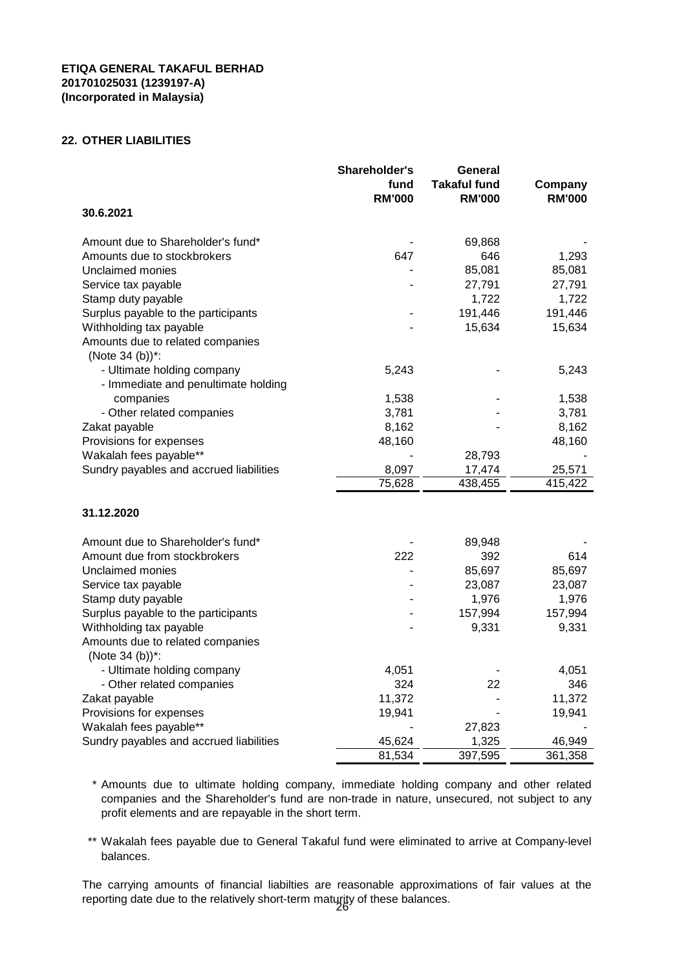#### **22. OTHER LIABILITIES**

|                                                     | Shareholder's<br>fund<br><b>RM'000</b> | General<br>Takaful fund<br><b>RM'000</b> | Company<br><b>RM'000</b> |
|-----------------------------------------------------|----------------------------------------|------------------------------------------|--------------------------|
| 30.6.2021                                           |                                        |                                          |                          |
| Amount due to Shareholder's fund*                   |                                        | 69,868                                   |                          |
| Amounts due to stockbrokers                         | 647                                    | 646                                      | 1,293                    |
| Unclaimed monies                                    |                                        | 85,081                                   | 85,081                   |
| Service tax payable                                 |                                        | 27,791                                   | 27,791                   |
| Stamp duty payable                                  |                                        | 1,722                                    | 1,722                    |
| Surplus payable to the participants                 |                                        | 191,446                                  | 191,446                  |
| Withholding tax payable                             |                                        | 15,634                                   | 15,634                   |
| Amounts due to related companies<br>(Note 34 (b))*: |                                        |                                          |                          |
| - Ultimate holding company                          | 5,243                                  |                                          | 5,243                    |
| - Immediate and penultimate holding                 |                                        |                                          |                          |
| companies                                           | 1,538                                  |                                          | 1,538                    |
| - Other related companies                           | 3,781                                  |                                          | 3,781                    |
| Zakat payable                                       | 8,162                                  |                                          | 8,162                    |
| Provisions for expenses                             | 48,160                                 |                                          | 48,160                   |
| Wakalah fees payable**                              |                                        | 28,793                                   |                          |
| Sundry payables and accrued liabilities             | 8,097                                  | 17,474                                   | 25,571                   |
|                                                     | 75,628                                 | 438,455                                  | 415,422                  |
|                                                     |                                        |                                          |                          |
| 31.12.2020                                          |                                        |                                          |                          |
| Amount due to Shareholder's fund*                   |                                        | 89,948                                   |                          |
| Amount due from stockbrokers                        | 222                                    | 392                                      | 614                      |
| Unclaimed monies                                    |                                        | 85,697                                   | 85,697                   |
| Service tax payable                                 |                                        | 23,087                                   | 23,087                   |
| Stamp duty payable                                  |                                        | 1,976                                    | 1,976                    |
| Surplus payable to the participants                 |                                        | 157,994                                  | 157,994                  |
| Withholding tax payable                             |                                        | 9,331                                    | 9,331                    |
| Amounts due to related companies<br>(Note 34 (b))*: |                                        |                                          |                          |
| - Ultimate holding company                          | 4,051                                  |                                          | 4,051                    |
| - Other related companies                           | 324                                    | 22                                       | 346                      |
| Zakat payable                                       | 11,372                                 |                                          | 11,372                   |
| Provisions for expenses                             | 19,941                                 |                                          | 19,941                   |
| Wakalah fees payable**                              |                                        | 27,823                                   |                          |
| Sundry payables and accrued liabilities             | 45,624                                 | 1,325                                    | 46,949                   |
|                                                     | 81,534                                 | 397,595                                  | 361,358                  |

- \* Amounts due to ultimate holding company, immediate holding company and other related companies and the Shareholder's fund are non-trade in nature, unsecured, not subject to any profit elements and are repayable in the short term.
- \*\* Wakalah fees payable due to General Takaful fund were eliminated to arrive at Company-level balances.

The carrying amounts of financial liabilties are reasonable approximations of fair values at the reporting date due to the relatively short-term maturity of these balances. 26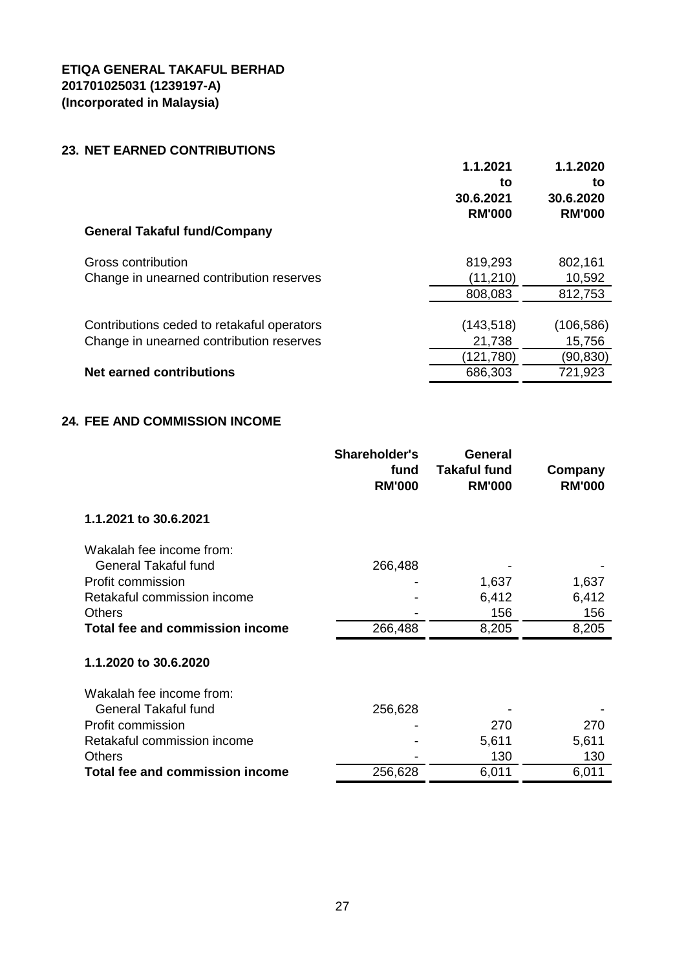# **23. NET EARNED CONTRIBUTIONS**

|                                                                                        | 1.1.2021<br>to<br>30.6.2021<br><b>RM'000</b> | 1.1.2020<br>to<br>30.6.2020<br><b>RM'000</b> |
|----------------------------------------------------------------------------------------|----------------------------------------------|----------------------------------------------|
| <b>General Takaful fund/Company</b>                                                    |                                              |                                              |
| Gross contribution<br>Change in unearned contribution reserves                         | 819,293<br>(11, 210)                         | 802,161<br>10,592                            |
|                                                                                        | 808,083                                      | 812,753                                      |
| Contributions ceded to retakaful operators<br>Change in unearned contribution reserves | (143, 518)                                   | (106, 586)                                   |
|                                                                                        | 21,738<br>121,780                            | 15,756<br>(90,830)                           |
| <b>Net earned contributions</b>                                                        | 686,303                                      | 721,923                                      |
|                                                                                        |                                              |                                              |

# **24. FEE AND COMMISSION INCOME**

|                                 | <b>Shareholder's</b><br>fund<br><b>RM'000</b> | <b>General</b><br><b>Takaful fund</b><br><b>RM'000</b> | Company<br><b>RM'000</b> |
|---------------------------------|-----------------------------------------------|--------------------------------------------------------|--------------------------|
| 1.1.2021 to 30.6.2021           |                                               |                                                        |                          |
| Wakalah fee income from:        |                                               |                                                        |                          |
| <b>General Takaful fund</b>     | 266,488                                       |                                                        |                          |
| Profit commission               |                                               | 1,637                                                  | 1,637                    |
| Retakaful commission income     |                                               | 6,412                                                  | 6,412                    |
| <b>Others</b>                   |                                               | 156                                                    | 156                      |
| Total fee and commission income | 266,488                                       | 8,205                                                  | 8,205                    |
| 1.1.2020 to 30.6.2020           |                                               |                                                        |                          |
| Wakalah fee income from:        |                                               |                                                        |                          |
| <b>General Takaful fund</b>     | 256,628                                       |                                                        |                          |
| Profit commission               |                                               | 270                                                    | 270                      |
| Retakaful commission income     |                                               | 5,611                                                  | 5,611                    |
| <b>Others</b>                   |                                               | 130                                                    | 130                      |
| Total fee and commission income | 256,628                                       | 6,011                                                  | 6,011                    |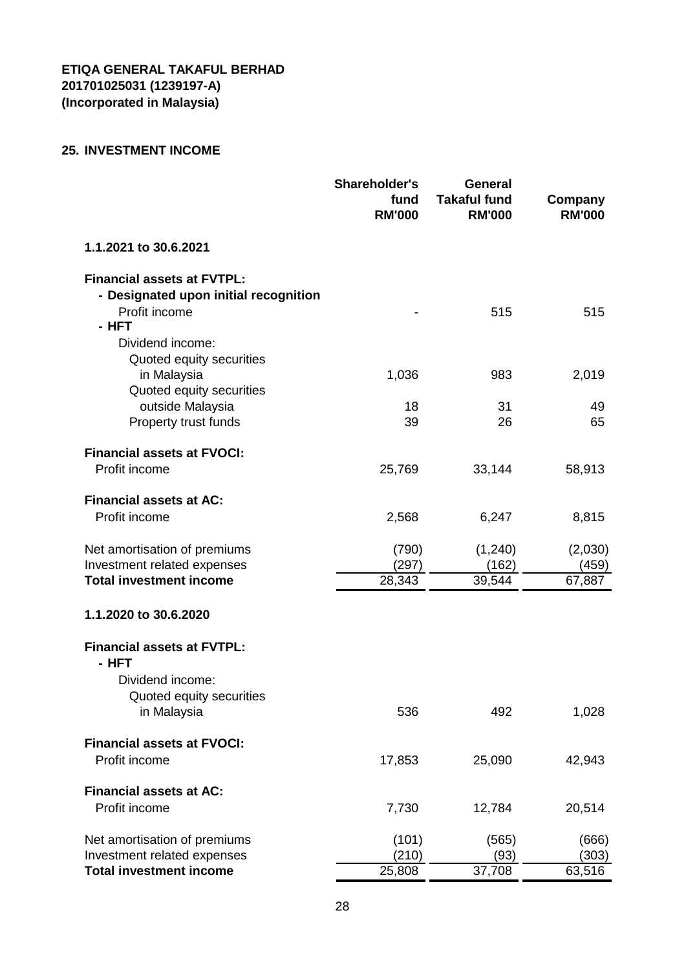# **25. INVESTMENT INCOME**

|                                         | <b>Shareholder's</b><br>fund<br><b>RM'000</b> | <b>General</b><br><b>Takaful fund</b><br><b>RM'000</b> | Company<br><b>RM'000</b> |
|-----------------------------------------|-----------------------------------------------|--------------------------------------------------------|--------------------------|
| 1.1.2021 to 30.6.2021                   |                                               |                                                        |                          |
| <b>Financial assets at FVTPL:</b>       |                                               |                                                        |                          |
| - Designated upon initial recognition   |                                               |                                                        |                          |
| Profit income                           |                                               | 515                                                    | 515                      |
| - HFT                                   |                                               |                                                        |                          |
| Dividend income:                        |                                               |                                                        |                          |
| Quoted equity securities                | 1,036                                         | 983                                                    |                          |
| in Malaysia<br>Quoted equity securities |                                               |                                                        | 2,019                    |
| outside Malaysia                        | 18                                            | 31                                                     | 49                       |
| Property trust funds                    | 39                                            | 26                                                     | 65                       |
|                                         |                                               |                                                        |                          |
| <b>Financial assets at FVOCI:</b>       |                                               |                                                        |                          |
| Profit income                           | 25,769                                        | 33,144                                                 | 58,913                   |
|                                         |                                               |                                                        |                          |
| <b>Financial assets at AC:</b>          |                                               |                                                        |                          |
| Profit income                           | 2,568                                         | 6,247                                                  | 8,815                    |
|                                         |                                               |                                                        |                          |
| Net amortisation of premiums            | (790)                                         | (1, 240)                                               | (2,030)                  |
| Investment related expenses             | (297)                                         | (162)                                                  | (459)                    |
| <b>Total investment income</b>          | 28,343                                        | 39,544                                                 | 67,887                   |
| 1.1.2020 to 30.6.2020                   |                                               |                                                        |                          |
| <b>Financial assets at FVTPL:</b>       |                                               |                                                        |                          |
| - HFT                                   |                                               |                                                        |                          |
| Dividend income:                        |                                               |                                                        |                          |
| Quoted equity securities                |                                               |                                                        |                          |
| in Malaysia                             | 536                                           | 492                                                    | 1,028                    |
| <b>Financial assets at FVOCI:</b>       |                                               |                                                        |                          |
| Profit income                           |                                               |                                                        |                          |
|                                         | 17,853                                        | 25,090                                                 | 42,943                   |
| <b>Financial assets at AC:</b>          |                                               |                                                        |                          |
| Profit income                           | 7,730                                         | 12,784                                                 | 20,514                   |
|                                         |                                               |                                                        |                          |
| Net amortisation of premiums            | (101)                                         | (565)                                                  | (666)                    |
| Investment related expenses             | (210)                                         | (93)                                                   | (303)                    |
| <b>Total investment income</b>          | 25,808                                        | 37,708                                                 | 63,516                   |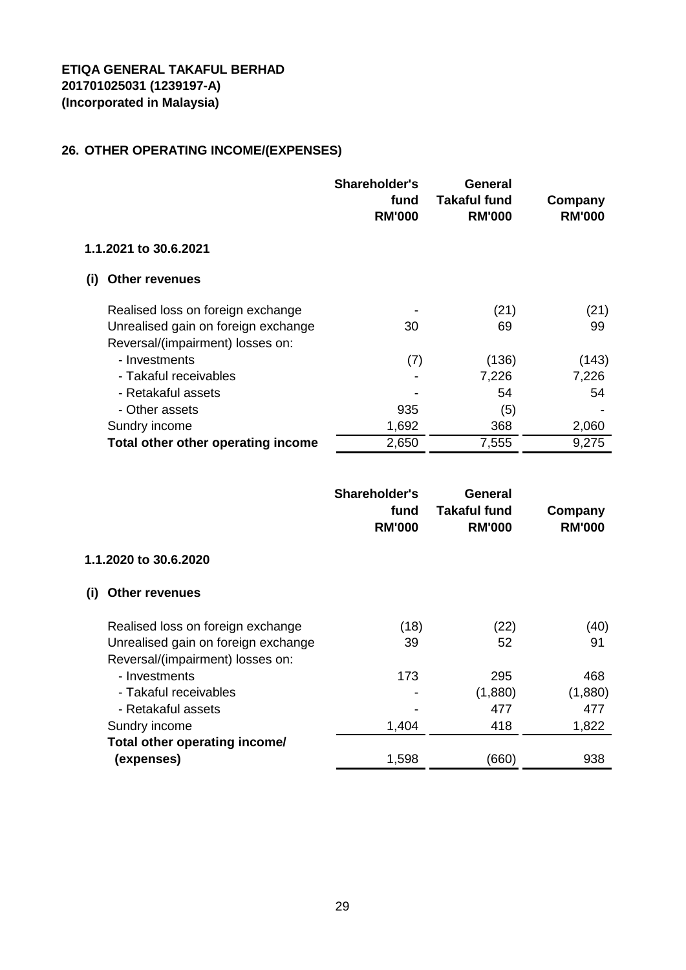# **26. OTHER OPERATING INCOME/(EXPENSES)**

|     |                                     | <b>Shareholder's</b><br>fund<br><b>RM'000</b> | General<br>Takaful fund<br><b>RM'000</b> | Company<br><b>RM'000</b> |
|-----|-------------------------------------|-----------------------------------------------|------------------------------------------|--------------------------|
|     | 1.1.2021 to 30.6.2021               |                                               |                                          |                          |
| (i) | <b>Other revenues</b>               |                                               |                                          |                          |
|     | Realised loss on foreign exchange   |                                               | (21)                                     | (21)                     |
|     | Unrealised gain on foreign exchange | 30                                            | 69                                       | 99                       |
|     | Reversal/(impairment) losses on:    |                                               |                                          |                          |
|     | - Investments                       | (7)                                           | (136)                                    | (143)                    |
|     | - Takaful receivables               |                                               | 7,226                                    | 7,226                    |
|     | - Retakaful assets                  |                                               | 54                                       | 54                       |
|     | - Other assets                      | 935                                           | (5)                                      |                          |
|     | Sundry income                       | 1,692                                         | 368                                      | 2,060                    |
|     | Total other other operating income  | 2,650                                         | 7,555                                    | 9,275                    |

|                              |                                     | Shareholder's<br>fund<br><b>RM'000</b> | General<br><b>Takaful fund</b><br><b>RM'000</b> | Company<br><b>RM'000</b> |
|------------------------------|-------------------------------------|----------------------------------------|-------------------------------------------------|--------------------------|
| 1.1.2020 to 30.6.2020        |                                     |                                        |                                                 |                          |
| <b>Other revenues</b><br>(i) |                                     |                                        |                                                 |                          |
|                              | Realised loss on foreign exchange   | (18)                                   | (22)                                            | (40)                     |
|                              | Unrealised gain on foreign exchange | 39                                     | 52                                              | 91                       |
|                              | Reversal/(impairment) losses on:    |                                        |                                                 |                          |
| - Investments                |                                     | 173                                    | 295                                             | 468                      |
|                              | - Takaful receivables               |                                        | (1,880)                                         | (1,880)                  |
|                              | - Retakaful assets                  |                                        | 477                                             | 477                      |
| Sundry income                |                                     | 1,404                                  | 418                                             | 1,822                    |
|                              | Total other operating income/       |                                        |                                                 |                          |
| (expenses)                   |                                     | 1,598                                  | (660)                                           | 938                      |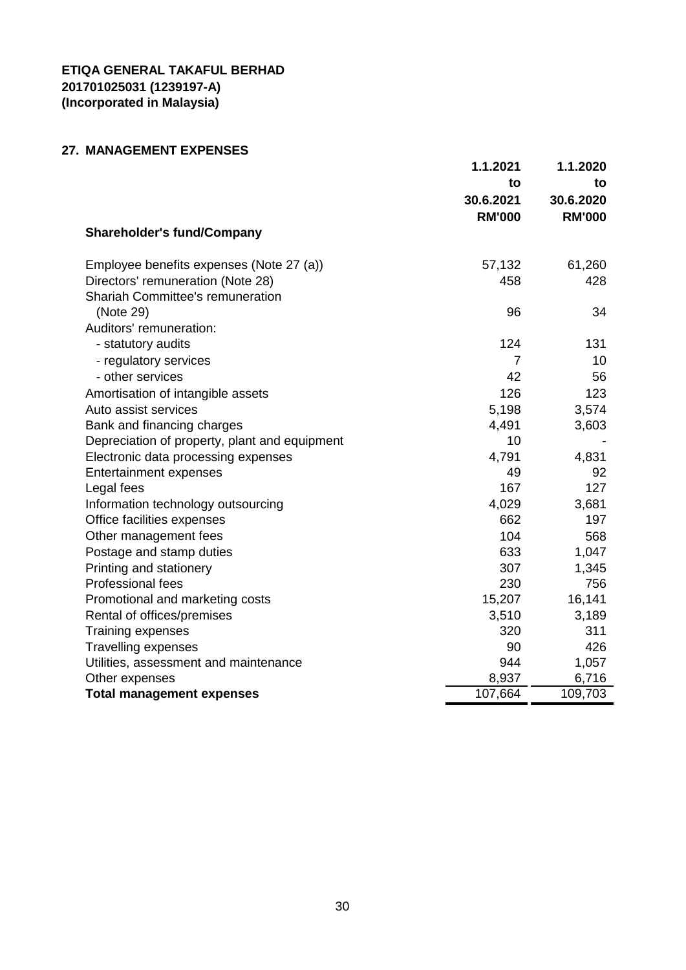# **27. MANAGEMENT EXPENSES**

|                                               | 1.1.2021       | 1.1.2020      |
|-----------------------------------------------|----------------|---------------|
|                                               | to             | to            |
|                                               | 30.6.2021      | 30.6.2020     |
|                                               | <b>RM'000</b>  | <b>RM'000</b> |
| <b>Shareholder's fund/Company</b>             |                |               |
| Employee benefits expenses (Note 27 (a))      | 57,132         | 61,260        |
| Directors' remuneration (Note 28)             | 458            | 428           |
| <b>Shariah Committee's remuneration</b>       |                |               |
| (Note 29)                                     | 96             | 34            |
| Auditors' remuneration:                       |                |               |
| - statutory audits                            | 124            | 131           |
| - regulatory services                         | $\overline{7}$ | 10            |
| - other services                              | 42             | 56            |
| Amortisation of intangible assets             | 126            | 123           |
| Auto assist services                          | 5,198          | 3,574         |
| Bank and financing charges                    | 4,491          | 3,603         |
| Depreciation of property, plant and equipment | 10             |               |
| Electronic data processing expenses           | 4,791          | 4,831         |
| <b>Entertainment expenses</b>                 | 49             | 92            |
| Legal fees                                    | 167            | 127           |
| Information technology outsourcing            | 4,029          | 3,681         |
| Office facilities expenses                    | 662            | 197           |
| Other management fees                         | 104            | 568           |
| Postage and stamp duties                      | 633            | 1,047         |
| Printing and stationery                       | 307            | 1,345         |
| <b>Professional fees</b>                      | 230            | 756           |
| Promotional and marketing costs               | 15,207         | 16,141        |
| Rental of offices/premises                    | 3,510          | 3,189         |
| <b>Training expenses</b>                      | 320            | 311           |
| <b>Travelling expenses</b>                    | 90             | 426           |
| Utilities, assessment and maintenance         | 944            | 1,057         |
| Other expenses                                | 8,937          | 6,716         |
| <b>Total management expenses</b>              | 107,664        | 109,703       |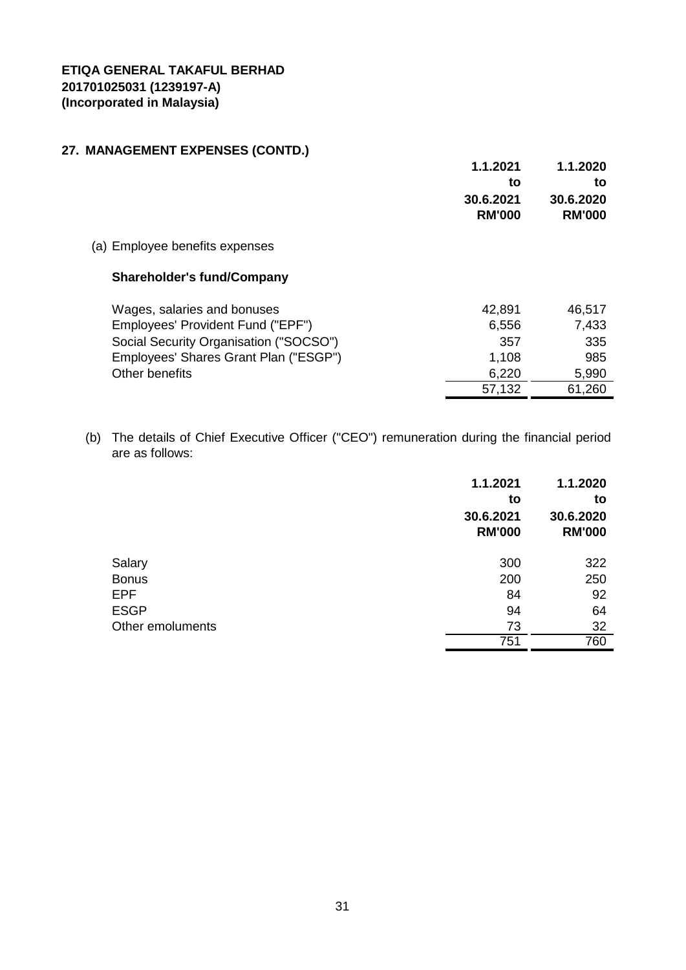# **27. MANAGEMENT EXPENSES (CONTD.)**

|                                                                  | 1.1.2021<br>to<br>30.6.2021<br><b>RM'000</b> | 1.1.2020<br>to<br>30.6.2020<br><b>RM'000</b> |
|------------------------------------------------------------------|----------------------------------------------|----------------------------------------------|
| (a) Employee benefits expenses                                   |                                              |                                              |
| <b>Shareholder's fund/Company</b>                                |                                              |                                              |
| Wages, salaries and bonuses<br>Employees' Provident Fund ("EPF") | 42,891<br>6,556                              | 46,517<br>7,433                              |
| Social Security Organisation ("SOCSO")                           | 357                                          | 335                                          |
| Employees' Shares Grant Plan ("ESGP")                            | 1,108                                        | 985                                          |
| Other benefits                                                   | 6,220                                        | 5,990                                        |
|                                                                  | 57,132                                       | 61,260                                       |

(b) The details of Chief Executive Officer ("CEO") remuneration during the financial period are as follows:

|                  | 1.1.2021<br>to             | 1.1.2020<br>to             |
|------------------|----------------------------|----------------------------|
|                  | 30.6.2021<br><b>RM'000</b> | 30.6.2020<br><b>RM'000</b> |
| Salary           | 300                        | 322                        |
| <b>Bonus</b>     | 200                        | 250                        |
| <b>EPF</b>       | 84                         | 92                         |
| <b>ESGP</b>      | 94                         | 64                         |
| Other emoluments | 73                         | 32                         |
|                  | 751                        | 760                        |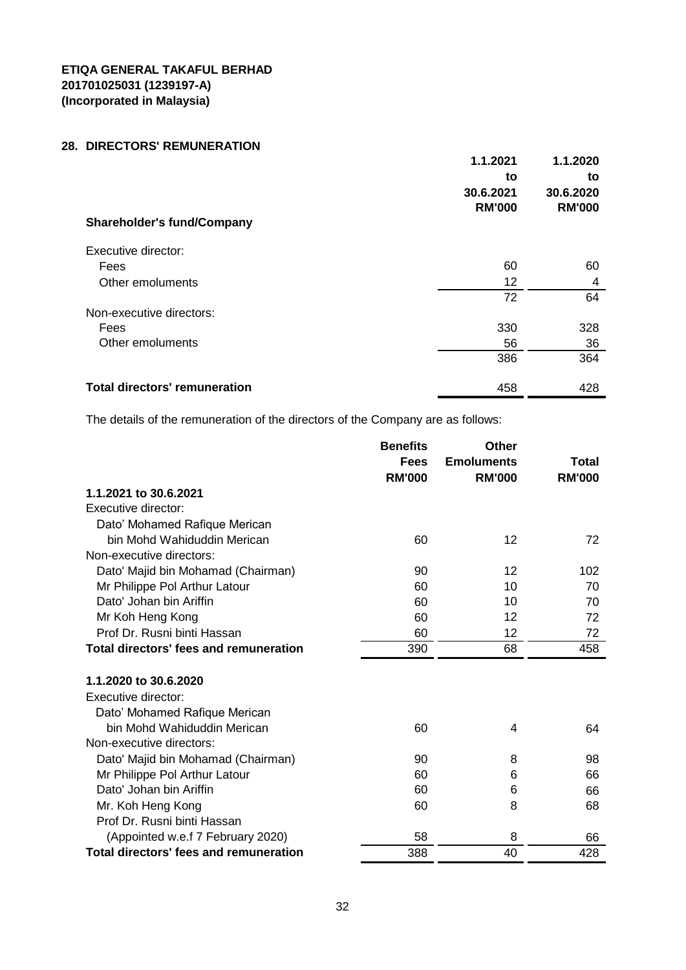# **28. DIRECTORS' REMUNERATION**

|                                      | 1.1.2021<br>to<br>30.6.2021 | 1.1.2020<br>to<br>30.6.2020 |
|--------------------------------------|-----------------------------|-----------------------------|
| <b>Shareholder's fund/Company</b>    | <b>RM'000</b>               | <b>RM'000</b>               |
| Executive director:                  |                             |                             |
| Fees                                 | 60                          | 60                          |
| Other emoluments                     | 12                          | 4                           |
|                                      | 72                          | 64                          |
| Non-executive directors:             |                             |                             |
| Fees                                 | 330                         | 328                         |
| Other emoluments                     | 56                          | 36                          |
|                                      | 386                         | 364                         |
| <b>Total directors' remuneration</b> | 458                         | 428                         |

The details of the remuneration of the directors of the Company are as follows:

|                                               | <b>Benefits</b> | <b>Other</b>      |               |
|-----------------------------------------------|-----------------|-------------------|---------------|
|                                               | <b>Fees</b>     | <b>Emoluments</b> | Total         |
|                                               | <b>RM'000</b>   | <b>RM'000</b>     | <b>RM'000</b> |
| 1.1.2021 to 30.6.2021                         |                 |                   |               |
| Executive director:                           |                 |                   |               |
| Dato' Mohamed Rafique Merican                 |                 |                   |               |
| bin Mohd Wahiduddin Merican                   | 60              | 12                | 72            |
| Non-executive directors:                      |                 |                   |               |
| Dato' Majid bin Mohamad (Chairman)            | 90              | 12                | 102           |
| Mr Philippe Pol Arthur Latour                 | 60              | 10                | 70            |
| Dato' Johan bin Ariffin                       | 60              | 10                | 70            |
| Mr Koh Heng Kong                              | 60              | 12                | 72            |
| Prof Dr. Rusni binti Hassan                   | 60              | 12                | 72            |
| Total directors' fees and remuneration        | 390             | 68                | 458           |
|                                               |                 |                   |               |
| 1.1.2020 to 30.6.2020                         |                 |                   |               |
| Executive director:                           |                 |                   |               |
| Dato' Mohamed Rafique Merican                 |                 |                   |               |
| bin Mohd Wahiduddin Merican                   | 60              | 4                 | 64            |
| Non-executive directors:                      |                 |                   |               |
| Dato' Majid bin Mohamad (Chairman)            | 90              | 8                 | 98            |
| Mr Philippe Pol Arthur Latour                 | 60              | 6                 | 66            |
| Dato' Johan bin Ariffin                       | 60              | 6                 | 66            |
| Mr. Koh Heng Kong                             | 60              | 8                 | 68            |
| Prof Dr. Rusni binti Hassan                   |                 |                   |               |
| (Appointed w.e.f 7 February 2020)             | 58              | 8                 | 66            |
| <b>Total directors' fees and remuneration</b> | 388             | 40                | 428           |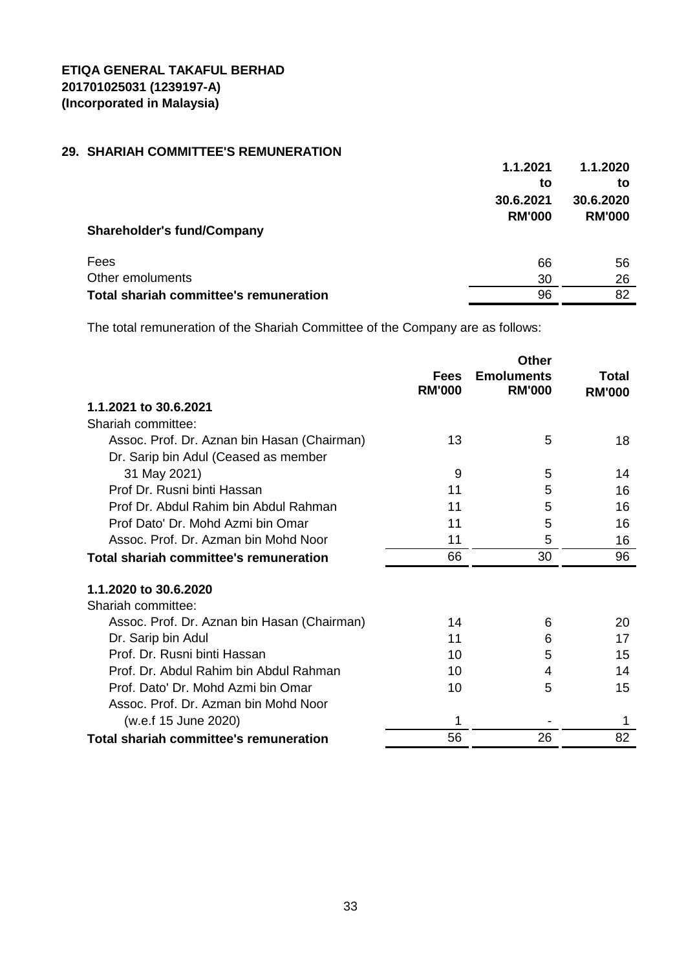# **29. SHARIAH COMMITTEE'S REMUNERATION**

|                                               | 1.1.2021      | 1.1.2020      |
|-----------------------------------------------|---------------|---------------|
|                                               | to            | to            |
|                                               | 30.6.2021     | 30.6.2020     |
|                                               | <b>RM'000</b> | <b>RM'000</b> |
| <b>Shareholder's fund/Company</b>             |               |               |
|                                               |               |               |
| Fees                                          | 66            | 56            |
| Other emoluments                              | 30            | 26            |
| <b>Total shariah committee's remuneration</b> | 96            | 82            |

The total remuneration of the Shariah Committee of the Company are as follows:

|                                               |                              | <b>Other</b>                       |                        |
|-----------------------------------------------|------------------------------|------------------------------------|------------------------|
|                                               | <b>Fees</b><br><b>RM'000</b> | <b>Emoluments</b><br><b>RM'000</b> | Total<br><b>RM'000</b> |
| 1.1.2021 to 30.6.2021                         |                              |                                    |                        |
| Shariah committee:                            |                              |                                    |                        |
| Assoc. Prof. Dr. Aznan bin Hasan (Chairman)   | 13                           | 5                                  | 18                     |
| Dr. Sarip bin Adul (Ceased as member          |                              |                                    |                        |
| 31 May 2021)                                  | 9                            | 5                                  | 14                     |
| Prof Dr. Rusni binti Hassan                   | 11                           | 5                                  | 16                     |
| Prof Dr. Abdul Rahim bin Abdul Rahman         | 11                           | 5                                  | 16                     |
| Prof Dato' Dr. Mohd Azmi bin Omar             | 11                           | 5                                  | 16                     |
| Assoc. Prof. Dr. Azman bin Mohd Noor          | 11                           | 5                                  | 16                     |
| Total shariah committee's remuneration        | 66                           | 30                                 | 96                     |
| 1.1.2020 to 30.6.2020                         |                              |                                    |                        |
| Shariah committee:                            |                              |                                    |                        |
| Assoc. Prof. Dr. Aznan bin Hasan (Chairman)   | 14                           | 6                                  | 20                     |
| Dr. Sarip bin Adul                            | 11                           | 6                                  | 17                     |
| Prof. Dr. Rusni binti Hassan                  | 10                           | 5                                  | 15                     |
| Prof. Dr. Abdul Rahim bin Abdul Rahman        | 10                           | 4                                  | 14                     |
| Prof. Dato' Dr. Mohd Azmi bin Omar            | 10                           | 5                                  | 15                     |
| Assoc. Prof. Dr. Azman bin Mohd Noor          |                              |                                    |                        |
| (w.e.f 15 June 2020)                          |                              |                                    | 1                      |
| <b>Total shariah committee's remuneration</b> | 56                           | 26                                 | 82                     |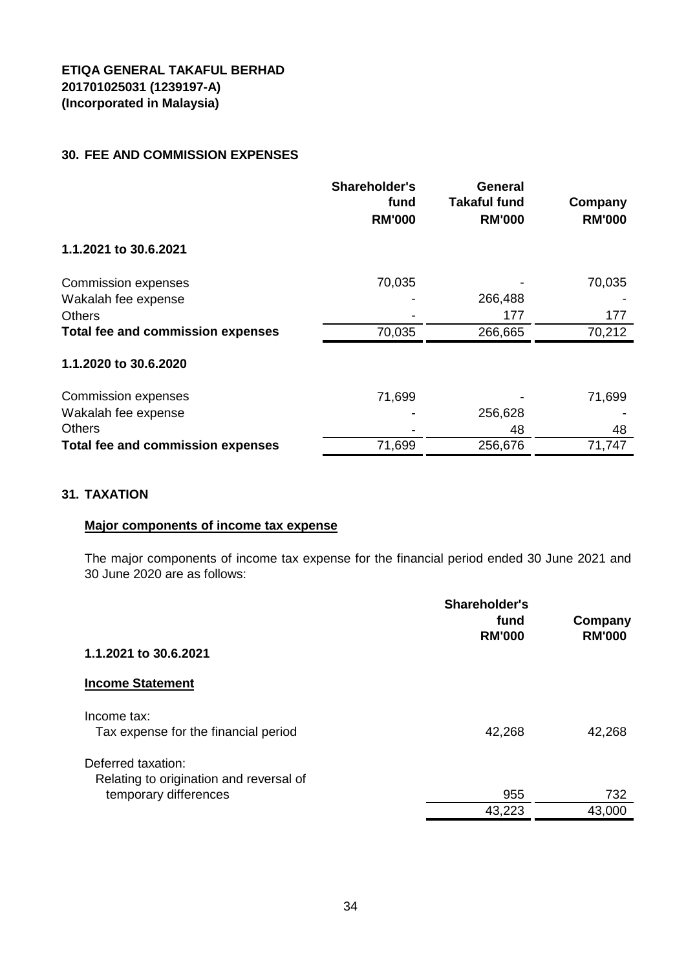# **30. FEE AND COMMISSION EXPENSES**

|                                   | <b>Shareholder's</b><br>fund<br><b>RM'000</b> | <b>General</b><br><b>Takaful fund</b><br><b>RM'000</b> | Company<br><b>RM'000</b> |
|-----------------------------------|-----------------------------------------------|--------------------------------------------------------|--------------------------|
| 1.1.2021 to 30.6.2021             |                                               |                                                        |                          |
| <b>Commission expenses</b>        | 70,035                                        |                                                        | 70,035                   |
| Wakalah fee expense               |                                               | 266,488                                                |                          |
| <b>Others</b>                     |                                               | 177                                                    | 177                      |
| Total fee and commission expenses | 70,035                                        | 266,665                                                | 70,212                   |
| 1.1.2020 to 30.6.2020             |                                               |                                                        |                          |
| <b>Commission expenses</b>        | 71,699                                        |                                                        | 71,699                   |
| Wakalah fee expense               |                                               | 256,628                                                |                          |
| <b>Others</b>                     |                                               | 48                                                     | 48                       |
| Total fee and commission expenses | 71,699                                        | 256,676                                                | 71,747                   |

# **31. TAXATION**

# **Major components of income tax expense**

The major components of income tax expense for the financial period ended 30 June 2021 and 30 June 2020 are as follows:

|                                                               | Shareholder's<br>fund<br><b>RM'000</b> | Company<br><b>RM'000</b> |
|---------------------------------------------------------------|----------------------------------------|--------------------------|
| 1.1.2021 to 30.6.2021                                         |                                        |                          |
| <b>Income Statement</b>                                       |                                        |                          |
| Income tax:<br>Tax expense for the financial period           | 42,268                                 | 42,268                   |
| Deferred taxation:<br>Relating to origination and reversal of |                                        |                          |
| temporary differences                                         | 955                                    | 732                      |
|                                                               | 43,223                                 | 43,000                   |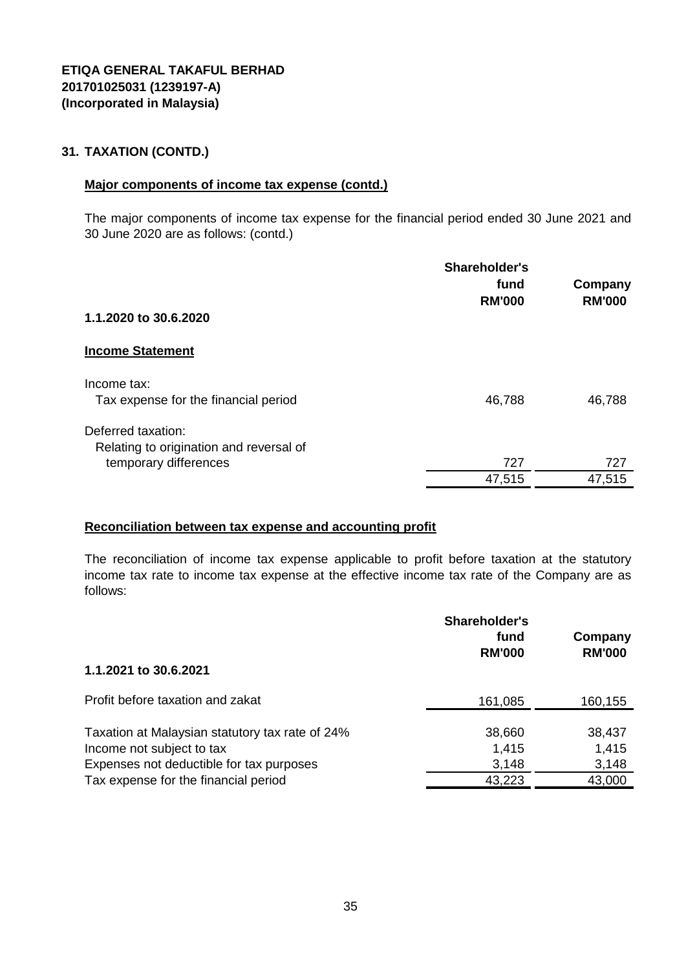# **31. TAXATION (CONTD.)**

#### **Major components of income tax expense (contd.)**

The major components of income tax expense for the financial period ended 30 June 2021 and 30 June 2020 are as follows: (contd.)

|                                         | Shareholder's<br>fund<br><b>RM'000</b> | Company<br><b>RM'000</b> |
|-----------------------------------------|----------------------------------------|--------------------------|
| 1.1.2020 to 30.6.2020                   |                                        |                          |
| <b>Income Statement</b>                 |                                        |                          |
| Income tax:                             |                                        |                          |
| Tax expense for the financial period    | 46,788                                 | 46,788                   |
| Deferred taxation:                      |                                        |                          |
| Relating to origination and reversal of |                                        |                          |
| temporary differences                   | 727                                    | 727                      |
|                                         | 47,515                                 | 47,515                   |

#### **Reconciliation between tax expense and accounting profit**

The reconciliation of income tax expense applicable to profit before taxation at the statutory income tax rate to income tax expense at the effective income tax rate of the Company are as follows:

| 1.1.2021 to 30.6.2021                                                                                                                                            | Shareholder's<br>fund<br><b>RM'000</b> | Company<br><b>RM'000</b>           |
|------------------------------------------------------------------------------------------------------------------------------------------------------------------|----------------------------------------|------------------------------------|
| Profit before taxation and zakat                                                                                                                                 | 161,085                                | 160,155                            |
| Taxation at Malaysian statutory tax rate of 24%<br>Income not subject to tax<br>Expenses not deductible for tax purposes<br>Tax expense for the financial period | 38,660<br>1,415<br>3,148<br>43,223     | 38,437<br>1,415<br>3,148<br>43,000 |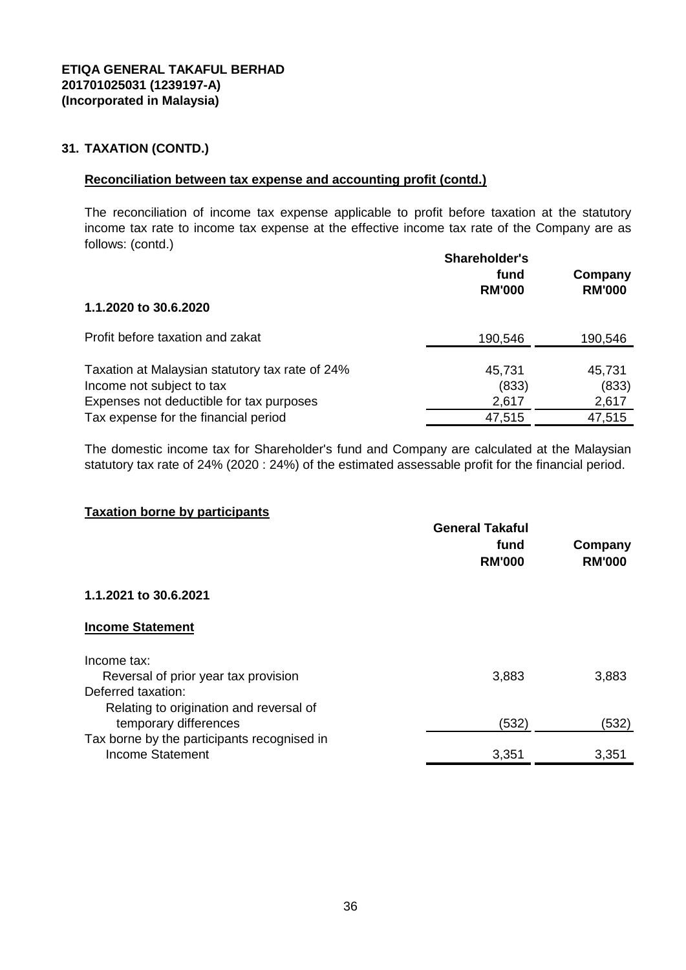# **31. TAXATION (CONTD.)**

#### **Reconciliation between tax expense and accounting profit (contd.)**

The reconciliation of income tax expense applicable to profit before taxation at the statutory income tax rate to income tax expense at the effective income tax rate of the Company are as follows: (contd.)

|                                                                              | Shareholder's<br>fund<br><b>RM'000</b> | Company<br><b>RM'000</b> |
|------------------------------------------------------------------------------|----------------------------------------|--------------------------|
| 1.1.2020 to 30.6.2020                                                        |                                        |                          |
| Profit before taxation and zakat                                             | 190,546                                | 190,546                  |
| Taxation at Malaysian statutory tax rate of 24%<br>Income not subject to tax | 45,731<br>(833)                        | 45,731<br>(833)          |
| Expenses not deductible for tax purposes                                     | 2,617                                  | 2,617                    |
| Tax expense for the financial period                                         | 47,515                                 | 47,515                   |

The domestic income tax for Shareholder's fund and Company are calculated at the Malaysian statutory tax rate of 24% (2020 : 24%) of the estimated assessable profit for the financial period.

#### **Taxation borne by participants**

|                                             | <b>General Takaful</b> |                          |
|---------------------------------------------|------------------------|--------------------------|
|                                             | fund<br><b>RM'000</b>  | Company<br><b>RM'000</b> |
| 1.1.2021 to 30.6.2021                       |                        |                          |
| <b>Income Statement</b>                     |                        |                          |
| Income tax:                                 |                        |                          |
| Reversal of prior year tax provision        | 3,883                  | 3,883                    |
| Deferred taxation:                          |                        |                          |
| Relating to origination and reversal of     |                        |                          |
| temporary differences                       | (532)                  | (532)                    |
| Tax borne by the participants recognised in |                        |                          |
| Income Statement                            | 3,351                  | 3,351                    |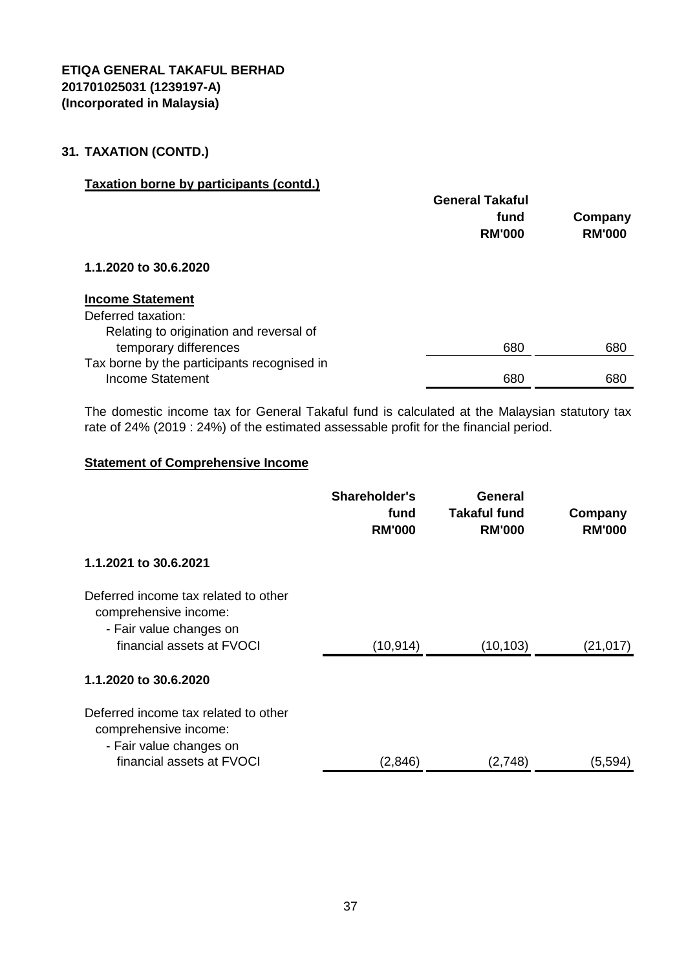# **31. TAXATION (CONTD.)**

# **Taxation borne by participants (contd.)**

|                                             | <b>General Takaful</b> |               |
|---------------------------------------------|------------------------|---------------|
|                                             | fund                   | Company       |
|                                             | <b>RM'000</b>          | <b>RM'000</b> |
| 1.1.2020 to 30.6.2020                       |                        |               |
| <b>Income Statement</b>                     |                        |               |
| Deferred taxation:                          |                        |               |
| Relating to origination and reversal of     |                        |               |
| temporary differences                       | 680                    | 680           |
| Tax borne by the participants recognised in |                        |               |
| Income Statement                            | 680                    | 680           |

The domestic income tax for General Takaful fund is calculated at the Malaysian statutory tax rate of 24% (2019 : 24%) of the estimated assessable profit for the financial period.

### **Statement of Comprehensive Income**

|                                                                                                                       | Shareholder's<br>fund<br><b>RM'000</b> | <b>General</b><br><b>Takaful fund</b><br><b>RM'000</b> | Company<br><b>RM'000</b> |
|-----------------------------------------------------------------------------------------------------------------------|----------------------------------------|--------------------------------------------------------|--------------------------|
| 1.1.2021 to 30.6.2021                                                                                                 |                                        |                                                        |                          |
| Deferred income tax related to other<br>comprehensive income:<br>- Fair value changes on<br>financial assets at FVOCI | (10, 914)                              | (10, 103)                                              | (21, 017)                |
| 1.1.2020 to 30.6.2020                                                                                                 |                                        |                                                        |                          |
| Deferred income tax related to other<br>comprehensive income:<br>- Fair value changes on<br>financial assets at FVOCI | (2,846)                                | (2,748)                                                | (5,594)                  |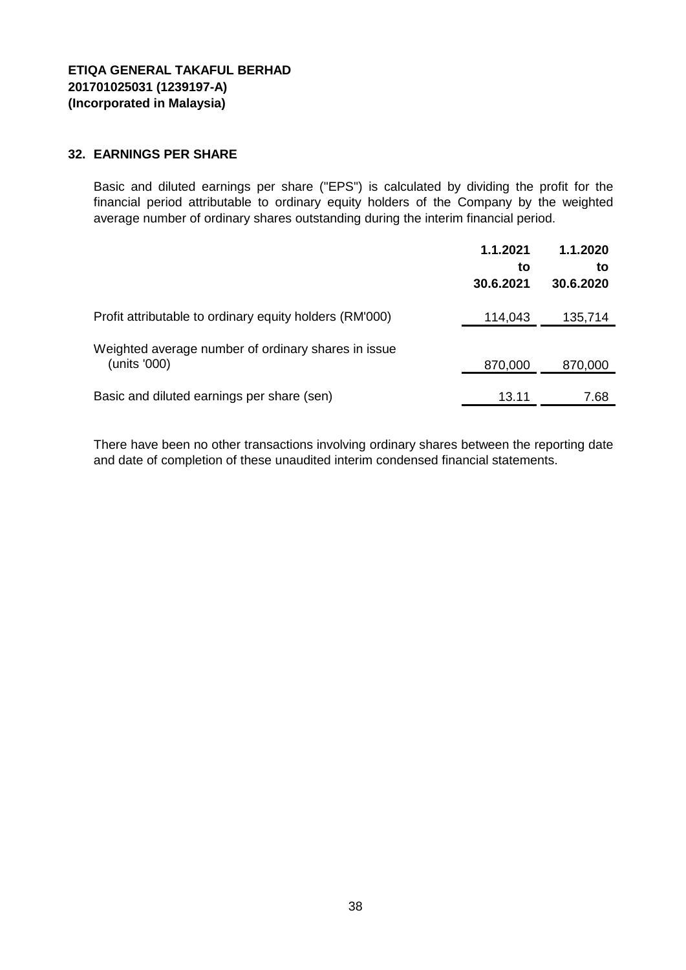### **32. EARNINGS PER SHARE**

Basic and diluted earnings per share ("EPS") is calculated by dividing the profit for the financial period attributable to ordinary equity holders of the Company by the weighted average number of ordinary shares outstanding during the interim financial period.

|                                                                     | 1.1.2021<br>to<br>30.6.2021 | 1.1.2020<br>to<br>30.6.2020 |
|---------------------------------------------------------------------|-----------------------------|-----------------------------|
| Profit attributable to ordinary equity holders (RM'000)             | 114,043                     | 135,714                     |
| Weighted average number of ordinary shares in issue<br>(units '000) | 870,000                     | 870,000                     |
| Basic and diluted earnings per share (sen)                          | 13.11                       | 7.68                        |

There have been no other transactions involving ordinary shares between the reporting date and date of completion of these unaudited interim condensed financial statements.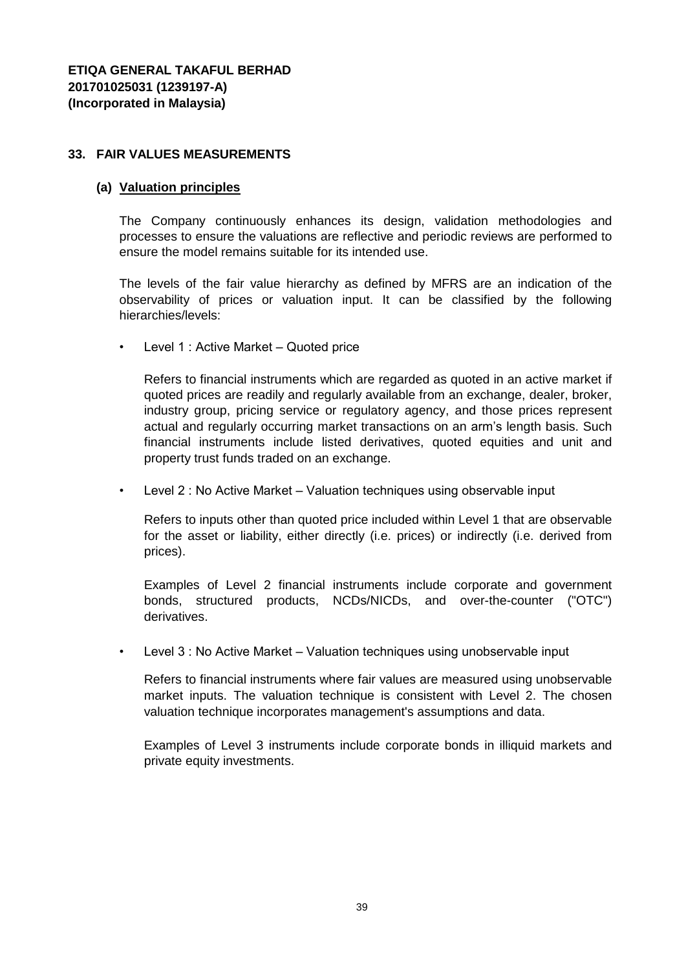### **33. FAIR VALUES MEASUREMENTS**

#### **(a) Valuation principles**

The Company continuously enhances its design, validation methodologies and processes to ensure the valuations are reflective and periodic reviews are performed to ensure the model remains suitable for its intended use.

The levels of the fair value hierarchy as defined by MFRS are an indication of the observability of prices or valuation input. It can be classified by the following hierarchies/levels:

• Level 1 : Active Market – Quoted price

Refers to financial instruments which are regarded as quoted in an active market if quoted prices are readily and regularly available from an exchange, dealer, broker, industry group, pricing service or regulatory agency, and those prices represent actual and regularly occurring market transactions on an arm's length basis. Such financial instruments include listed derivatives, quoted equities and unit and property trust funds traded on an exchange.

• Level 2 : No Active Market – Valuation techniques using observable input

Refers to inputs other than quoted price included within Level 1 that are observable for the asset or liability, either directly (i.e. prices) or indirectly (i.e. derived from prices).

Examples of Level 2 financial instruments include corporate and government bonds, structured products, NCDs/NICDs, and over-the-counter ("OTC") derivatives.

• Level 3 : No Active Market – Valuation techniques using unobservable input

Refers to financial instruments where fair values are measured using unobservable market inputs. The valuation technique is consistent with Level 2. The chosen valuation technique incorporates management's assumptions and data.

Examples of Level 3 instruments include corporate bonds in illiquid markets and private equity investments.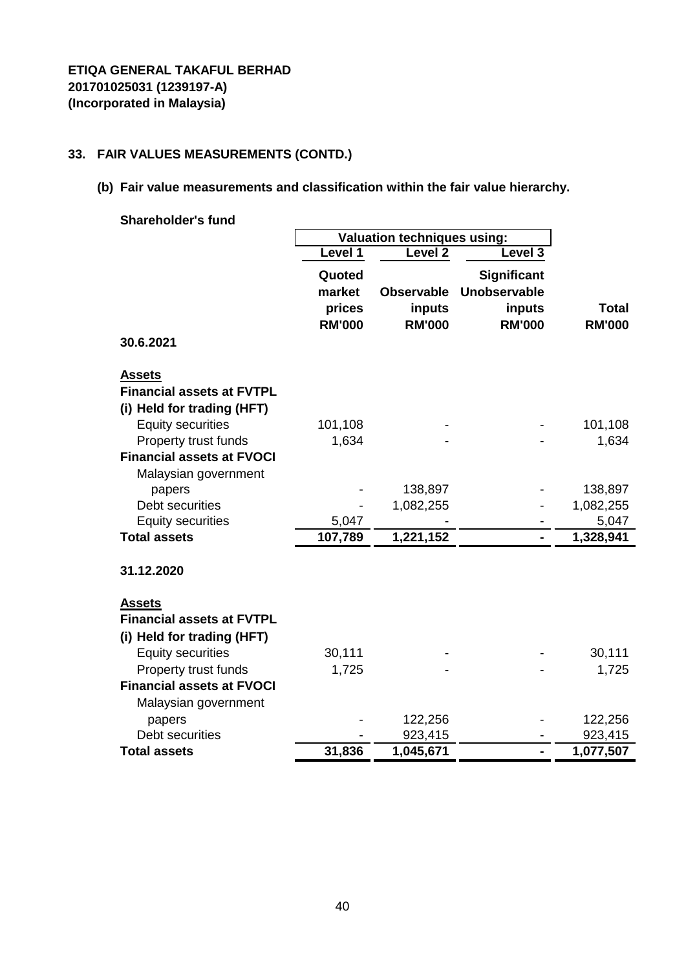# **33. FAIR VALUES MEASUREMENTS (CONTD.)**

# **(b) Fair value measurements and classification within the fair value hierarchy.**

| <b>Shareholder's fund</b>        |                                    |                   |                     |               |
|----------------------------------|------------------------------------|-------------------|---------------------|---------------|
|                                  | <b>Valuation techniques using:</b> |                   |                     |               |
|                                  | Level 1                            | <b>Level 2</b>    | Level 3             |               |
|                                  | Quoted                             |                   | <b>Significant</b>  |               |
|                                  | market                             | <b>Observable</b> | <b>Unobservable</b> |               |
|                                  | prices                             | inputs            | inputs              | <b>Total</b>  |
|                                  | <b>RM'000</b>                      | <b>RM'000</b>     | <b>RM'000</b>       | <b>RM'000</b> |
| 30.6.2021                        |                                    |                   |                     |               |
| <u>Assets</u>                    |                                    |                   |                     |               |
| <b>Financial assets at FVTPL</b> |                                    |                   |                     |               |
| (i) Held for trading (HFT)       |                                    |                   |                     |               |
| <b>Equity securities</b>         | 101,108                            |                   |                     | 101,108       |
| Property trust funds             | 1,634                              |                   |                     | 1,634         |
| <b>Financial assets at FVOCI</b> |                                    |                   |                     |               |
| Malaysian government             |                                    |                   |                     |               |
| papers                           |                                    | 138,897           |                     | 138,897       |
| Debt securities                  |                                    | 1,082,255         |                     | 1,082,255     |
| <b>Equity securities</b>         | 5,047                              |                   |                     | 5,047         |
| <b>Total assets</b>              | 107,789                            | 1,221,152         | $\overline{a}$      | 1,328,941     |
| 31.12.2020                       |                                    |                   |                     |               |
| <b>Assets</b>                    |                                    |                   |                     |               |
| <b>Financial assets at FVTPL</b> |                                    |                   |                     |               |
| (i) Held for trading (HFT)       |                                    |                   |                     |               |
| <b>Equity securities</b>         | 30,111                             |                   |                     | 30,111        |
| Property trust funds             | 1,725                              |                   |                     | 1,725         |
| <b>Financial assets at FVOCI</b> |                                    |                   |                     |               |
| Malaysian government             |                                    |                   |                     |               |
| papers                           |                                    | 122,256           |                     | 122,256       |
| Debt securities                  |                                    | 923,415           |                     | 923,415       |
| <b>Total assets</b>              | 31,836                             | 1,045,671         |                     | 1,077,507     |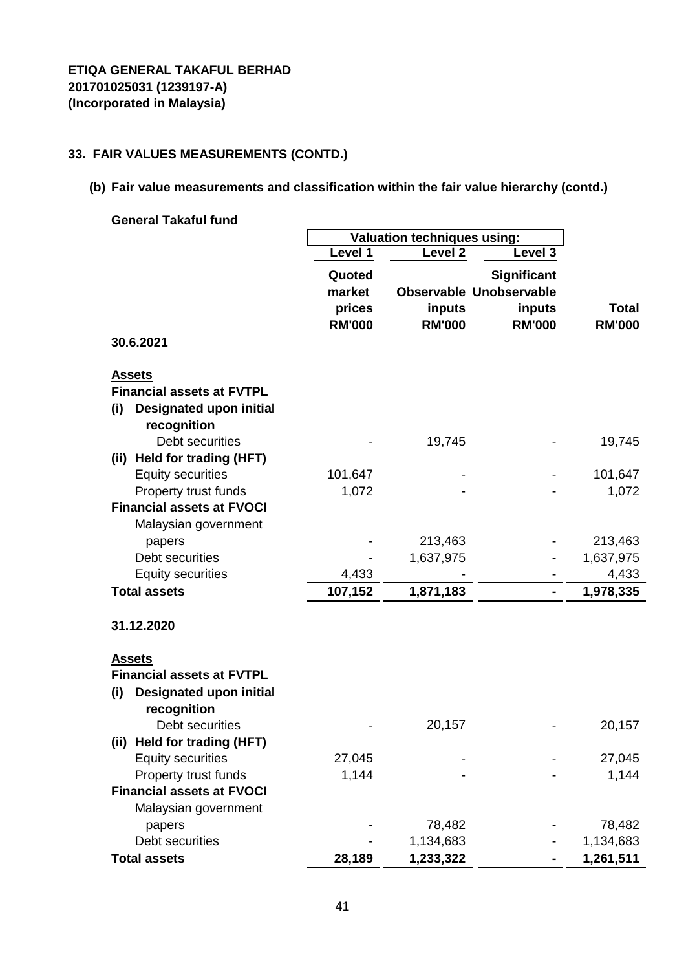### **33. FAIR VALUES MEASUREMENTS (CONTD.)**

# **(b) Fair value measurements and classification within the fair value hierarchy (contd.)**

**General Takaful fund** 

|                                  | <b>Valuation techniques using:</b> |                    |                                |               |
|----------------------------------|------------------------------------|--------------------|--------------------------------|---------------|
|                                  | Level 1                            | Level <sub>2</sub> | Level 3                        |               |
|                                  | Quoted                             |                    | <b>Significant</b>             |               |
|                                  | market                             |                    | <b>Observable Unobservable</b> |               |
|                                  | prices                             | inputs             | inputs                         | <b>Total</b>  |
|                                  | <b>RM'000</b>                      | <b>RM'000</b>      | <b>RM'000</b>                  | <b>RM'000</b> |
| 30.6.2021                        |                                    |                    |                                |               |
| <b>Assets</b>                    |                                    |                    |                                |               |
| <b>Financial assets at FVTPL</b> |                                    |                    |                                |               |
| Designated upon initial<br>(i)   |                                    |                    |                                |               |
| recognition                      |                                    |                    |                                |               |
| Debt securities                  |                                    | 19,745             |                                | 19,745        |
| (ii) Held for trading (HFT)      |                                    |                    |                                |               |
| <b>Equity securities</b>         | 101,647                            |                    |                                | 101,647       |
| Property trust funds             | 1,072                              |                    |                                | 1,072         |
| <b>Financial assets at FVOCI</b> |                                    |                    |                                |               |
| Malaysian government             |                                    |                    |                                |               |
| papers                           |                                    | 213,463            |                                | 213,463       |
| Debt securities                  |                                    | 1,637,975          |                                | 1,637,975     |
| <b>Equity securities</b>         | 4,433                              |                    |                                | 4,433         |
| <b>Total assets</b>              | 107,152                            | 1,871,183          | ۰                              | 1,978,335     |
| 31.12.2020                       |                                    |                    |                                |               |
| <b>Assets</b>                    |                                    |                    |                                |               |
| <b>Financial assets at FVTPL</b> |                                    |                    |                                |               |
| Designated upon initial<br>(i)   |                                    |                    |                                |               |
| recognition                      |                                    |                    |                                |               |
| Debt securities                  |                                    | 20,157             |                                | 20,157        |
| (ii) Held for trading (HFT)      |                                    |                    |                                |               |
| <b>Equity securities</b>         | 27,045                             |                    |                                | 27,045        |
| Property trust funds             | 1,144                              |                    |                                | 1,144         |
| <b>Financial assets at FVOCI</b> |                                    |                    |                                |               |
| Malaysian government             |                                    |                    |                                |               |
| papers                           |                                    | 78,482             |                                | 78,482        |
| Debt securities                  |                                    | 1,134,683          |                                | 1,134,683     |
| <b>Total assets</b>              | 28,189                             | 1,233,322          | -                              | 1,261,511     |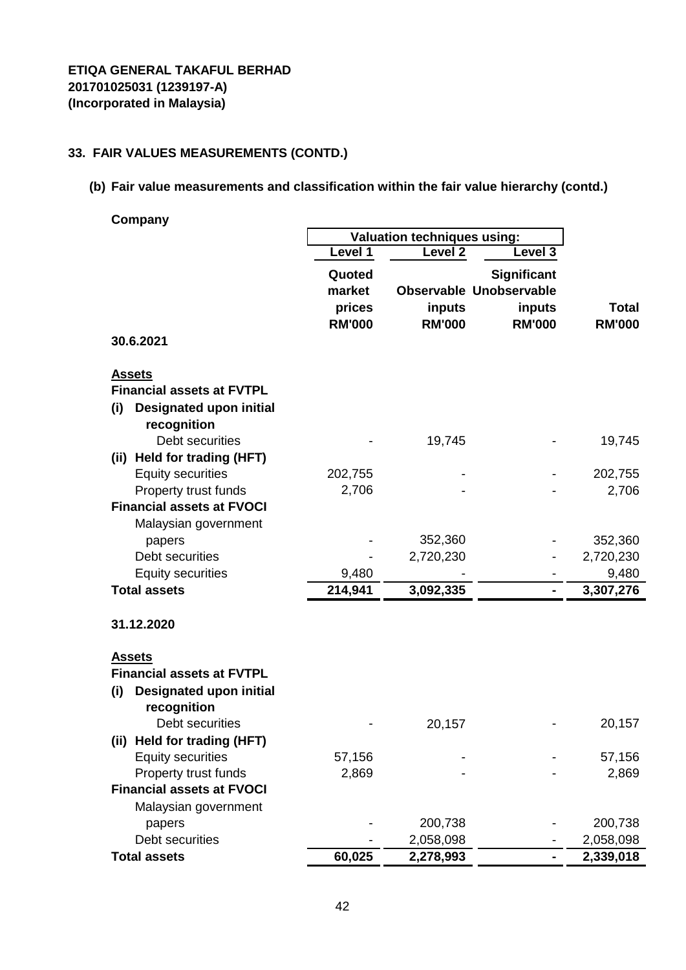# **33. FAIR VALUES MEASUREMENTS (CONTD.)**

**(b) Fair value measurements and classification within the fair value hierarchy (contd.)**

**Company**

|                                       | <b>Valuation techniques using:</b> |                    |                                |                      |
|---------------------------------------|------------------------------------|--------------------|--------------------------------|----------------------|
|                                       | Level 1                            | Level <sub>2</sub> | Level 3                        |                      |
|                                       | Quoted                             |                    | <b>Significant</b>             |                      |
|                                       | market                             |                    | <b>Observable Unobservable</b> |                      |
|                                       | prices                             | inputs             | inputs                         | <b>Total</b>         |
|                                       | <b>RM'000</b>                      | <b>RM'000</b>      | <b>RM'000</b>                  | <b>RM'000</b>        |
| 30.6.2021                             |                                    |                    |                                |                      |
| <b>Assets</b>                         |                                    |                    |                                |                      |
| <b>Financial assets at FVTPL</b>      |                                    |                    |                                |                      |
| (i)<br><b>Designated upon initial</b> |                                    |                    |                                |                      |
| recognition                           |                                    |                    |                                |                      |
| Debt securities                       |                                    | 19,745             |                                | 19,745               |
| Held for trading (HFT)<br>(ii)        |                                    |                    |                                |                      |
| <b>Equity securities</b>              | 202,755                            |                    |                                | 202,755              |
| Property trust funds                  | 2,706                              |                    |                                | 2,706                |
| <b>Financial assets at FVOCI</b>      |                                    |                    |                                |                      |
| Malaysian government                  |                                    | 352,360            |                                |                      |
| papers<br>Debt securities             |                                    | 2,720,230          |                                | 352,360<br>2,720,230 |
| <b>Equity securities</b>              | 9,480                              |                    |                                | 9,480                |
| <b>Total assets</b>                   | 214,941                            | 3,092,335          |                                | 3,307,276            |
|                                       |                                    |                    |                                |                      |
| 31.12.2020                            |                                    |                    |                                |                      |
| <b>Assets</b>                         |                                    |                    |                                |                      |
| <b>Financial assets at FVTPL</b>      |                                    |                    |                                |                      |
| <b>Designated upon initial</b><br>(i) |                                    |                    |                                |                      |
| recognition                           |                                    |                    |                                |                      |
| Debt securities                       |                                    | 20,157             |                                | 20,157               |
| (ii) Held for trading (HFT)           |                                    |                    |                                |                      |
| <b>Equity securities</b>              | 57,156                             |                    |                                | 57,156               |
| Property trust funds                  | 2,869                              |                    |                                | 2,869                |
| <b>Financial assets at FVOCI</b>      |                                    |                    |                                |                      |
| Malaysian government                  |                                    |                    |                                |                      |
| papers                                |                                    | 200,738            |                                | 200,738              |
| Debt securities                       |                                    | 2,058,098          |                                | 2,058,098            |
| <b>Total assets</b>                   | 60,025                             | 2,278,993          |                                | 2,339,018            |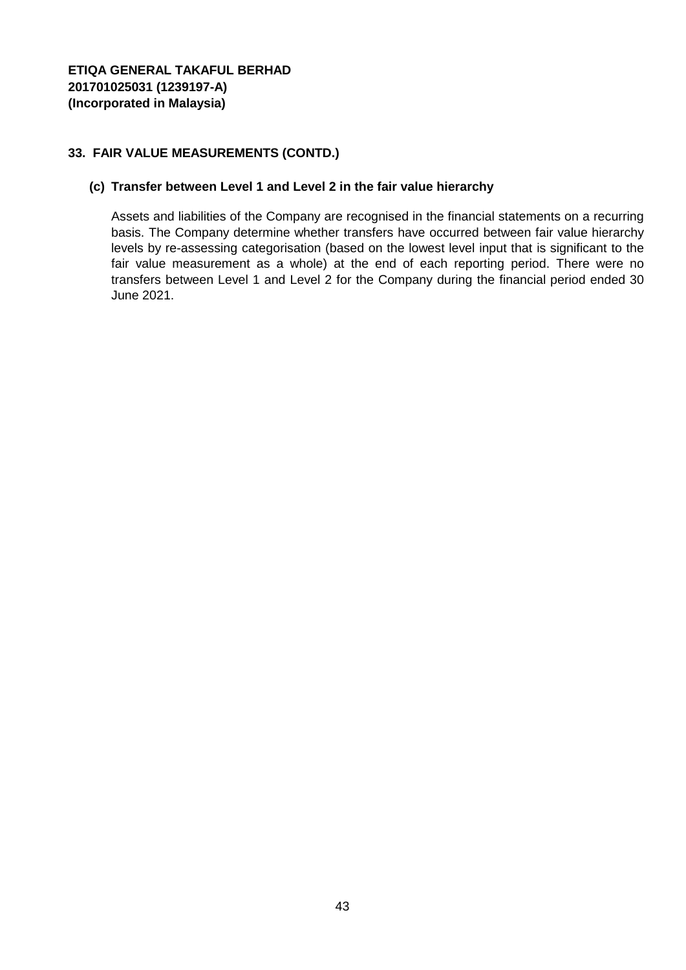## **33. FAIR VALUE MEASUREMENTS (CONTD.)**

### **(c) Transfer between Level 1 and Level 2 in the fair value hierarchy**

Assets and liabilities of the Company are recognised in the financial statements on a recurring basis. The Company determine whether transfers have occurred between fair value hierarchy levels by re-assessing categorisation (based on the lowest level input that is significant to the fair value measurement as a whole) at the end of each reporting period. There were no transfers between Level 1 and Level 2 for the Company during the financial period ended 30 June 2021.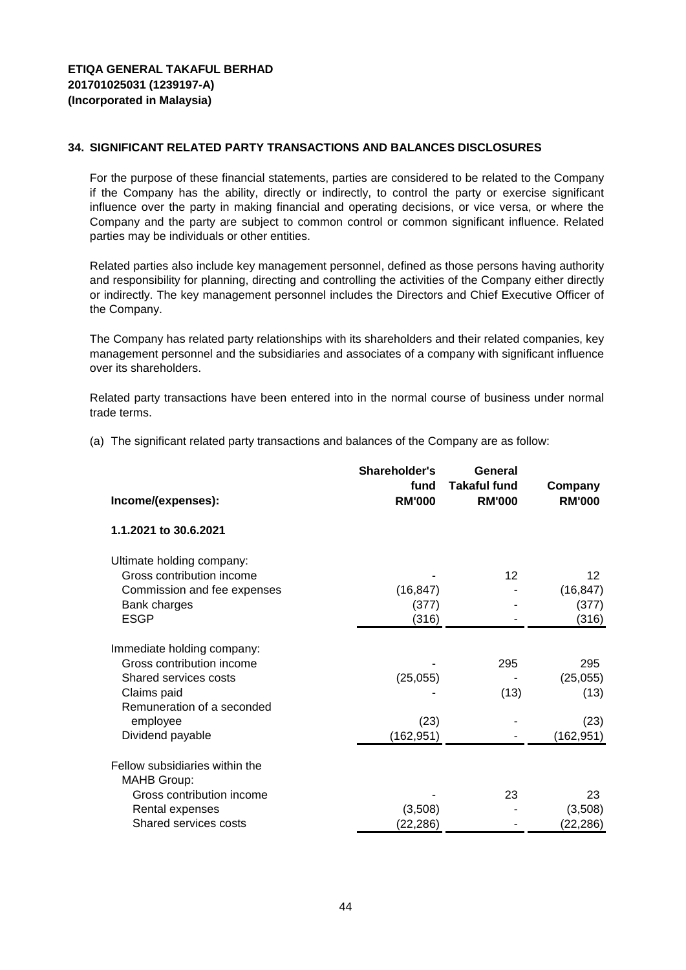For the purpose of these financial statements, parties are considered to be related to the Company if the Company has the ability, directly or indirectly, to control the party or exercise significant influence over the party in making financial and operating decisions, or vice versa, or where the Company and the party are subject to common control or common significant influence. Related parties may be individuals or other entities.

Related parties also include key management personnel, defined as those persons having authority and responsibility for planning, directing and controlling the activities of the Company either directly or indirectly. The key management personnel includes the Directors and Chief Executive Officer of the Company.

The Company has related party relationships with its shareholders and their related companies, key management personnel and the subsidiaries and associates of a company with significant influence over its shareholders.

Related party transactions have been entered into in the normal course of business under normal trade terms.

(a) The significant related party transactions and balances of the Company are as follow:

| Income/(expenses):                                   | Shareholder's<br>fund<br><b>RM'000</b> | General<br><b>Takaful fund</b><br><b>RM'000</b> | Company<br><b>RM'000</b> |
|------------------------------------------------------|----------------------------------------|-------------------------------------------------|--------------------------|
| 1.1.2021 to 30.6.2021                                |                                        |                                                 |                          |
| Ultimate holding company:                            |                                        |                                                 |                          |
| Gross contribution income                            |                                        | $12 \overline{ }$                               | $12 \overline{ }$        |
| Commission and fee expenses                          | (16, 847)                              |                                                 | (16, 847)                |
| Bank charges                                         | (377)                                  |                                                 | (377)                    |
| <b>ESGP</b>                                          | (316)                                  |                                                 | (316)                    |
| Immediate holding company:                           |                                        |                                                 |                          |
| Gross contribution income                            |                                        | 295                                             | 295                      |
| Shared services costs                                | (25,055)                               |                                                 | (25,055)                 |
| Claims paid                                          |                                        | (13)                                            | (13)                     |
| Remuneration of a seconded                           |                                        |                                                 |                          |
| employee                                             | (23)                                   |                                                 | (23)                     |
| Dividend payable                                     | (162, 951)                             |                                                 | (162, 951)               |
| Fellow subsidiaries within the<br><b>MAHB Group:</b> |                                        |                                                 |                          |
| Gross contribution income                            |                                        | 23                                              | 23                       |
| Rental expenses                                      | (3,508)                                |                                                 | (3,508)                  |
| Shared services costs                                | (22,286)                               |                                                 | (22, 286)                |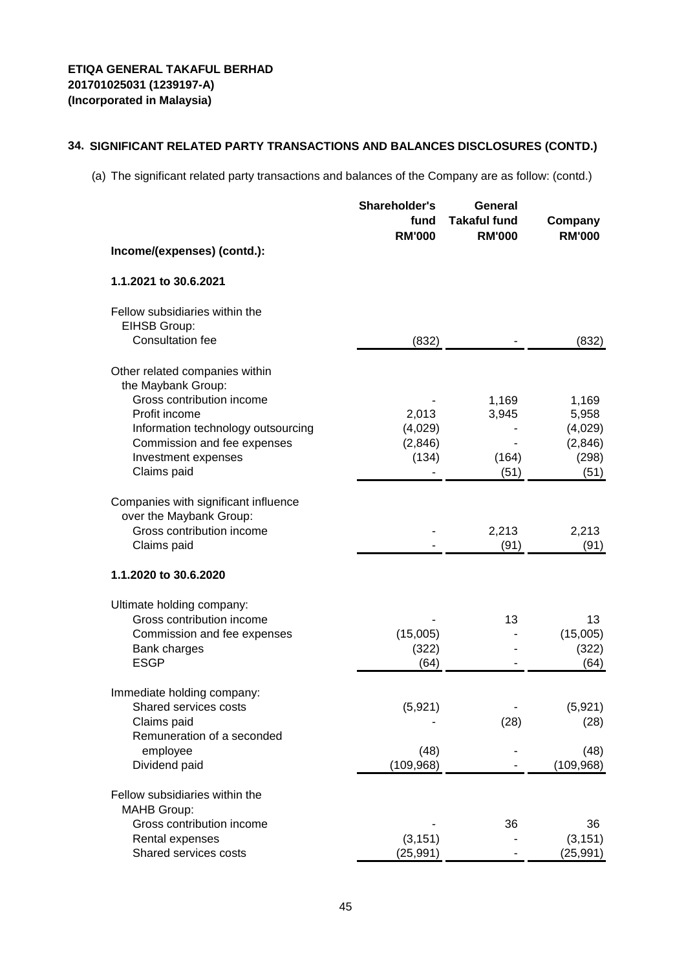(a) The significant related party transactions and balances of the Company are as follow: (contd.)

|                                                                                                                                                                                                               | Shareholder's<br>fund<br><b>RM'000</b> | General<br><b>Takaful fund</b><br><b>RM'000</b> | Company<br><b>RM'000</b>                              |
|---------------------------------------------------------------------------------------------------------------------------------------------------------------------------------------------------------------|----------------------------------------|-------------------------------------------------|-------------------------------------------------------|
| Income/(expenses) (contd.):                                                                                                                                                                                   |                                        |                                                 |                                                       |
| 1.1.2021 to 30.6.2021                                                                                                                                                                                         |                                        |                                                 |                                                       |
| Fellow subsidiaries within the<br>EIHSB Group:<br><b>Consultation fee</b>                                                                                                                                     | (832)                                  |                                                 | (832)                                                 |
| Other related companies within<br>the Maybank Group:<br>Gross contribution income<br>Profit income<br>Information technology outsourcing<br>Commission and fee expenses<br>Investment expenses<br>Claims paid | 2,013<br>(4,029)<br>(2,846)<br>(134)   | 1,169<br>3,945<br>(164)<br>(51)                 | 1,169<br>5,958<br>(4,029)<br>(2,846)<br>(298)<br>(51) |
| Companies with significant influence<br>over the Maybank Group:<br>Gross contribution income<br>Claims paid                                                                                                   |                                        | 2,213<br>(91)                                   | 2,213<br>(91)                                         |
| 1.1.2020 to 30.6.2020                                                                                                                                                                                         |                                        |                                                 |                                                       |
| Ultimate holding company:<br>Gross contribution income<br>Commission and fee expenses<br>Bank charges<br><b>ESGP</b>                                                                                          | (15,005)<br>(322)<br>(64)              | 13                                              | 13<br>(15,005)<br>(322)<br>(64)                       |
| Immediate holding company:<br><b>Shared services costs</b><br>Claims paid<br>Remuneration of a seconded<br>employee<br>Dividend paid                                                                          | (5,921)<br>(48)<br>(109, 968)          | (28)                                            | (5,921)<br>(28)<br>(48)<br>(109, 968)                 |
| Fellow subsidiaries within the<br><b>MAHB Group:</b><br>Gross contribution income<br>Rental expenses<br>Shared services costs                                                                                 | (3, 151)<br>(25,991)                   | 36                                              | 36<br>(3, 151)<br>(25, 991)                           |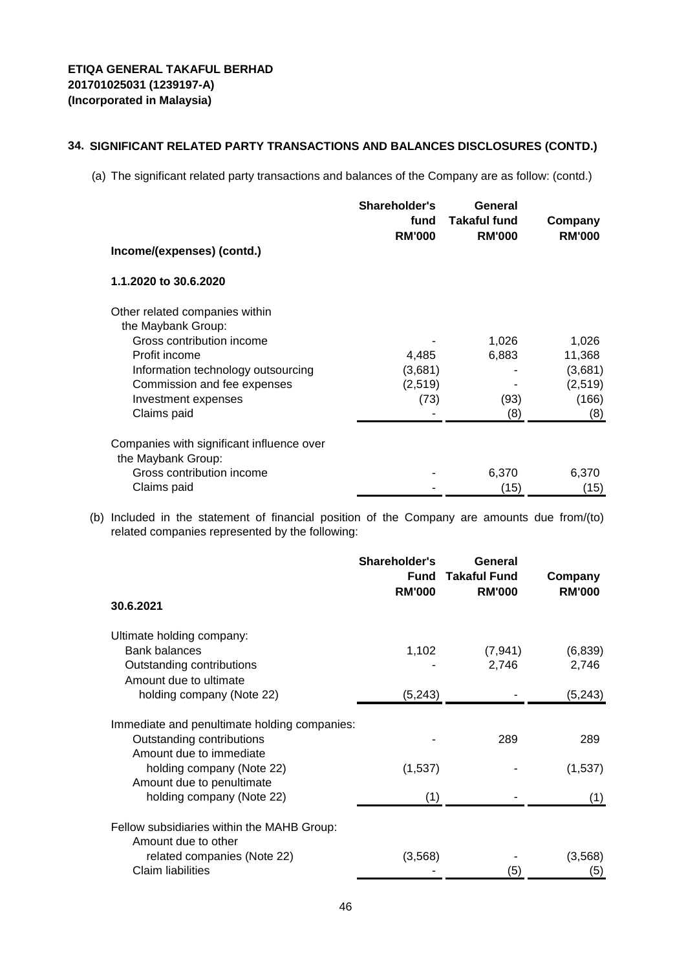(a) The significant related party transactions and balances of the Company are as follow: (contd.)

|                                                                 | Shareholder's<br>fund<br><b>RM'000</b> | General<br>Takaful fund<br><b>RM'000</b> | Company<br><b>RM'000</b> |
|-----------------------------------------------------------------|----------------------------------------|------------------------------------------|--------------------------|
| Income/(expenses) (contd.)                                      |                                        |                                          |                          |
| 1.1.2020 to 30.6.2020                                           |                                        |                                          |                          |
| Other related companies within                                  |                                        |                                          |                          |
| the Maybank Group:                                              |                                        |                                          |                          |
| Gross contribution income                                       |                                        | 1,026                                    | 1,026                    |
| Profit income                                                   | 4,485                                  | 6,883                                    | 11,368                   |
| Information technology outsourcing                              | (3,681)                                |                                          | (3,681)                  |
| Commission and fee expenses                                     | (2,519)                                |                                          | (2,519)                  |
| Investment expenses                                             | (73)                                   | (93)                                     | (166)                    |
| Claims paid                                                     |                                        | (8)                                      | (8)                      |
| Companies with significant influence over<br>the Maybank Group: |                                        |                                          |                          |
| Gross contribution income                                       |                                        | 6,370                                    | 6,370                    |
| Claims paid                                                     |                                        | (15)                                     | (15)                     |

(b) Included in the statement of financial position of the Company are amounts due from/(to) related companies represented by the following:

|                                                        | Shareholder's<br><b>Fund</b><br><b>RM'000</b> | General<br><b>Takaful Fund</b><br><b>RM'000</b> | Company<br><b>RM'000</b> |
|--------------------------------------------------------|-----------------------------------------------|-------------------------------------------------|--------------------------|
| 30.6.2021                                              |                                               |                                                 |                          |
| Ultimate holding company:                              |                                               |                                                 |                          |
| <b>Bank balances</b>                                   | 1,102                                         | (7, 941)                                        | (6,839)                  |
| Outstanding contributions<br>Amount due to ultimate    |                                               | 2,746                                           | 2,746                    |
| holding company (Note 22)                              | (5,243)                                       |                                                 | (5,243)                  |
| Immediate and penultimate holding companies:           |                                               |                                                 |                          |
| Outstanding contributions                              |                                               | 289                                             | 289                      |
| Amount due to immediate                                |                                               |                                                 |                          |
| holding company (Note 22)<br>Amount due to penultimate | (1,537)                                       |                                                 | (1,537)                  |
| holding company (Note 22)                              | (1)                                           |                                                 | (1)                      |
| Fellow subsidiaries within the MAHB Group:             |                                               |                                                 |                          |
| Amount due to other                                    |                                               |                                                 |                          |
| related companies (Note 22)                            | (3,568)                                       |                                                 | (3, 568)                 |
| <b>Claim liabilities</b>                               |                                               | (5)                                             | (5)                      |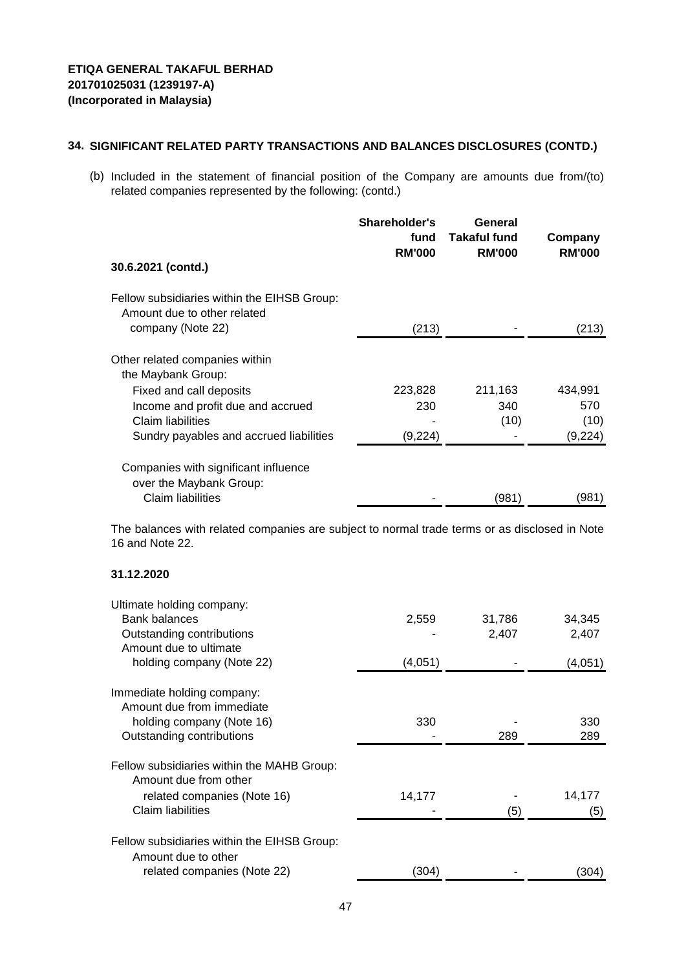(b) Included in the statement of financial position of the Company are amounts due from/(to) related companies represented by the following: (contd.)

|                                                                            | Shareholder's<br>fund<br><b>RM'000</b> | General<br><b>Takaful fund</b><br><b>RM'000</b> | Company<br><b>RM'000</b> |
|----------------------------------------------------------------------------|----------------------------------------|-------------------------------------------------|--------------------------|
| 30.6.2021 (contd.)                                                         |                                        |                                                 |                          |
| Fellow subsidiaries within the EIHSB Group:<br>Amount due to other related |                                        |                                                 |                          |
| company (Note 22)                                                          | (213)                                  |                                                 | (213)                    |
| Other related companies within<br>the Maybank Group:                       |                                        |                                                 |                          |
| Fixed and call deposits                                                    | 223,828                                | 211,163                                         | 434,991                  |
| Income and profit due and accrued                                          | 230                                    | 340                                             | 570                      |
| Claim liabilities                                                          |                                        | (10)                                            | (10)                     |
| Sundry payables and accrued liabilities                                    | (9,224)                                |                                                 | (9,224)                  |
| Companies with significant influence<br>over the Maybank Group:            |                                        |                                                 |                          |
| Claim liabilities                                                          |                                        | (981)                                           | (981)                    |

The balances with related companies are subject to normal trade terms or as disclosed in Note 16 and Note 22.

#### **31.12.2020**

| Ultimate holding company:                                           |         |        |         |
|---------------------------------------------------------------------|---------|--------|---------|
| Bank balances                                                       | 2,559   | 31,786 | 34,345  |
| Outstanding contributions                                           |         | 2,407  | 2,407   |
| Amount due to ultimate                                              |         |        |         |
| holding company (Note 22)                                           | (4,051) |        | (4,051) |
| Immediate holding company:                                          |         |        |         |
| Amount due from immediate                                           |         |        |         |
| holding company (Note 16)                                           | 330     |        | 330     |
| Outstanding contributions                                           |         | 289    | 289     |
| Fellow subsidiaries within the MAHB Group:<br>Amount due from other |         |        |         |
| related companies (Note 16)                                         | 14,177  |        | 14,177  |
| Claim liabilities                                                   |         | (5)    | (5)     |
| Fellow subsidiaries within the EIHSB Group:<br>Amount due to other  |         |        |         |
| related companies (Note 22)                                         | (304)   |        | (304    |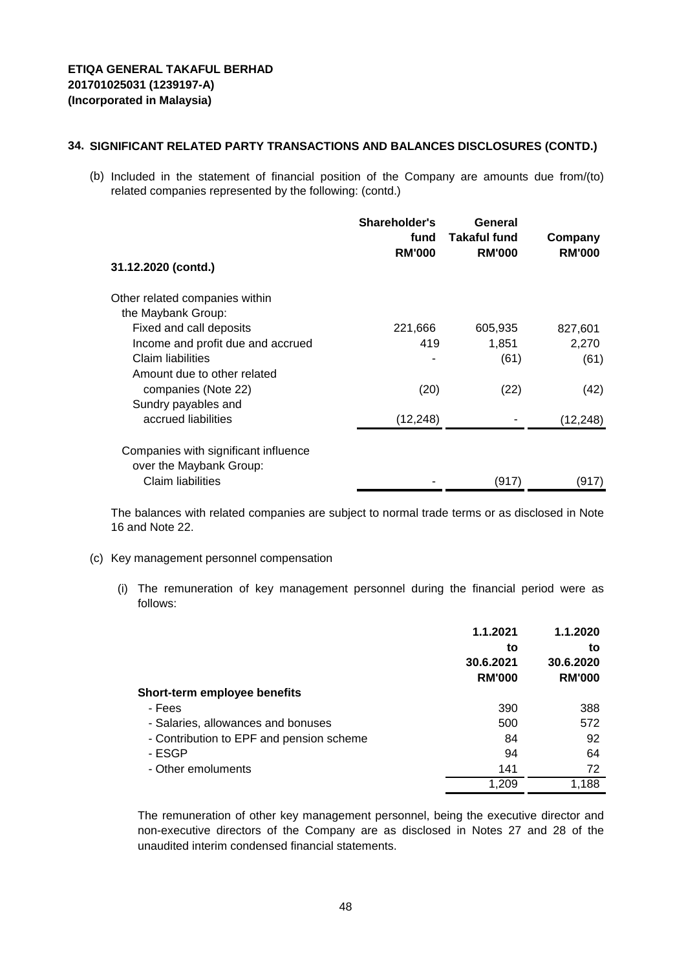(b) Included in the statement of financial position of the Company are amounts due from/(to) related companies represented by the following: (contd.)

| 31.12.2020 (contd.)                  | Shareholder's<br>fund<br><b>RM'000</b> | General<br><b>Takaful fund</b><br><b>RM'000</b> | Company<br><b>RM'000</b> |
|--------------------------------------|----------------------------------------|-------------------------------------------------|--------------------------|
|                                      |                                        |                                                 |                          |
| Other related companies within       |                                        |                                                 |                          |
| the Maybank Group:                   |                                        |                                                 |                          |
| Fixed and call deposits              | 221,666                                | 605,935                                         | 827,601                  |
| Income and profit due and accrued    | 419                                    | 1,851                                           | 2,270                    |
| Claim liabilities                    |                                        | (61)                                            | (61)                     |
| Amount due to other related          |                                        |                                                 |                          |
| companies (Note 22)                  | (20)                                   | (22)                                            | (42)                     |
| Sundry payables and                  |                                        |                                                 |                          |
| accrued liabilities                  | (12, 248)                              |                                                 | (12, 248)                |
| Companies with significant influence |                                        |                                                 |                          |
| over the Maybank Group:              |                                        |                                                 |                          |
| Claim liabilities                    |                                        | (917)                                           | (917)                    |

The balances with related companies are subject to normal trade terms or as disclosed in Note 16 and Note 22.

- (c) Key management personnel compensation
	- (i) The remuneration of key management personnel during the financial period were as follows:

|                                          | 1.1.2021<br>to<br>30.6.2021<br><b>RM'000</b> | 1.1.2020<br>to<br>30.6.2020<br><b>RM'000</b> |
|------------------------------------------|----------------------------------------------|----------------------------------------------|
| <b>Short-term employee benefits</b>      |                                              |                                              |
| - Fees                                   | 390                                          | 388                                          |
| - Salaries, allowances and bonuses       | 500                                          | 572                                          |
| - Contribution to EPF and pension scheme | 84                                           | 92                                           |
| - ESGP                                   | 94                                           | 64                                           |
| - Other emoluments                       | 141                                          | 72                                           |
|                                          | 1,209                                        | 1,188                                        |

The remuneration of other key management personnel, being the executive director and non-executive directors of the Company are as disclosed in Notes 27 and 28 of the unaudited interim condensed financial statements.